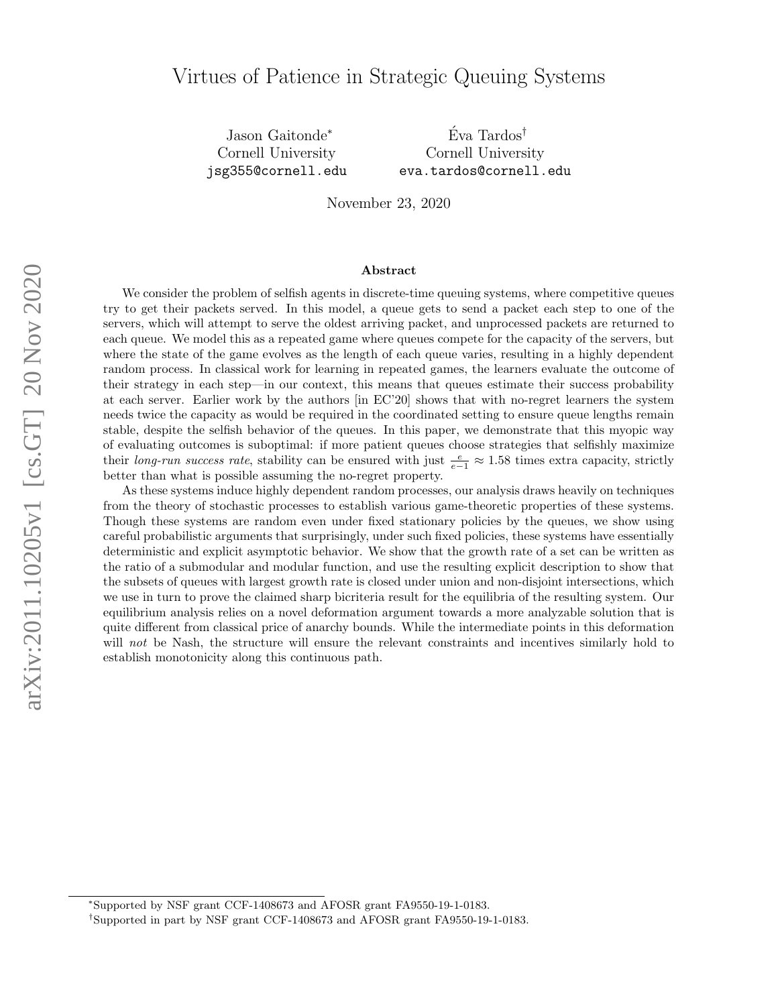Jason Gaitonde<sup>∗</sup> Cornell University jsg355@cornell.edu

 $\mathrm{E}v\mathrm{a}$  Tardos<sup>†</sup> Cornell University eva.tardos@cornell.edu

November 23, 2020

#### Abstract

We consider the problem of selfish agents in discrete-time queuing systems, where competitive queues try to get their packets served. In this model, a queue gets to send a packet each step to one of the servers, which will attempt to serve the oldest arriving packet, and unprocessed packets are returned to each queue. We model this as a repeated game where queues compete for the capacity of the servers, but where the state of the game evolves as the length of each queue varies, resulting in a highly dependent random process. In classical work for learning in repeated games, the learners evaluate the outcome of their strategy in each step—in our context, this means that queues estimate their success probability at each server. Earlier work by the authors [in EC'20] shows that with no-regret learners the system needs twice the capacity as would be required in the coordinated setting to ensure queue lengths remain stable, despite the selfish behavior of the queues. In this paper, we demonstrate that this myopic way of evaluating outcomes is suboptimal: if more patient queues choose strategies that selfishly maximize their long-run success rate, stability can be ensured with just  $\frac{e}{e-1} \approx 1.58$  times extra capacity, strictly better than what is possible assuming the no-regret property.

As these systems induce highly dependent random processes, our analysis draws heavily on techniques from the theory of stochastic processes to establish various game-theoretic properties of these systems. Though these systems are random even under fixed stationary policies by the queues, we show using careful probabilistic arguments that surprisingly, under such fixed policies, these systems have essentially deterministic and explicit asymptotic behavior. We show that the growth rate of a set can be written as the ratio of a submodular and modular function, and use the resulting explicit description to show that the subsets of queues with largest growth rate is closed under union and non-disjoint intersections, which we use in turn to prove the claimed sharp bicriteria result for the equilibria of the resulting system. Our equilibrium analysis relies on a novel deformation argument towards a more analyzable solution that is quite different from classical price of anarchy bounds. While the intermediate points in this deformation will not be Nash, the structure will ensure the relevant constraints and incentives similarly hold to establish monotonicity along this continuous path.

<sup>∗</sup>Supported by NSF grant CCF-1408673 and AFOSR grant FA9550-19-1-0183.

<sup>†</sup>Supported in part by NSF grant CCF-1408673 and AFOSR grant FA9550-19-1-0183.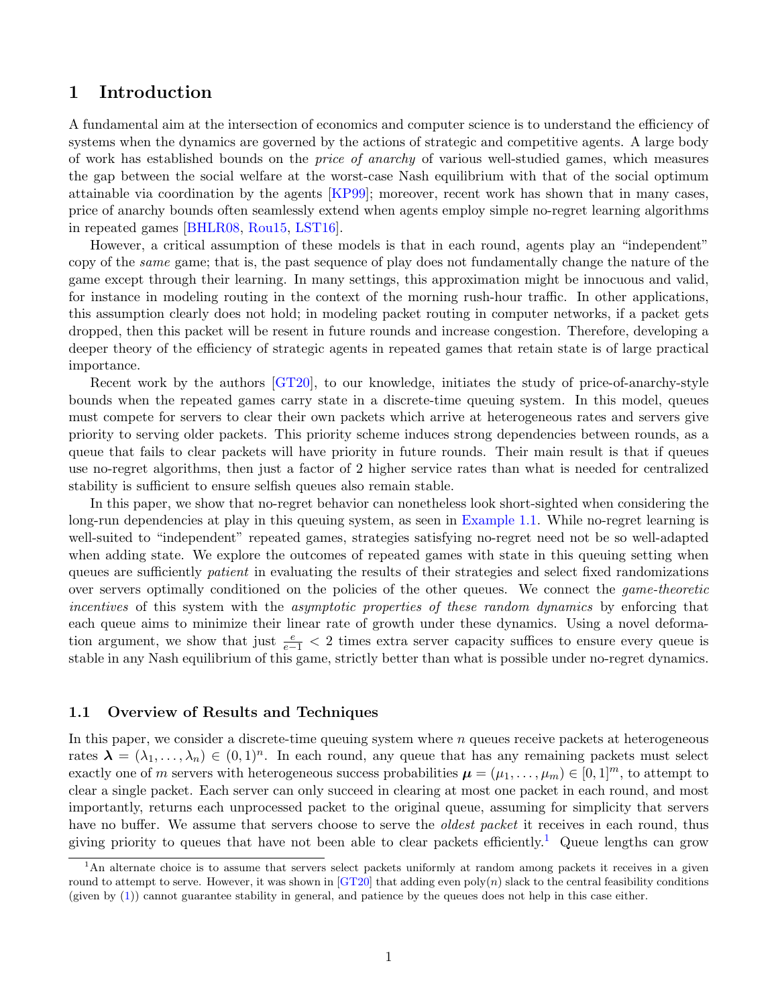# 1 Introduction

A fundamental aim at the intersection of economics and computer science is to understand the efficiency of systems when the dynamics are governed by the actions of strategic and competitive agents. A large body of work has established bounds on the price of anarchy of various well-studied games, which measures the gap between the social welfare at the worst-case Nash equilibrium with that of the social optimum attainable via coordination by the agents [\[KP99\]](#page-23-0); moreover, recent work has shown that in many cases, price of anarchy bounds often seamlessly extend when agents employ simple no-regret learning algorithms in repeated games [\[BHLR08,](#page-23-1) [Rou15,](#page-24-0) [LST16\]](#page-24-1).

However, a critical assumption of these models is that in each round, agents play an "independent" copy of the *same* game; that is, the past sequence of play does not fundamentally change the nature of the game except through their learning. In many settings, this approximation might be innocuous and valid, for instance in modeling routing in the context of the morning rush-hour traffic. In other applications, this assumption clearly does not hold; in modeling packet routing in computer networks, if a packet gets dropped, then this packet will be resent in future rounds and increase congestion. Therefore, developing a deeper theory of the efficiency of strategic agents in repeated games that retain state is of large practical importance.

Recent work by the authors [\[GT20\]](#page-23-2), to our knowledge, initiates the study of price-of-anarchy-style bounds when the repeated games carry state in a discrete-time queuing system. In this model, queues must compete for servers to clear their own packets which arrive at heterogeneous rates and servers give priority to serving older packets. This priority scheme induces strong dependencies between rounds, as a queue that fails to clear packets will have priority in future rounds. Their main result is that if queues use no-regret algorithms, then just a factor of 2 higher service rates than what is needed for centralized stability is sufficient to ensure selfish queues also remain stable.

In this paper, we show that no-regret behavior can nonetheless look short-sighted when considering the long-run dependencies at play in this queuing system, as seen in [Example 1.1.](#page-2-0) While no-regret learning is well-suited to "independent" repeated games, strategies satisfying no-regret need not be so well-adapted when adding state. We explore the outcomes of repeated games with state in this queuing setting when queues are sufficiently *patient* in evaluating the results of their strategies and select fixed randomizations over servers optimally conditioned on the policies of the other queues. We connect the game-theoretic incentives of this system with the asymptotic properties of these random dynamics by enforcing that each queue aims to minimize their linear rate of growth under these dynamics. Using a novel deformation argument, we show that just  $\frac{e}{e-1}$  < 2 times extra server capacity suffices to ensure every queue is stable in any Nash equilibrium of this game, strictly better than what is possible under no-regret dynamics.

## 1.1 Overview of Results and Techniques

In this paper, we consider a discrete-time queuing system where  $n$  queues receive packets at heterogeneous rates  $\lambda = (\lambda_1, \ldots, \lambda_n) \in (0, 1)^n$ . In each round, any queue that has any remaining packets must select exactly one of m servers with heterogeneous success probabilities  $\mu = (\mu_1, \dots, \mu_m) \in [0, 1]^m$ , to attempt to clear a single packet. Each server can only succeed in clearing at most one packet in each round, and most importantly, returns each unprocessed packet to the original queue, assuming for simplicity that servers have no buffer. We assume that servers choose to serve the *oldest packet* it receives in each round, thus giving priority to queues that have not been able to clear packets efficiently.<sup>[1](#page-1-0)</sup> Queue lengths can grow

<span id="page-1-0"></span> $1<sup>1</sup>$ An alternate choice is to assume that servers select packets uniformly at random among packets it receives in a given round to attempt to serve. However, it was shown in [\[GT20\]](#page-23-2) that adding even poly $(n)$  slack to the central feasibility conditions (given by [\(1\)](#page-6-0)) cannot guarantee stability in general, and patience by the queues does not help in this case either.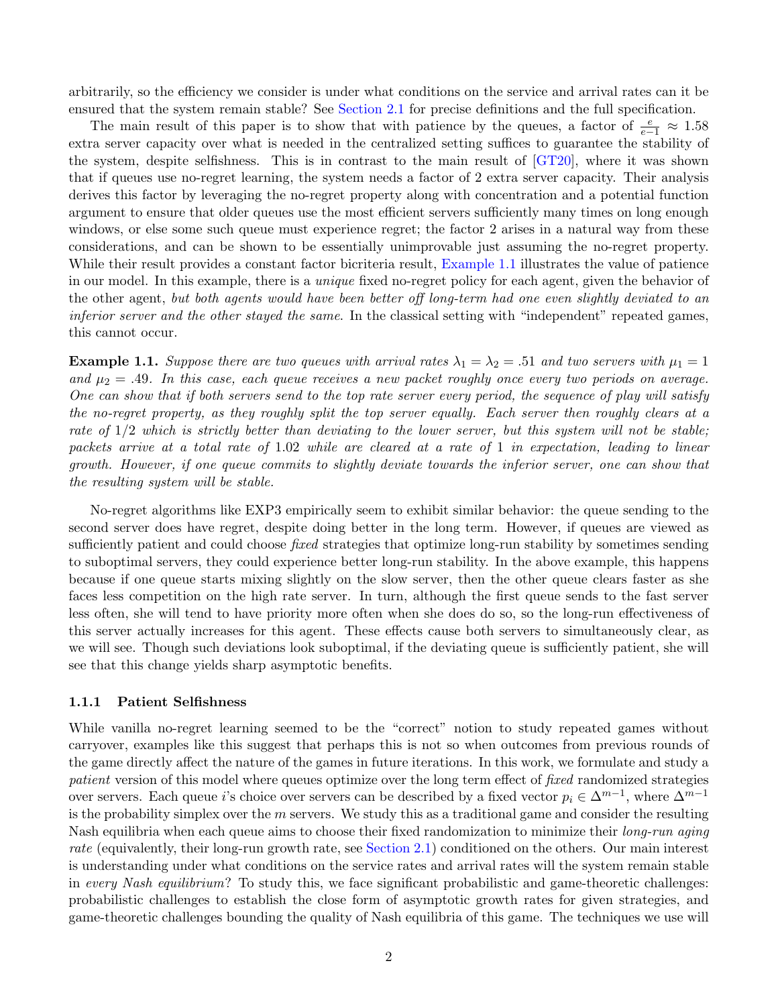arbitrarily, so the efficiency we consider is under what conditions on the service and arrival rates can it be ensured that the system remain stable? See [Section 2.1](#page-5-0) for precise definitions and the full specification.

The main result of this paper is to show that with patience by the queues, a factor of  $\frac{e}{e-1} \approx 1.58$ extra server capacity over what is needed in the centralized setting suffices to guarantee the stability of the system, despite selfishness. This is in contrast to the main result of [\[GT20\]](#page-23-2), where it was shown that if queues use no-regret learning, the system needs a factor of 2 extra server capacity. Their analysis derives this factor by leveraging the no-regret property along with concentration and a potential function argument to ensure that older queues use the most efficient servers sufficiently many times on long enough windows, or else some such queue must experience regret; the factor 2 arises in a natural way from these considerations, and can be shown to be essentially unimprovable just assuming the no-regret property. While their result provides a constant factor bicriteria result, [Example 1.1](#page-2-0) illustrates the value of patience in our model. In this example, there is a unique fixed no-regret policy for each agent, given the behavior of the other agent, but both agents would have been better off long-term had one even slightly deviated to an inferior server and the other stayed the same. In the classical setting with "independent" repeated games, this cannot occur.

<span id="page-2-0"></span>**Example 1.1.** Suppose there are two queues with arrival rates  $\lambda_1 = \lambda_2 = .51$  and two servers with  $\mu_1 = 1$ and  $\mu_2 = .49$ . In this case, each queue receives a new packet roughly once every two periods on average. One can show that if both servers send to the top rate server every period, the sequence of play will satisfy the no-regret property, as they roughly split the top server equally. Each server then roughly clears at a rate of 1/2 which is strictly better than deviating to the lower server, but this system will not be stable; packets arrive at a total rate of 1.02 while are cleared at a rate of 1 in expectation, leading to linear growth. However, if one queue commits to slightly deviate towards the inferior server, one can show that the resulting system will be stable.

No-regret algorithms like EXP3 empirically seem to exhibit similar behavior: the queue sending to the second server does have regret, despite doing better in the long term. However, if queues are viewed as sufficiently patient and could choose *fixed* strategies that optimize long-run stability by sometimes sending to suboptimal servers, they could experience better long-run stability. In the above example, this happens because if one queue starts mixing slightly on the slow server, then the other queue clears faster as she faces less competition on the high rate server. In turn, although the first queue sends to the fast server less often, she will tend to have priority more often when she does do so, so the long-run effectiveness of this server actually increases for this agent. These effects cause both servers to simultaneously clear, as we will see. Though such deviations look suboptimal, if the deviating queue is sufficiently patient, she will see that this change yields sharp asymptotic benefits.

#### 1.1.1 Patient Selfishness

While vanilla no-regret learning seemed to be the "correct" notion to study repeated games without carryover, examples like this suggest that perhaps this is not so when outcomes from previous rounds of the game directly affect the nature of the games in future iterations. In this work, we formulate and study a patient version of this model where queues optimize over the long term effect of fixed randomized strategies over servers. Each queue i's choice over servers can be described by a fixed vector  $p_i \in \Delta^{m-1}$ , where  $\Delta^{m-1}$ is the probability simplex over the  $m$  servers. We study this as a traditional game and consider the resulting Nash equilibria when each queue aims to choose their fixed randomization to minimize their *long-run aging* rate (equivalently, their long-run growth rate, see [Section 2.1\)](#page-5-0) conditioned on the others. Our main interest is understanding under what conditions on the service rates and arrival rates will the system remain stable in every Nash equilibrium? To study this, we face significant probabilistic and game-theoretic challenges: probabilistic challenges to establish the close form of asymptotic growth rates for given strategies, and game-theoretic challenges bounding the quality of Nash equilibria of this game. The techniques we use will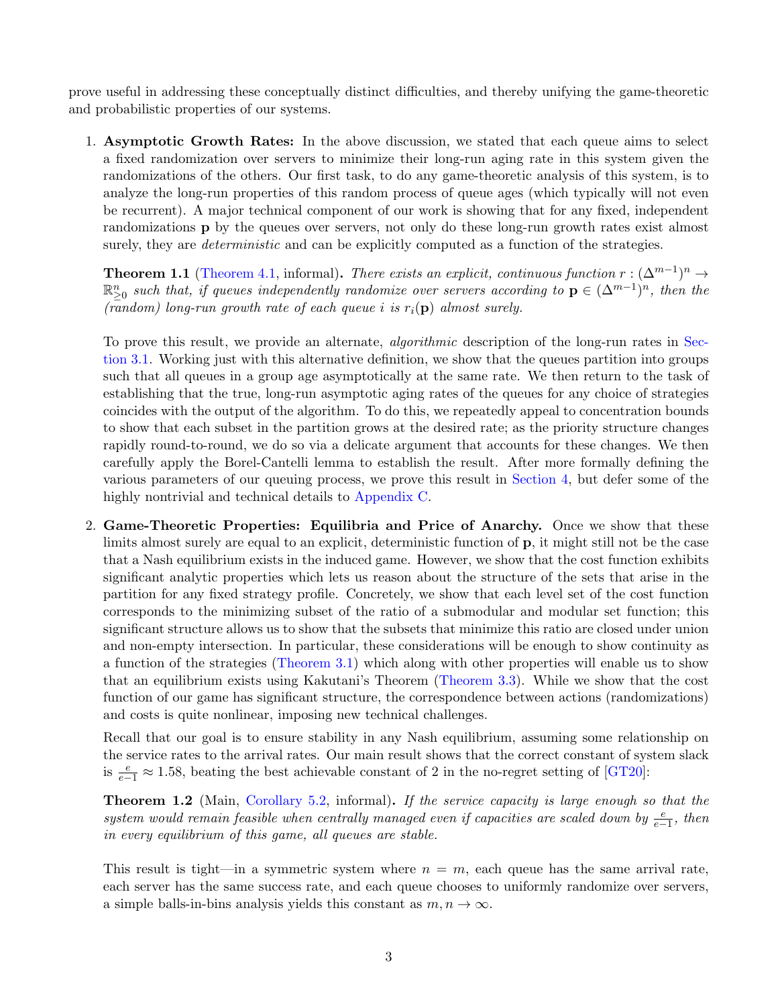prove useful in addressing these conceptually distinct difficulties, and thereby unifying the game-theoretic and probabilistic properties of our systems.

1. Asymptotic Growth Rates: In the above discussion, we stated that each queue aims to select a fixed randomization over servers to minimize their long-run aging rate in this system given the randomizations of the others. Our first task, to do any game-theoretic analysis of this system, is to analyze the long-run properties of this random process of queue ages (which typically will not even be recurrent). A major technical component of our work is showing that for any fixed, independent randomizations **p** by the queues over servers, not only do these long-run growth rates exist almost surely, they are *deterministic* and can be explicitly computed as a function of the strategies.

**Theorem 1.1** [\(Theorem 4.1,](#page-13-0) informal). There exists an explicit, continuous function  $r : (\Delta^{m-1})^n \to$  $\mathbb{R}_{\geq 0}^n$  such that, if queues independently randomize over servers according to  $\mathbf{p} \in (\Delta^{m-1})^n$ , then the (random) long-run growth rate of each queue i is  $r_i(\mathbf{p})$  almost surely.

To prove this result, we provide an alternate, *algorithmic* description of the long-run rates in [Sec](#page-7-0)[tion 3.1.](#page-7-0) Working just with this alternative definition, we show that the queues partition into groups such that all queues in a group age asymptotically at the same rate. We then return to the task of establishing that the true, long-run asymptotic aging rates of the queues for any choice of strategies coincides with the output of the algorithm. To do this, we repeatedly appeal to concentration bounds to show that each subset in the partition grows at the desired rate; as the priority structure changes rapidly round-to-round, we do so via a delicate argument that accounts for these changes. We then carefully apply the Borel-Cantelli lemma to establish the result. After more formally defining the various parameters of our queuing process, we prove this result in [Section 4,](#page-13-1) but defer some of the highly nontrivial and technical details to [Appendix C.](#page-26-0)

2. Game-Theoretic Properties: Equilibria and Price of Anarchy. Once we show that these limits almost surely are equal to an explicit, deterministic function of p, it might still not be the case that a Nash equilibrium exists in the induced game. However, we show that the cost function exhibits significant analytic properties which lets us reason about the structure of the sets that arise in the partition for any fixed strategy profile. Concretely, we show that each level set of the cost function corresponds to the minimizing subset of the ratio of a submodular and modular set function; this significant structure allows us to show that the subsets that minimize this ratio are closed under union and non-empty intersection. In particular, these considerations will be enough to show continuity as a function of the strategies [\(Theorem 3.1\)](#page-10-0) which along with other properties will enable us to show that an equilibrium exists using Kakutani's Theorem [\(Theorem 3.3\)](#page-13-2). While we show that the cost function of our game has significant structure, the correspondence between actions (randomizations) and costs is quite nonlinear, imposing new technical challenges.

Recall that our goal is to ensure stability in any Nash equilibrium, assuming some relationship on the service rates to the arrival rates. Our main result shows that the correct constant of system slack is  $\frac{e}{e-1} \approx 1.58$ , beating the best achievable constant of 2 in the no-regret setting of [\[GT20\]](#page-23-2):

<span id="page-3-0"></span>**Theorem 1.2** (Main, [Corollary 5.2,](#page-19-0) informal). If the service capacity is large enough so that the system would remain feasible when centrally managed even if capacities are scaled down by  $\frac{e}{e-1}$ , then in every equilibrium of this game, all queues are stable.

This result is tight—in a symmetric system where  $n = m$ , each queue has the same arrival rate, each server has the same success rate, and each queue chooses to uniformly randomize over servers, a simple balls-in-bins analysis yields this constant as  $m, n \to \infty$ .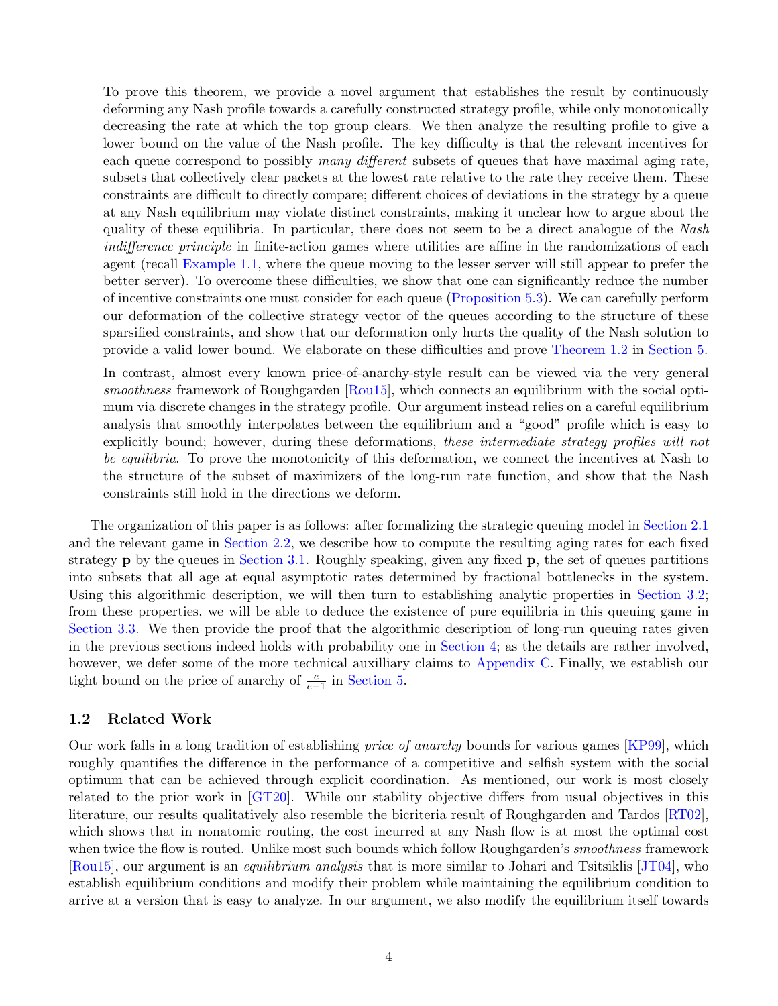To prove this theorem, we provide a novel argument that establishes the result by continuously deforming any Nash profile towards a carefully constructed strategy profile, while only monotonically decreasing the rate at which the top group clears. We then analyze the resulting profile to give a lower bound on the value of the Nash profile. The key difficulty is that the relevant incentives for each queue correspond to possibly many different subsets of queues that have maximal aging rate, subsets that collectively clear packets at the lowest rate relative to the rate they receive them. These constraints are difficult to directly compare; different choices of deviations in the strategy by a queue at any Nash equilibrium may violate distinct constraints, making it unclear how to argue about the quality of these equilibria. In particular, there does not seem to be a direct analogue of the Nash indifference principle in finite-action games where utilities are affine in the randomizations of each agent (recall [Example 1.1,](#page-2-0) where the queue moving to the lesser server will still appear to prefer the better server). To overcome these difficulties, we show that one can significantly reduce the number of incentive constraints one must consider for each queue [\(Proposition 5.3\)](#page-19-1). We can carefully perform our deformation of the collective strategy vector of the queues according to the structure of these sparsified constraints, and show that our deformation only hurts the quality of the Nash solution to provide a valid lower bound. We elaborate on these difficulties and prove [Theorem 1.2](#page-3-0) in [Section 5.](#page-18-0)

In contrast, almost every known price-of-anarchy-style result can be viewed via the very general smoothness framework of Roughgarden [\[Rou15\]](#page-24-0), which connects an equilibrium with the social optimum via discrete changes in the strategy profile. Our argument instead relies on a careful equilibrium analysis that smoothly interpolates between the equilibrium and a "good" profile which is easy to explicitly bound; however, during these deformations, these intermediate strategy profiles will not be equilibria. To prove the monotonicity of this deformation, we connect the incentives at Nash to the structure of the subset of maximizers of the long-run rate function, and show that the Nash constraints still hold in the directions we deform.

The organization of this paper is as follows: after formalizing the strategic queuing model in [Section 2.1](#page-5-0) and the relevant game in [Section 2.2,](#page-6-1) we describe how to compute the resulting aging rates for each fixed strategy  $\bf{p}$  by the queues in [Section 3.1.](#page-7-0) Roughly speaking, given any fixed  $\bf{p}$ , the set of queues partitions into subsets that all age at equal asymptotic rates determined by fractional bottlenecks in the system. Using this algorithmic description, we will then turn to establishing analytic properties in [Section 3.2;](#page-9-0) from these properties, we will be able to deduce the existence of pure equilibria in this queuing game in [Section 3.3.](#page-12-0) We then provide the proof that the algorithmic description of long-run queuing rates given in the previous sections indeed holds with probability one in [Section 4;](#page-13-1) as the details are rather involved, however, we defer some of the more technical auxilliary claims to [Appendix C.](#page-26-0) Finally, we establish our tight bound on the price of anarchy of  $\frac{e}{e-1}$  in [Section 5.](#page-18-0)

## 1.2 Related Work

Our work falls in a long tradition of establishing price of anarchy bounds for various games [\[KP99\]](#page-23-0), which roughly quantifies the difference in the performance of a competitive and selfish system with the social optimum that can be achieved through explicit coordination. As mentioned, our work is most closely related to the prior work in [\[GT20\]](#page-23-2). While our stability objective differs from usual objectives in this literature, our results qualitatively also resemble the bicriteria result of Roughgarden and Tardos [\[RT02\]](#page-24-2), which shows that in nonatomic routing, the cost incurred at any Nash flow is at most the optimal cost when twice the flow is routed. Unlike most such bounds which follow Roughgarden's *smoothness* framework [\[Rou15\]](#page-24-0), our argument is an equilibrium analysis that is more similar to Johari and Tsitsiklis [\[JT04\]](#page-23-3), who establish equilibrium conditions and modify their problem while maintaining the equilibrium condition to arrive at a version that is easy to analyze. In our argument, we also modify the equilibrium itself towards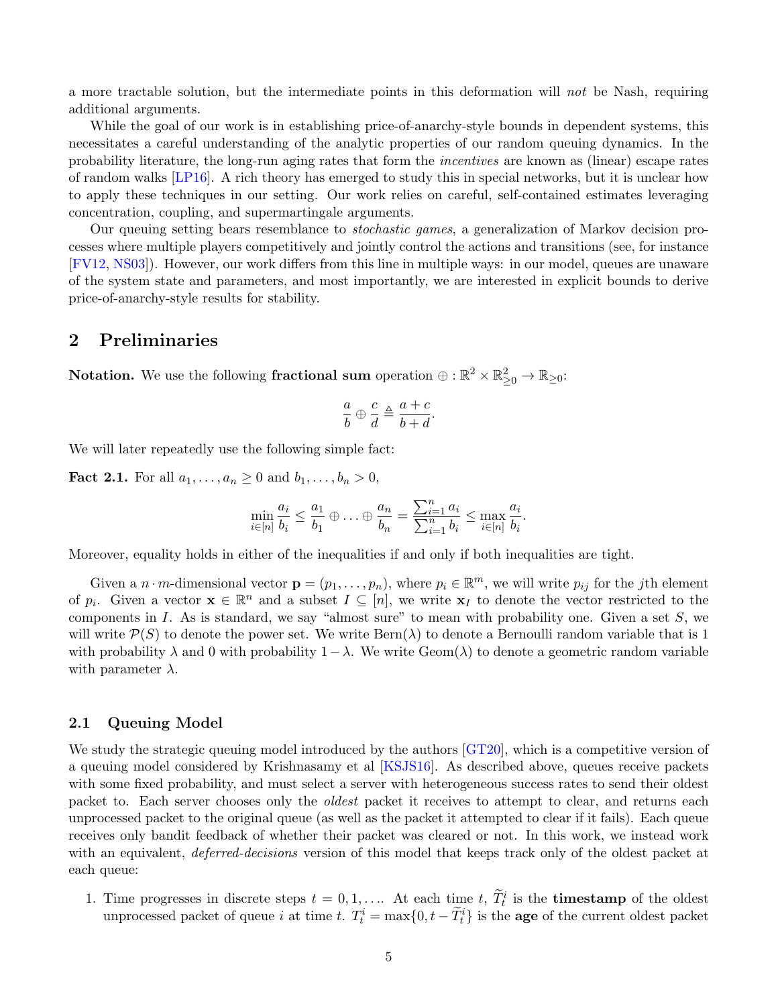a more tractable solution, but the intermediate points in this deformation will not be Nash, requiring additional arguments.

While the goal of our work is in establishing price-of-anarchy-style bounds in dependent systems, this necessitates a careful understanding of the analytic properties of our random queuing dynamics. In the probability literature, the long-run aging rates that form the incentives are known as (linear) escape rates of random walks [\[LP16\]](#page-23-4). A rich theory has emerged to study this in special networks, but it is unclear how to apply these techniques in our setting. Our work relies on careful, self-contained estimates leveraging concentration, coupling, and supermartingale arguments.

Our queuing setting bears resemblance to stochastic games, a generalization of Markov decision processes where multiple players competitively and jointly control the actions and transitions (see, for instance [\[FV12,](#page-23-5) [NS03\]](#page-24-3)). However, our work differs from this line in multiple ways: in our model, queues are unaware of the system state and parameters, and most importantly, we are interested in explicit bounds to derive price-of-anarchy-style results for stability.

## 2 Preliminaries

Notation. We use the following fractional sum operation  $\oplus : \mathbb{R}^2 \times \mathbb{R}^2_{\geq 0} \to \mathbb{R}_{\geq 0}$ :

$$
\frac{a}{b} \oplus \frac{c}{d} \triangleq \frac{a+c}{b+d}.
$$

<span id="page-5-1"></span>We will later repeatedly use the following simple fact:

**Fact 2.1.** For all  $a_1, ..., a_n \ge 0$  and  $b_1, ..., b_n > 0$ ,

$$
\min_{i\in[n]} \frac{a_i}{b_i} \le \frac{a_1}{b_1} \oplus \ldots \oplus \frac{a_n}{b_n} = \frac{\sum_{i=1}^n a_i}{\sum_{i=1}^n b_i} \le \max_{i\in[n]} \frac{a_i}{b_i}.
$$

Moreover, equality holds in either of the inequalities if and only if both inequalities are tight.

Given a  $n \cdot m$ -dimensional vector  $\mathbf{p} = (p_1, \ldots, p_n)$ , where  $p_i \in \mathbb{R}^m$ , we will write  $p_{ij}$  for the *j*th element of  $p_i$ . Given a vector  $\mathbf{x} \in \mathbb{R}^n$  and a subset  $I \subseteq [n]$ , we write  $\mathbf{x}_I$  to denote the vector restricted to the components in I. As is standard, we say "almost sure" to mean with probability one. Given a set  $S$ , we will write  $\mathcal{P}(S)$  to denote the power set. We write  $\text{Bern}(\lambda)$  to denote a Bernoulli random variable that is 1 with probability  $\lambda$  and 0 with probability  $1-\lambda$ . We write Geom( $\lambda$ ) to denote a geometric random variable with parameter  $\lambda$ .

### <span id="page-5-0"></span>2.1 Queuing Model

We study the strategic queuing model introduced by the authors [\[GT20\]](#page-23-2), which is a competitive version of a queuing model considered by Krishnasamy et al [\[KSJS16\]](#page-23-6). As described above, queues receive packets with some fixed probability, and must select a server with heterogeneous success rates to send their oldest packet to. Each server chooses only the oldest packet it receives to attempt to clear, and returns each unprocessed packet to the original queue (as well as the packet it attempted to clear if it fails). Each queue receives only bandit feedback of whether their packet was cleared or not. In this work, we instead work with an equivalent, *deferred-decisions* version of this model that keeps track only of the oldest packet at each queue:

1. Time progresses in discrete steps  $t = 0, 1, \ldots$  At each time  $t, \widetilde{T}_t^i$  is the **timestamp** of the oldest unprocessed packet of queue *i* at time *t*.  $T_t^i = \max\{0, t - \tilde{T}_t^i\}$  is the **age** of the current oldest packet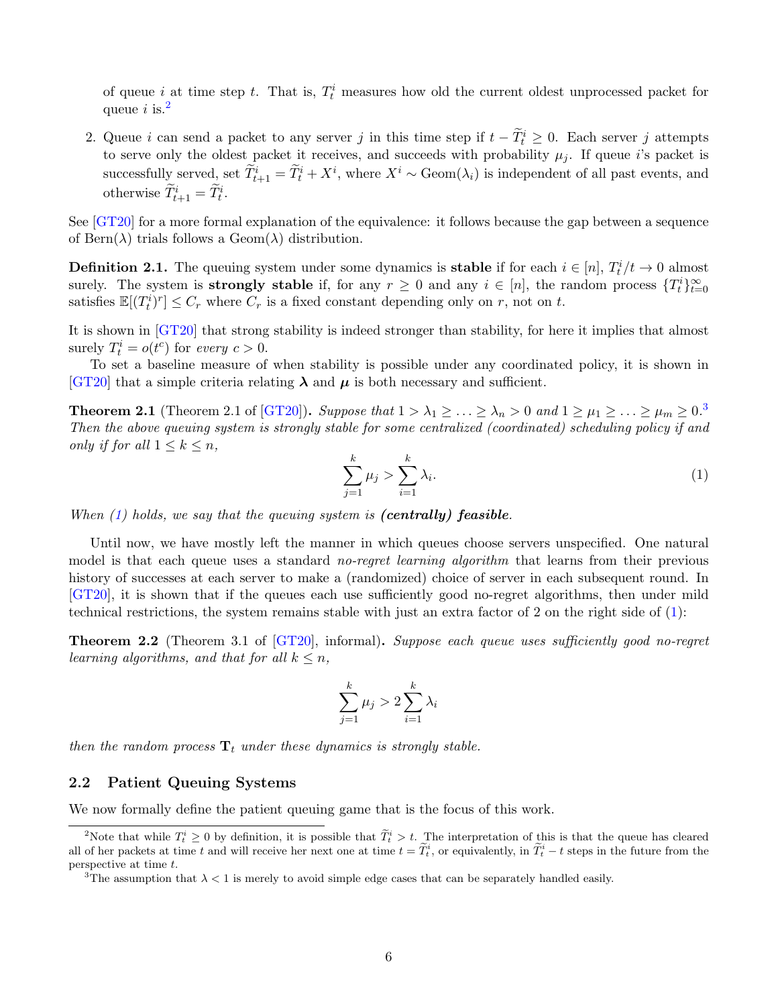of queue *i* at time step *t*. That is,  $T_t^i$  measures how old the current oldest unprocessed packet for queue i is.<sup>[2](#page-6-2)</sup>

2. Queue i can send a packet to any server j in this time step if  $t - \tilde{T}_t^i \geq 0$ . Each server j attempts to serve only the oldest packet it receives, and succeeds with probability  $\mu_i$ . If queue i's packet is successfully served, set  $\widetilde{T}_{t+1}^i = \widetilde{T}_t^i + X^i$ , where  $X^i \sim \text{Geom}(\lambda_i)$  is independent of all past events, and otherwise  $\widetilde{T}_{t+1}^i = \widetilde{T}_t^i$ .

See [\[GT20\]](#page-23-2) for a more formal explanation of the equivalence: it follows because the gap between a sequence of Bern $(\lambda)$  trials follows a Geom $(\lambda)$  distribution.

**Definition 2.1.** The queuing system under some dynamics is **stable** if for each  $i \in [n]$ ,  $T_t^i/t \to 0$  almost surely. The system is **strongly stable** if, for any  $r \geq 0$  and any  $i \in [n]$ , the random process  $\{T_t^i\}_{t=0}^{\infty}$ satisfies  $\mathbb{E}[(T_t^i)^r] \leq C_r$  where  $C_r$  is a fixed constant depending only on r, not on t.

It is shown in [\[GT20\]](#page-23-2) that strong stability is indeed stronger than stability, for here it implies that almost surely  $T_t^i = o(t^c)$  for every  $c > 0$ .

To set a baseline measure of when stability is possible under any coordinated policy, it is shown in [\[GT20\]](#page-23-2) that a simple criteria relating  $\lambda$  and  $\mu$  is both necessary and sufficient.

<span id="page-6-4"></span>**Theorem 2.1** (Theorem 2.1 of [\[GT20\]](#page-23-2)). Suppose that  $1 > \lambda_1 \geq \ldots \geq \lambda_n > 0$  and  $1 \geq \mu_1 \geq \ldots \geq \mu_m \geq 0$ . Then the above queuing system is strongly stable for some centralized (coordinated) scheduling policy if and only if for all  $1 \leq k \leq n$ ,

<span id="page-6-0"></span>
$$
\sum_{j=1}^{k} \mu_j > \sum_{i=1}^{k} \lambda_i.
$$
 (1)

When  $(1)$  holds, we say that the queuing system is (centrally) feasible.

Until now, we have mostly left the manner in which queues choose servers unspecified. One natural model is that each queue uses a standard *no-regret learning algorithm* that learns from their previous history of successes at each server to make a (randomized) choice of server in each subsequent round. In [\[GT20\]](#page-23-2), it is shown that if the queues each use sufficiently good no-regret algorithms, then under mild technical restrictions, the system remains stable with just an extra factor of 2 on the right side of [\(1\)](#page-6-0):

Theorem 2.2 (Theorem 3.1 of [\[GT20\]](#page-23-2), informal). Suppose each queue uses sufficiently good no-regret learning algorithms, and that for all  $k \leq n$ ,

$$
\sum_{j=1}^k \mu_j > 2\sum_{i=1}^k \lambda_i
$$

then the random process  $\mathbf{T}_t$  under these dynamics is strongly stable.

### <span id="page-6-1"></span>2.2 Patient Queuing Systems

We now formally define the patient queuing game that is the focus of this work.

<span id="page-6-2"></span><sup>&</sup>lt;sup>2</sup>Note that while  $T_t^i \geq 0$  by definition, it is possible that  $\widetilde{T}_t^i > t$ . The interpretation of this is that the queue has cleared all of her packets at time t and will receive her next one at time  $t = \tilde{T}_t^i$ , or equivalently, in  $\tilde{T}_t^i - t$  steps in the future from the perspective at time t.

<span id="page-6-3"></span><sup>&</sup>lt;sup>3</sup>The assumption that  $\lambda < 1$  is merely to avoid simple edge cases that can be separately handled easily.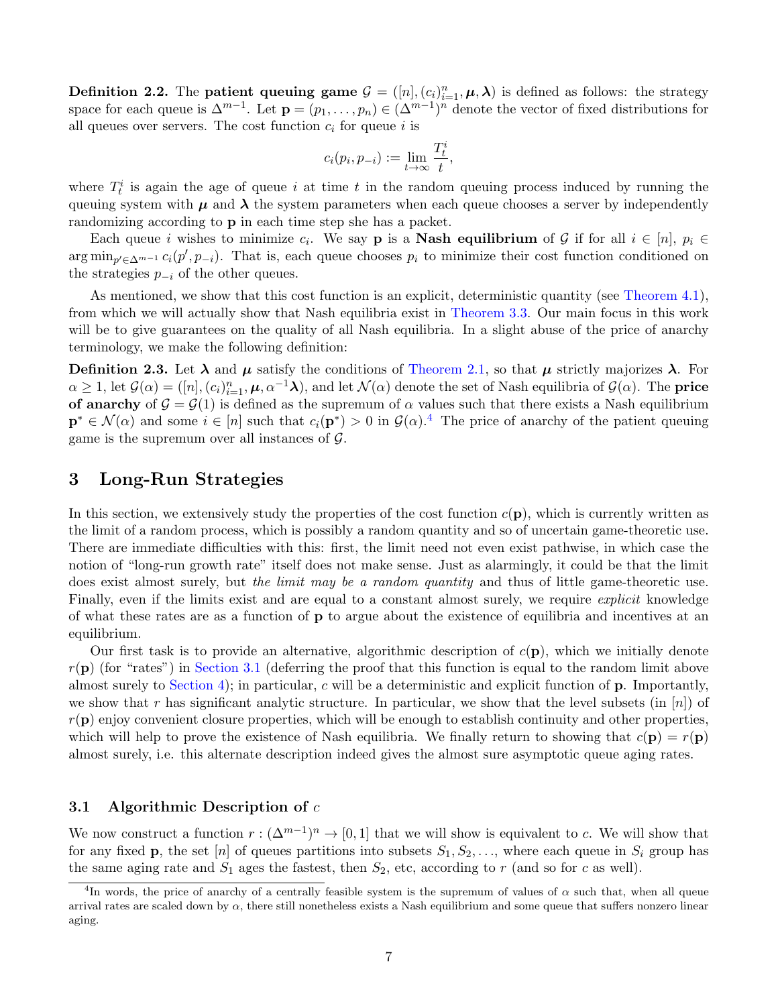**Definition 2.2.** The **patient queuing game**  $G = ([n], (c_i)_{i=1}^n, \mu, \lambda)$  is defined as follows: the strategy space for each queue is  $\Delta^{m-1}$ . Let  $\mathbf{p} = (p_1, \ldots, p_n) \in (\Delta^{m-1})^n$  denote the vector of fixed distributions for all queues over servers. The cost function  $c_i$  for queue i is

$$
c_i(p_i, p_{-i}) := \lim_{t \to \infty} \frac{T_t^i}{t},
$$

where  $T_t^i$  is again the age of queue i at time t in the random queuing process induced by running the queuing system with  $\mu$  and  $\lambda$  the system parameters when each queue chooses a server by independently randomizing according to p in each time step she has a packet.

Each queue *i* wishes to minimize  $c_i$ . We say **p** is a **Nash equilibrium** of G if for all  $i \in [n]$ ,  $p_i \in$  $\arg \min_{p' \in \Delta^{m-1}} c_i(p', p_{-i})$ . That is, each queue chooses  $p_i$  to minimize their cost function conditioned on the strategies  $p_{-i}$  of the other queues.

As mentioned, we show that this cost function is an explicit, deterministic quantity (see [Theorem 4.1\)](#page-13-0), from which we will actually show that Nash equilibria exist in [Theorem 3.3.](#page-13-2) Our main focus in this work will be to give guarantees on the quality of all Nash equilibria. In a slight abuse of the price of anarchy terminology, we make the following definition:

**Definition 2.3.** Let  $\lambda$  and  $\mu$  satisfy the conditions of [Theorem 2.1,](#page-6-4) so that  $\mu$  strictly majorizes  $\lambda$ . For  $\alpha \geq 1$ , let  $\mathcal{G}(\alpha) = ([n], (c_i)_{i=1}^n, \mu, \alpha^{-1}\lambda)$ , and let  $\mathcal{N}(\alpha)$  denote the set of Nash equilibria of  $\mathcal{G}(\alpha)$ . The **price** of anarchy of  $\mathcal{G} = \mathcal{G}(1)$  is defined as the supremum of  $\alpha$  values such that there exists a Nash equilibrium  $\mathbf{p}^* \in \mathcal{N}(\alpha)$  and some  $i \in [n]$  such that  $c_i(\mathbf{p}^*) > 0$  in  $\mathcal{G}(\alpha)$ .<sup>[4](#page-7-1)</sup> The price of anarchy of the patient queuing game is the supremum over all instances of  $\mathcal{G}$ .

## 3 Long-Run Strategies

In this section, we extensively study the properties of the cost function  $c(\mathbf{p})$ , which is currently written as the limit of a random process, which is possibly a random quantity and so of uncertain game-theoretic use. There are immediate difficulties with this: first, the limit need not even exist pathwise, in which case the notion of "long-run growth rate" itself does not make sense. Just as alarmingly, it could be that the limit does exist almost surely, but the limit may be a random quantity and thus of little game-theoretic use. Finally, even if the limits exist and are equal to a constant almost surely, we require *explicit* knowledge of what these rates are as a function of p to argue about the existence of equilibria and incentives at an equilibrium.

Our first task is to provide an alternative, algorithmic description of  $c(\mathbf{p})$ , which we initially denote  $r(\mathbf{p})$  (for "rates") in [Section 3.1](#page-7-0) (deferring the proof that this function is equal to the random limit above almost surely to [Section 4\)](#page-13-1); in particular, c will be a deterministic and explicit function of p. Importantly, we show that r has significant analytic structure. In particular, we show that the level subsets (in  $[n]$ ) of  $r(\mathbf{p})$  enjoy convenient closure properties, which will be enough to establish continuity and other properties, which will help to prove the existence of Nash equilibria. We finally return to showing that  $c(\mathbf{p}) = r(\mathbf{p})$ almost surely, i.e. this alternate description indeed gives the almost sure asymptotic queue aging rates.

## <span id="page-7-0"></span>3.1 Algorithmic Description of  $c$

We now construct a function  $r : (\Delta^{m-1})^n \to [0,1]$  that we will show is equivalent to c. We will show that for any fixed **p**, the set [n] of queues partitions into subsets  $S_1, S_2, \ldots$ , where each queue in  $S_i$  group has the same aging rate and  $S_1$  ages the fastest, then  $S_2$ , etc, according to r (and so for c as well).

<span id="page-7-1"></span><sup>&</sup>lt;sup>4</sup>In words, the price of anarchy of a centrally feasible system is the supremum of values of  $\alpha$  such that, when all queue arrival rates are scaled down by  $\alpha$ , there still nonetheless exists a Nash equilibrium and some queue that suffers nonzero linear aging.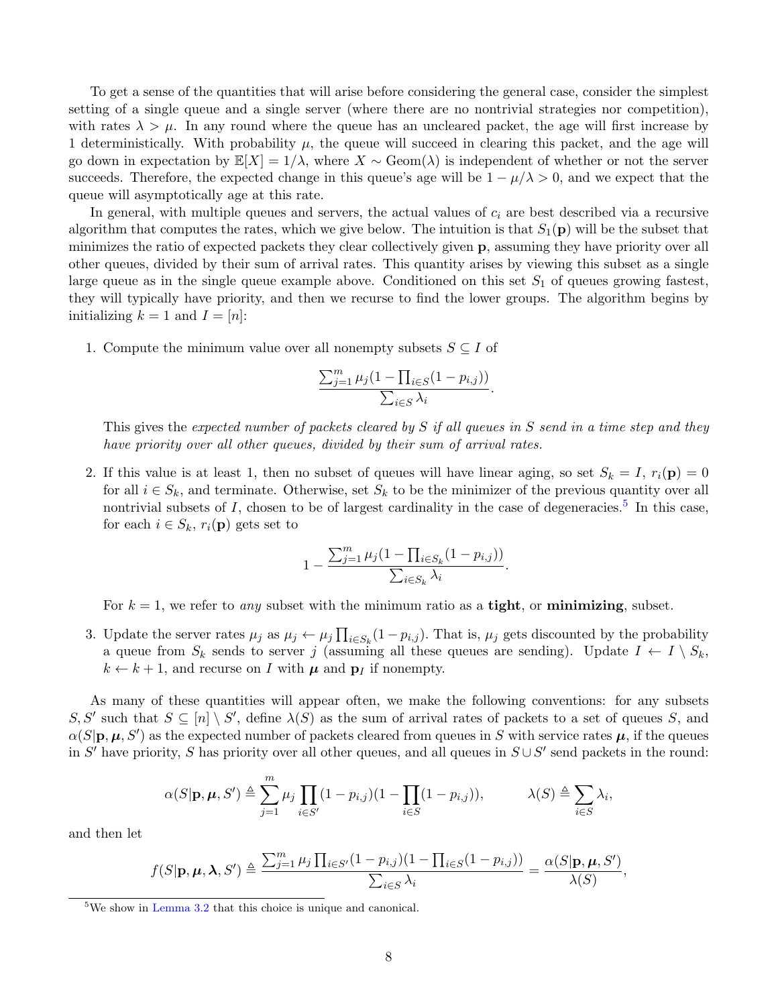To get a sense of the quantities that will arise before considering the general case, consider the simplest setting of a single queue and a single server (where there are no nontrivial strategies nor competition), with rates  $\lambda > \mu$ . In any round where the queue has an uncleared packet, the age will first increase by 1 deterministically. With probability  $\mu$ , the queue will succeed in clearing this packet, and the age will go down in expectation by  $\mathbb{E}[X] = 1/\lambda$ , where  $X \sim \text{Geom}(\lambda)$  is independent of whether or not the server succeeds. Therefore, the expected change in this queue's age will be  $1 - \mu/\lambda > 0$ , and we expect that the queue will asymptotically age at this rate.

In general, with multiple queues and servers, the actual values of  $c_i$  are best described via a recursive algorithm that computes the rates, which we give below. The intuition is that  $S_1(\mathbf{p})$  will be the subset that minimizes the ratio of expected packets they clear collectively given p, assuming they have priority over all other queues, divided by their sum of arrival rates. This quantity arises by viewing this subset as a single large queue as in the single queue example above. Conditioned on this set  $S_1$  of queues growing fastest, they will typically have priority, and then we recurse to find the lower groups. The algorithm begins by initializing  $k = 1$  and  $I = [n]$ :

1. Compute the minimum value over all nonempty subsets  $S \subseteq I$  of

$$
\frac{\sum_{j=1}^m \mu_j (1 - \prod_{i \in S} (1 - p_{i,j}))}{\sum_{i \in S} \lambda_i}.
$$

This gives the expected number of packets cleared by S if all queues in S send in a time step and they have priority over all other queues, divided by their sum of arrival rates.

2. If this value is at least 1, then no subset of queues will have linear aging, so set  $S_k = I$ ,  $r_i(\mathbf{p}) = 0$ for all  $i \in S_k$ , and terminate. Otherwise, set  $S_k$  to be the minimizer of the previous quantity over all nontrivial subsets of  $I$ , chosen to be of largest cardinality in the case of degeneracies.<sup>[5](#page-8-0)</sup> In this case, for each  $i \in S_k$ ,  $r_i(\mathbf{p})$  gets set to

$$
1 - \frac{\sum_{j=1}^{m} \mu_j (1 - \prod_{i \in S_k} (1 - p_{i,j}))}{\sum_{i \in S_k} \lambda_i}.
$$

For  $k = 1$ , we refer to any subset with the minimum ratio as a **tight**, or **minimizing**, subset.

3. Update the server rates  $\mu_j$  as  $\mu_j \leftarrow \mu_j \prod_{i \in S_k} (1 - p_{i,j})$ . That is,  $\mu_j$  gets discounted by the probability a queue from  $S_k$  sends to server j (assuming all these queues are sending). Update  $I \leftarrow I \setminus S_k$ ,  $k \leftarrow k + 1$ , and recurse on I with  $\mu$  and  $p_i$  if nonempty.

As many of these quantities will appear often, we make the following conventions: for any subsets S, S' such that  $S \subseteq [n] \setminus S'$ , define  $\lambda(S)$  as the sum of arrival rates of packets to a set of queues S, and  $\alpha(S|\mathbf{p}, \mu, S')$  as the expected number of packets cleared from queues in S with service rates  $\mu$ , if the queues in S' have priority, S has priority over all other queues, and all queues in  $S \cup S'$  send packets in the round:

$$
\alpha(S|\mathbf{p}, \boldsymbol{\mu}, S') \triangleq \sum_{j=1}^{m} \mu_j \prod_{i \in S'} (1 - p_{i,j})(1 - \prod_{i \in S} (1 - p_{i,j})), \qquad \lambda(S) \triangleq \sum_{i \in S} \lambda_i,
$$

and then let

$$
f(S|\mathbf{p}, \boldsymbol{\mu}, \boldsymbol{\lambda}, S') \triangleq \frac{\sum_{j=1}^{m} \mu_j \prod_{i \in S'} (1 - p_{i,j})(1 - \prod_{i \in S} (1 - p_{i,j}))}{\sum_{i \in S} \lambda_i} = \frac{\alpha(S|\mathbf{p}, \boldsymbol{\mu}, S')}{\lambda(S)},
$$

<span id="page-8-0"></span><sup>5</sup>We show in [Lemma 3.2](#page-9-1) that this choice is unique and canonical.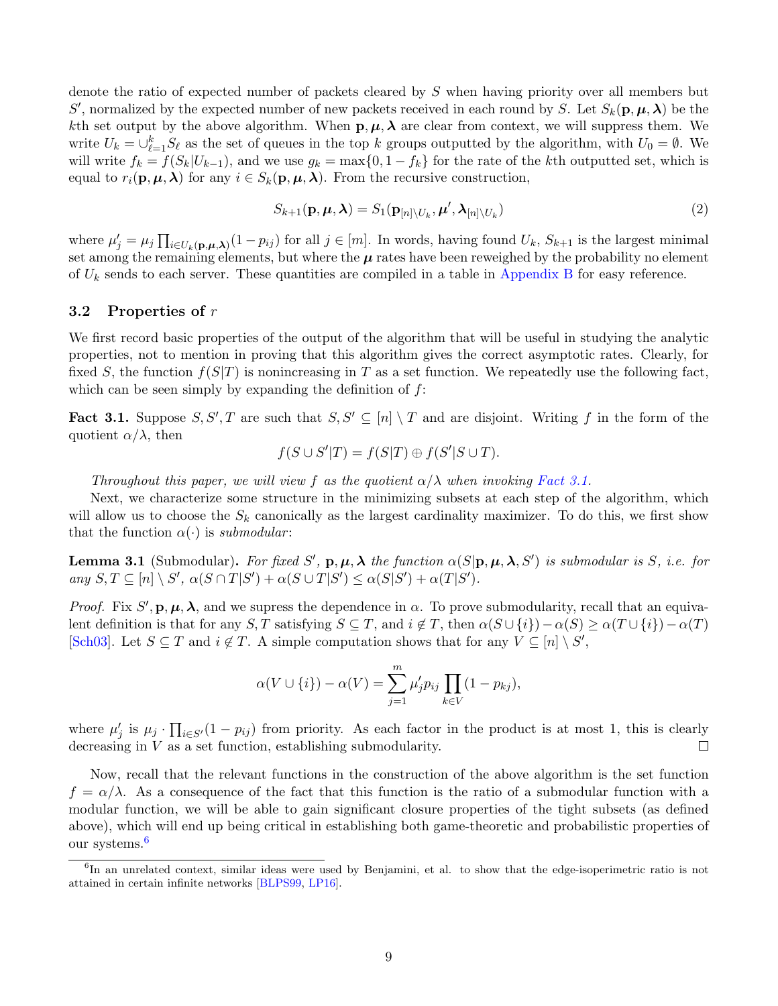denote the ratio of expected number of packets cleared by S when having priority over all members but S', normalized by the expected number of new packets received in each round by S. Let  $S_k(\mathbf{p}, \boldsymbol{\mu}, \boldsymbol{\lambda})$  be the kth set output by the above algorithm. When  $p, \mu, \lambda$  are clear from context, we will suppress them. We write  $U_k = \bigcup_{\ell=1}^k S_\ell$  as the set of queues in the top k groups outputted by the algorithm, with  $U_0 = \emptyset$ . We will write  $f_k = f(S_k | U_{k-1})$ , and we use  $g_k = \max\{0, 1 - f_k\}$  for the rate of the kth outputted set, which is equal to  $r_i(\mathbf{p}, \mu, \lambda)$  for any  $i \in S_k(\mathbf{p}, \mu, \lambda)$ . From the recursive construction,

<span id="page-9-4"></span>
$$
S_{k+1}(\mathbf{p}, \boldsymbol{\mu}, \boldsymbol{\lambda}) = S_1(\mathbf{p}_{[n] \setminus U_k}, \boldsymbol{\mu}', \boldsymbol{\lambda}_{[n] \setminus U_k})
$$
\n(2)

where  $\mu'_j = \mu_j \prod_{i \in U_k(\mathbf{p}, \mu, \lambda)} (1 - p_{ij})$  for all  $j \in [m]$ . In words, having found  $U_k$ ,  $S_{k+1}$  is the largest minimal set among the remaining elements, but where the  $\mu$  rates have been reweighed by the probability no element of  $U_k$  sends to each server. These quantities are compiled in a table in [Appendix B](#page-26-1) for easy reference.

#### <span id="page-9-0"></span>3.2 Properties of r

We first record basic properties of the output of the algorithm that will be useful in studying the analytic properties, not to mention in proving that this algorithm gives the correct asymptotic rates. Clearly, for fixed S, the function  $f(S|T)$  is nonincreasing in T as a set function. We repeatedly use the following fact, which can be seen simply by expanding the definition of  $f$ :

<span id="page-9-2"></span>**Fact 3.1.** Suppose  $S, S', T$  are such that  $S, S' \subseteq [n] \setminus T$  and are disjoint. Writing f in the form of the quotient  $\alpha/\lambda$ , then

$$
f(S \cup S'|T) = f(S|T) \oplus f(S'|S \cup T).
$$

Throughout this paper, we will view f as the quotient  $\alpha/\lambda$  when invoking [Fact 3.1.](#page-9-2)

Next, we characterize some structure in the minimizing subsets at each step of the algorithm, which will allow us to choose the  $S_k$  canonically as the largest cardinality maximizer. To do this, we first show that the function  $\alpha(\cdot)$  is submodular:

<span id="page-9-5"></span>**Lemma 3.1** (Submodular). For fixed S',  $p, \mu, \lambda$  the function  $\alpha(S|p, \mu, \lambda, S')$  is submodular is S, i.e. for any  $S, T \subseteq [n] \setminus S'$ ,  $\alpha(S \cap T | S') + \alpha(S \cup T | S') \leq \alpha(S | S') + \alpha(T | S')$ .

Proof. Fix  $S'$ ,  $\mathbf{p}, \mu, \lambda$ , and we supress the dependence in  $\alpha$ . To prove submodularity, recall that an equivalent definition is that for any  $S, T$  satisfying  $S \subseteq T$ , and  $i \notin T$ , then  $\alpha(S \cup \{i\}) - \alpha(S) \geq \alpha(T \cup \{i\}) - \alpha(T)$ [\[Sch03\]](#page-24-4). Let  $S \subseteq T$  and  $i \notin T$ . A simple computation shows that for any  $V \subseteq [n] \setminus S'$ ,

$$
\alpha(V \cup \{i\}) - \alpha(V) = \sum_{j=1}^{m} \mu'_j p_{ij} \prod_{k \in V} (1 - p_{kj}),
$$

where  $\mu'_j$  is  $\mu_j \cdot \prod_{i \in S'} (1 - p_{ij})$  from priority. As each factor in the product is at most 1, this is clearly decreasing in V as a set function, establishing submodularity.

Now, recall that the relevant functions in the construction of the above algorithm is the set function  $f = \alpha/\lambda$ . As a consequence of the fact that this function is the ratio of a submodular function with a modular function, we will be able to gain significant closure properties of the tight subsets (as defined above), which will end up being critical in establishing both game-theoretic and probabilistic properties of our systems.<sup>[6](#page-9-3)</sup>

<span id="page-9-3"></span><span id="page-9-1"></span><sup>&</sup>lt;sup>6</sup>In an unrelated context, similar ideas were used by Benjamini, et al. to show that the edge-isoperimetric ratio is not attained in certain infinite networks [\[BLPS99,](#page-23-7) [LP16\]](#page-23-4).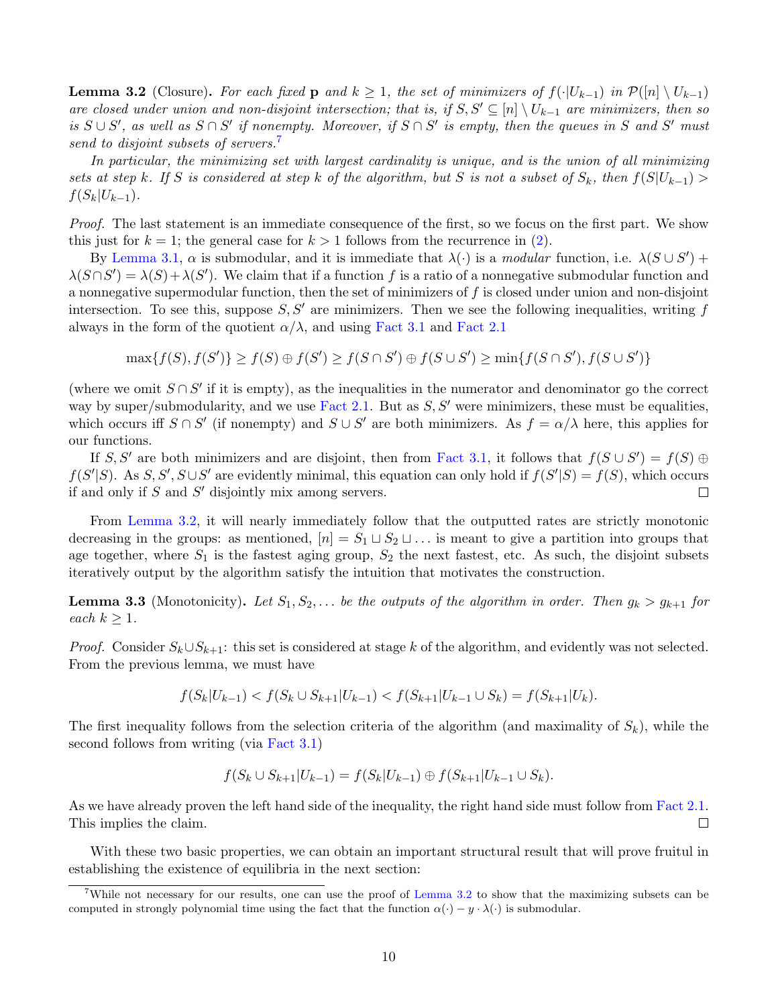**Lemma 3.2** (Closure). For each fixed p and  $k \ge 1$ , the set of minimizers of  $f(\cdot|U_{k-1})$  in  $\mathcal{P}(|n| \setminus U_{k-1})$ are closed under union and non-disjoint intersection; that is, if  $S, S' \subseteq [n] \setminus U_{k-1}$  are minimizers, then so is  $S \cup S'$ , as well as  $S \cap S'$  if nonempty. Moreover, if  $S \cap S'$  is empty, then the queues in S and S' must send to disjoint subsets of servers.<sup>[7](#page-10-1)</sup>

In particular, the minimizing set with largest cardinality is unique, and is the union of all minimizing sets at step k. If S is considered at step k of the algorithm, but S is not a subset of  $S_k$ , then  $f(S|U_{k-1}) >$  $f(S_k|U_{k-1}).$ 

Proof. The last statement is an immediate consequence of the first, so we focus on the first part. We show this just for  $k = 1$ ; the general case for  $k > 1$  follows from the recurrence in [\(2\)](#page-9-4).

By [Lemma 3.1,](#page-9-5)  $\alpha$  is submodular, and it is immediate that  $\lambda(\cdot)$  is a *modular* function, i.e.  $\lambda(S \cup S')$  +  $\lambda(S \cap S') = \lambda(S) + \lambda(S')$ . We claim that if a function f is a ratio of a nonnegative submodular function and a nonnegative supermodular function, then the set of minimizers of  $f$  is closed under union and non-disjoint intersection. To see this, suppose  $S, S'$  are minimizers. Then we see the following inequalities, writing f always in the form of the quotient  $\alpha/\lambda$ , and using [Fact 3.1](#page-9-2) and [Fact 2.1](#page-5-1)

$$
\max\{f(S), f(S')\} \ge f(S) \oplus f(S') \ge f(S \cap S') \oplus f(S \cup S') \ge \min\{f(S \cap S'), f(S \cup S')\}
$$

(where we omit  $S \cap S'$  if it is empty), as the inequalities in the numerator and denominator go the correct way by super/submodularity, and we use [Fact 2.1.](#page-5-1) But as  $S, S'$  were minimizers, these must be equalities, which occurs iff  $S \cap S'$  (if nonempty) and  $S \cup S'$  are both minimizers. As  $f = \alpha/\lambda$  here, this applies for our functions.

If S, S' are both minimizers and are disjoint, then from [Fact 3.1,](#page-9-2) it follows that  $f(S \cup S') = f(S) \oplus$  $f(S'|S)$ . As  $S, S', S \cup S'$  are evidently minimal, this equation can only hold if  $f(S'|S) = f(S)$ , which occurs if and only if  $S$  and  $S'$  disjointly mix among servers.  $\Box$ 

From [Lemma 3.2,](#page-9-1) it will nearly immediately follow that the outputted rates are strictly monotonic decreasing in the groups: as mentioned,  $[n] = S_1 \sqcup S_2 \sqcup \dots$  is meant to give a partition into groups that age together, where  $S_1$  is the fastest aging group,  $S_2$  the next fastest, etc. As such, the disjoint subsets iteratively output by the algorithm satisfy the intuition that motivates the construction.

<span id="page-10-2"></span>**Lemma 3.3** (Monotonicity). Let  $S_1, S_2, \ldots$  be the outputs of the algorithm in order. Then  $g_k > g_{k+1}$  for each  $k \geq 1$ .

*Proof.* Consider  $S_k \cup S_{k+1}$ : this set is considered at stage k of the algorithm, and evidently was not selected. From the previous lemma, we must have

$$
f(S_k|U_{k-1}) < f(S_k \cup S_{k+1}|U_{k-1}) < f(S_{k+1}|U_{k-1} \cup S_k) = f(S_{k+1}|U_k).
$$

The first inequality follows from the selection criteria of the algorithm (and maximality of  $S_k$ ), while the second follows from writing (via [Fact 3.1\)](#page-9-2)

$$
f(S_k \cup S_{k+1} | U_{k-1}) = f(S_k | U_{k-1}) \oplus f(S_{k+1} | U_{k-1} \cup S_k).
$$

As we have already proven the left hand side of the inequality, the right hand side must follow from [Fact 2.1.](#page-5-1) This implies the claim.  $\Box$ 

With these two basic properties, we can obtain an important structural result that will prove fruitul in establishing the existence of equilibria in the next section:

<span id="page-10-1"></span><span id="page-10-0"></span><sup>&</sup>lt;sup>7</sup>While not necessary for our results, one can use the proof of [Lemma 3.2](#page-9-1) to show that the maximizing subsets can be computed in strongly polynomial time using the fact that the function  $\alpha(\cdot) - y \cdot \lambda(\cdot)$  is submodular.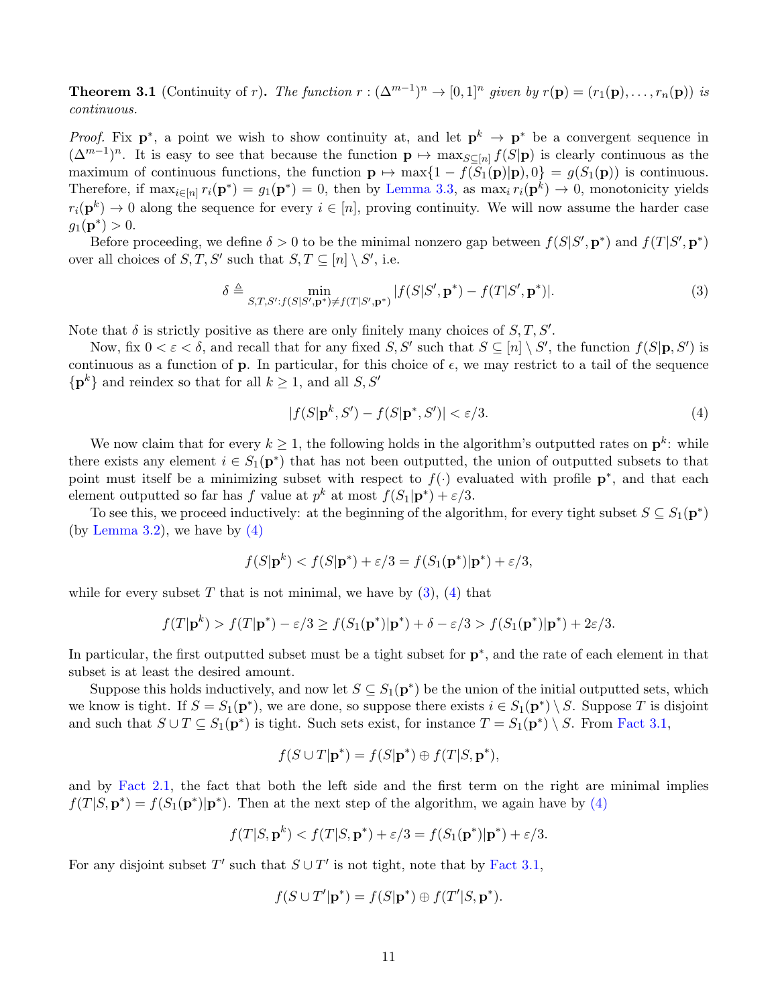**Theorem 3.1** (Continuity of r). The function  $r : (\Delta^{m-1})^n \to [0,1]^n$  given by  $r(\mathbf{p}) = (r_1(\mathbf{p}), \ldots, r_n(\mathbf{p}))$  is continuous.

*Proof.* Fix  $p^*$ , a point we wish to show continuity at, and let  $p^k \to p^*$  be a convergent sequence in  $(\Delta^{m-1})^n$ . It is easy to see that because the function  $\mathbf{p} \mapsto \max_{S \subseteq [n]} f(S|\mathbf{p})$  is clearly continuous as the maximum of continuous functions, the function  $\mathbf{p} \mapsto \max\{1 - f(\hat{S}_1(\mathbf{p})|\mathbf{p}), 0\} = g(S_1(\mathbf{p}))$  is continuous. Therefore, if  $\max_{i \in [n]} r_i(\mathbf{p}^*) = g_1(\mathbf{p}^*) = 0$ , then by [Lemma 3.3,](#page-10-2) as  $\max_i r_i(\mathbf{p}^k) \to 0$ , monotonicity yields  $r_i(\mathbf{p}^k) \to 0$  along the sequence for every  $i \in [n]$ , proving continuity. We will now assume the harder case  $g_1(\mathbf{p}^*) > 0.$ 

Before proceeding, we define  $\delta > 0$  to be the minimal nonzero gap between  $f(S|S', \mathbf{p}^*)$  and  $f(T|S', \mathbf{p}^*)$ over all choices of  $S, T, S'$  such that  $S, T \subseteq [n] \setminus S'$ , i.e.

<span id="page-11-1"></span>
$$
\delta \triangleq \min_{S,T,S':f(S|S',\mathbf{p}^*)\neq f(T|S',\mathbf{p}^*)} |f(S|S',\mathbf{p}^*) - f(T|S',\mathbf{p}^*)|.
$$
\n(3)

Note that  $\delta$  is strictly positive as there are only finitely many choices of  $S, T, S'$ .

Now, fix  $0 < \varepsilon < \delta$ , and recall that for any fixed  $S, S'$  such that  $S \subseteq [n] \setminus S'$ , the function  $f(S|\mathbf{p}, S')$  is continuous as a function of **p**. In particular, for this choice of  $\epsilon$ , we may restrict to a tail of the sequence  $\{p^k\}$  and reindex so that for all  $k \geq 1$ , and all  $S, S'$ 

<span id="page-11-0"></span>
$$
|f(S|\mathbf{p}^k, S') - f(S|\mathbf{p}^*, S')| < \varepsilon/3. \tag{4}
$$

We now claim that for every  $k \geq 1$ , the following holds in the algorithm's outputted rates on  $\mathbf{p}^k$ : while there exists any element  $i \in S_1(\mathbf{p}^*)$  that has not been outputted, the union of outputted subsets to that point must itself be a minimizing subset with respect to  $f(\cdot)$  evaluated with profile  $p^*$ , and that each element outputted so far has f value at  $p^k$  at most  $f(S_1|\mathbf{p}^*) + \varepsilon/3$ .

To see this, we proceed inductively: at the beginning of the algorithm, for every tight subset  $S \subseteq S_1(\mathbf{p}^*)$ (by [Lemma 3.2\)](#page-9-1), we have by  $(4)$ 

$$
f(S|\mathbf{p}^k) < f(S|\mathbf{p}^*) + \varepsilon/3 = f(S_1(\mathbf{p}^*)|\mathbf{p}^*) + \varepsilon/3,
$$

while for every subset T that is not minimal, we have by  $(3)$ ,  $(4)$  that

$$
f(T|\mathbf{p}^k) > f(T|\mathbf{p}^*) - \varepsilon/3 \ge f(S_1(\mathbf{p}^*)|\mathbf{p}^*) + \delta - \varepsilon/3 > f(S_1(\mathbf{p}^*)|\mathbf{p}^*) + 2\varepsilon/3.
$$

In particular, the first outputted subset must be a tight subset for  $p^*$ , and the rate of each element in that subset is at least the desired amount.

Suppose this holds inductively, and now let  $S \subseteq S_1(\mathbf{p}^*)$  be the union of the initial outputted sets, which we know is tight. If  $S = S_1(\mathbf{p}^*)$ , we are done, so suppose there exists  $i \in S_1(\mathbf{p}^*) \setminus S$ . Suppose T is disjoint and such that  $S \cup T \subseteq S_1(\mathbf{p}^*)$  is tight. Such sets exist, for instance  $T = S_1(\mathbf{p}^*) \setminus S$ . From [Fact 3.1,](#page-9-2)

$$
f(S \cup T | \mathbf{p}^*) = f(S | \mathbf{p}^*) \oplus f(T | S, \mathbf{p}^*),
$$

and by [Fact 2.1,](#page-5-1) the fact that both the left side and the first term on the right are minimal implies  $f(T|S, \mathbf{p}^*) = f(S_1(\mathbf{p}^*)|\mathbf{p}^*)$ . Then at the next step of the algorithm, we again have by [\(4\)](#page-11-0)

$$
f(T|S, \mathbf{p}^k) < f(T|S, \mathbf{p}^*) + \varepsilon/3 = f(S_1(\mathbf{p}^*)|\mathbf{p}^*) + \varepsilon/3.
$$

For any disjoint subset T' such that  $S \cup T'$  is not tight, note that by [Fact 3.1,](#page-9-2)

$$
f(S \cup T'|\mathbf{p}^*) = f(S|\mathbf{p}^*) \oplus f(T'|S, \mathbf{p}^*).
$$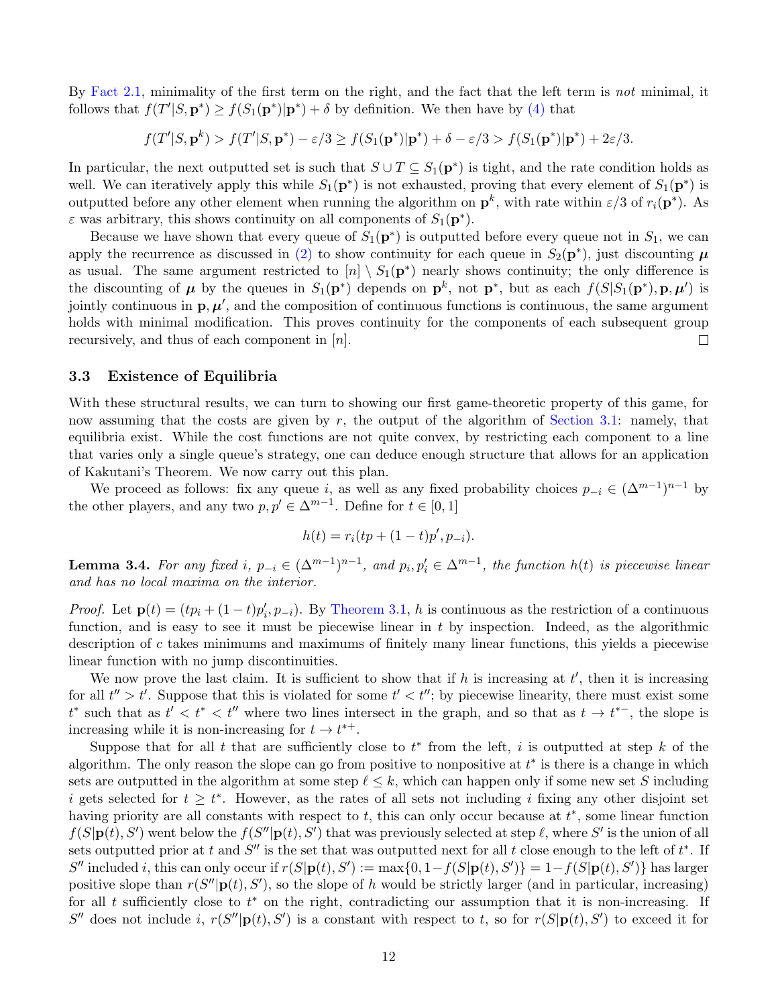By [Fact 2.1,](#page-5-1) minimality of the first term on the right, and the fact that the left term is not minimal, it follows that  $f(T'|S, \mathbf{p}^*) \ge f(S_1(\mathbf{p}^*)|\mathbf{p}^*) + \delta$  by definition. We then have by [\(4\)](#page-11-0) that

 $f(T'|S, \mathbf{p}^k) > f(T'|S, \mathbf{p}^*) - \varepsilon/3 \ge f(S_1(\mathbf{p}^*)|\mathbf{p}^*) + \delta - \varepsilon/3 > f(S_1(\mathbf{p}^*)|\mathbf{p}^*) + 2\varepsilon/3.$ 

In particular, the next outputted set is such that  $S \cup T \subseteq S_1(p^*)$  is tight, and the rate condition holds as well. We can iteratively apply this while  $S_1(\mathbf{p}^*)$  is not exhausted, proving that every element of  $S_1(\mathbf{p}^*)$  is outputted before any other element when running the algorithm on  $\mathbf{p}^k$ , with rate within  $\varepsilon/3$  of  $r_i(\mathbf{p}^*)$ . As  $\varepsilon$  was arbitrary, this shows continuity on all components of  $S_1(\mathbf{p}^*)$ .

Because we have shown that every queue of  $S_1(\mathbf{p}^*)$  is outputted before every queue not in  $S_1$ , we can apply the recurrence as discussed in [\(2\)](#page-9-4) to show continuity for each queue in  $S_2(\mathbf{p}^*)$ , just discounting  $\mu$ as usual. The same argument restricted to  $[n] \setminus S_1(p^*)$  nearly shows continuity; the only difference is the discounting of  $\mu$  by the queues in  $S_1(p^*)$  depends on  $p^k$ , not  $p^*$ , but as each  $f(S|S_1(p^*), p, \mu')$  is jointly continuous in  $\mathbf{p}, \mu'$ , and the composition of continuous functions is continuous, the same argument holds with minimal modification. This proves continuity for the components of each subsequent group recursively, and thus of each component in  $[n]$ .  $\Box$ 

#### <span id="page-12-0"></span>3.3 Existence of Equilibria

With these structural results, we can turn to showing our first game-theoretic property of this game, for now assuming that the costs are given by r, the output of the algorithm of [Section 3.1:](#page-7-0) namely, that equilibria exist. While the cost functions are not quite convex, by restricting each component to a line that varies only a single queue's strategy, one can deduce enough structure that allows for an application of Kakutani's Theorem. We now carry out this plan.

We proceed as follows: fix any queue i, as well as any fixed probability choices  $p_{-i} \in (\Delta^{m-1})^{n-1}$  by the other players, and any two  $p, p' \in \Delta^{m-1}$ . Define for  $t \in [0, 1]$ 

$$
h(t) = r_i(tp + (1-t)p', p_{-i}).
$$

**Lemma 3.4.** For any fixed i,  $p_{-i} \in (\Delta^{m-1})^{n-1}$ , and  $p_i, p'_i \in \Delta^{m-1}$ , the function  $h(t)$  is piecewise linear and has no local maxima on the interior.

*Proof.* Let  $\mathbf{p}(t) = (tp_i + (1-t)p'_i, p_{-i})$ . By [Theorem 3.1,](#page-10-0) h is continuous as the restriction of a continuous function, and is easy to see it must be piecewise linear in  $t$  by inspection. Indeed, as the algorithmic description of c takes minimums and maximums of finitely many linear functions, this yields a piecewise linear function with no jump discontinuities.

We now prove the last claim. It is sufficient to show that if h is increasing at  $t'$ , then it is increasing for all  $t'' > t'$ . Suppose that this is violated for some  $t' < t''$ ; by piecewise linearity, there must exist some  $t^*$  such that as  $t' < t^* < t''$  where two lines intersect in the graph, and so that as  $t \to t^{*-}$ , the slope is increasing while it is non-increasing for  $t \to t^{*+}$ .

Suppose that for all t that are sufficiently close to  $t^*$  from the left, i is outputted at step k of the algorithm. The only reason the slope can go from positive to nonpositive at  $t^*$  is there is a change in which sets are outputted in the algorithm at some step  $\ell \leq k$ , which can happen only if some new set S including i gets selected for  $t \geq t^*$ . However, as the rates of all sets not including i fixing any other disjoint set having priority are all constants with respect to  $t$ , this can only occur because at  $t^*$ , some linear function  $f(S|\mathbf{p}(t), S')$  went below the  $f(S''|\mathbf{p}(t), S')$  that was previously selected at step  $\ell$ , where  $S'$  is the union of all sets outputted prior at t and  $S''$  is the set that was outputted next for all t close enough to the left of  $t^*$ . If S'' included i, this can only occur if  $r(S|\mathbf{p}(t), S') := \max\{0, 1 - f(S|\mathbf{p}(t), S')\} = 1 - f(S|\mathbf{p}(t), S')\}$  has larger positive slope than  $r(S''|p(t), S')$ , so the slope of h would be strictly larger (and in particular, increasing) for all t sufficiently close to  $t^*$  on the right, contradicting our assumption that it is non-increasing. If S'' does not include i,  $r(S''|\mathbf{p}(t), S')$  is a constant with respect to t, so for  $r(S|\mathbf{p}(t), S')$  to exceed it for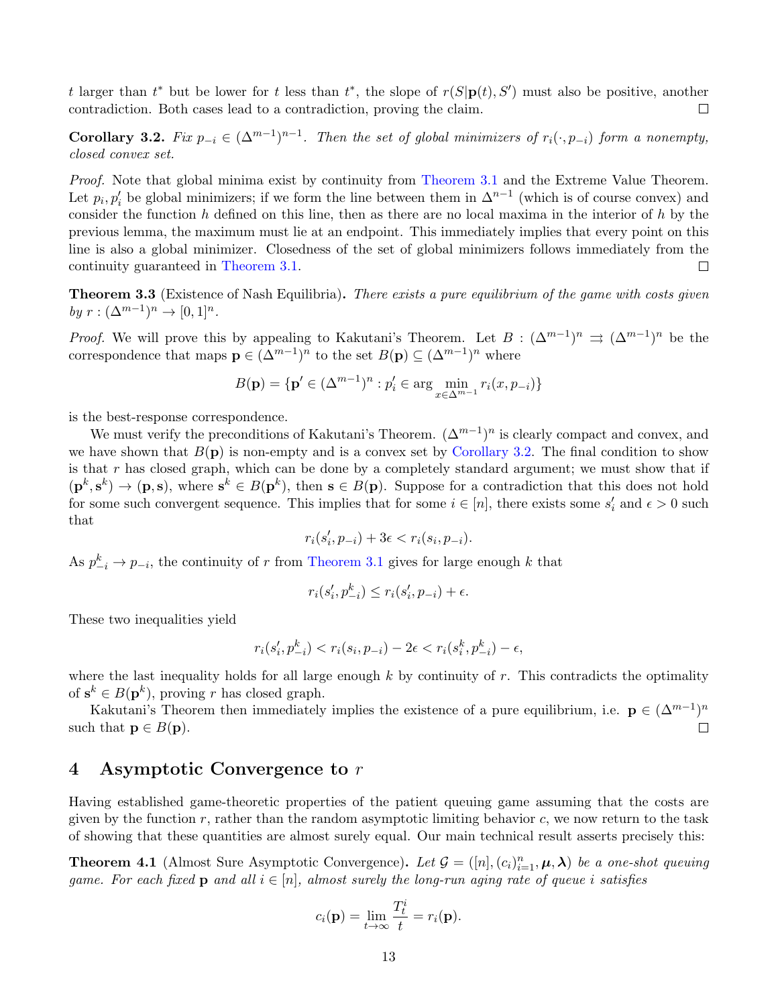t larger than  $t^*$  but be lower for t less than  $t^*$ , the slope of  $r(S|p(t), S')$  must also be positive, another contradiction. Both cases lead to a contradiction, proving the claim.  $\Box$ 

<span id="page-13-3"></span>Corollary 3.2. Fix  $p_{-i} \in (\Delta^{m-1})^{n-1}$ . Then the set of global minimizers of  $r_i(\cdot, p_{-i})$  form a nonempty, closed convex set.

Proof. Note that global minima exist by continuity from [Theorem 3.1](#page-10-0) and the Extreme Value Theorem. Let  $p_i, p'_i$  be global minimizers; if we form the line between them in  $\Delta^{n-1}$  (which is of course convex) and consider the function h defined on this line, then as there are no local maxima in the interior of h by the previous lemma, the maximum must lie at an endpoint. This immediately implies that every point on this line is also a global minimizer. Closedness of the set of global minimizers follows immediately from the continuity guaranteed in [Theorem 3.1.](#page-10-0)  $\Box$ 

<span id="page-13-2"></span>**Theorem 3.3** (Existence of Nash Equilibria). There exists a pure equilibrium of the game with costs given by  $r: (\Delta^{m-1})^n \to [0,1]^n$ .

*Proof.* We will prove this by appealing to Kakutani's Theorem. Let  $B: (\Delta^{m-1})^n \Rightarrow (\Delta^{m-1})^n$  be the correspondence that maps  $\mathbf{p} \in (\Delta^{m-1})^n$  to the set  $B(\mathbf{p}) \subseteq (\Delta^{m-1})^n$  where

$$
B(\mathbf{p}) = \{ \mathbf{p}' \in (\Delta^{m-1})^n : p'_i \in \arg \min_{x \in \Delta^{m-1}} r_i(x, p_{-i}) \}
$$

is the best-response correspondence.

We must verify the preconditions of Kakutani's Theorem.  $(\Delta^{m-1})^n$  is clearly compact and convex, and we have shown that  $B(p)$  is non-empty and is a convex set by [Corollary 3.2.](#page-13-3) The final condition to show is that r has closed graph, which can be done by a completely standard argument; we must show that if  $(\mathbf{p}^k, \mathbf{s}^k) \to (\mathbf{p}, \mathbf{s})$ , where  $\mathbf{s}^k \in B(\mathbf{p}^k)$ , then  $\mathbf{s} \in B(\mathbf{p})$ . Suppose for a contradiction that this does not hold for some such convergent sequence. This implies that for some  $i \in [n]$ , there exists some  $s'_i$  and  $\epsilon > 0$  such that

$$
r_i(s'_i,p_{-i})+3\epsilon < r_i(s_i,p_{-i}).
$$

As  $p_{-i}^k \to p_{-i}$ , the continuity of r from [Theorem 3.1](#page-10-0) gives for large enough k that

$$
r_i(s'_i, p_{-i}^k) \le r_i(s'_i, p_{-i}) + \epsilon.
$$

These two inequalities yield

$$
r_i(s'_i, p_{-i}^k) < r_i(s_i, p_{-i}) - 2\epsilon < r_i(s_i^k, p_{-i}^k) - \epsilon,
$$

where the last inequality holds for all large enough  $k$  by continuity of  $r$ . This contradicts the optimality of  $s^k \in B(\mathbf{p}^k)$ , proving r has closed graph.

Kakutani's Theorem then immediately implies the existence of a pure equilibrium, i.e.  $\mathbf{p} \in (\Delta^{m-1})^n$ such that  $\mathbf{p} \in B(\mathbf{p}).$  $\Box$ 

# <span id="page-13-1"></span>4 Asymptotic Convergence to r

Having established game-theoretic properties of the patient queuing game assuming that the costs are given by the function r, rather than the random asymptotic limiting behavior c, we now return to the task of showing that these quantities are almost surely equal. Our main technical result asserts precisely this:

<span id="page-13-0"></span>**Theorem 4.1** (Almost Sure Asymptotic Convergence). Let  $\mathcal{G} = ([n], (c_i)_{i=1}^n, \mu, \lambda)$  be a one-shot queuing game. For each fixed **p** and all  $i \in [n]$ , almost surely the long-run aging rate of queue i satisfies

$$
c_i(\mathbf{p}) = \lim_{t \to \infty} \frac{T_t^i}{t} = r_i(\mathbf{p}).
$$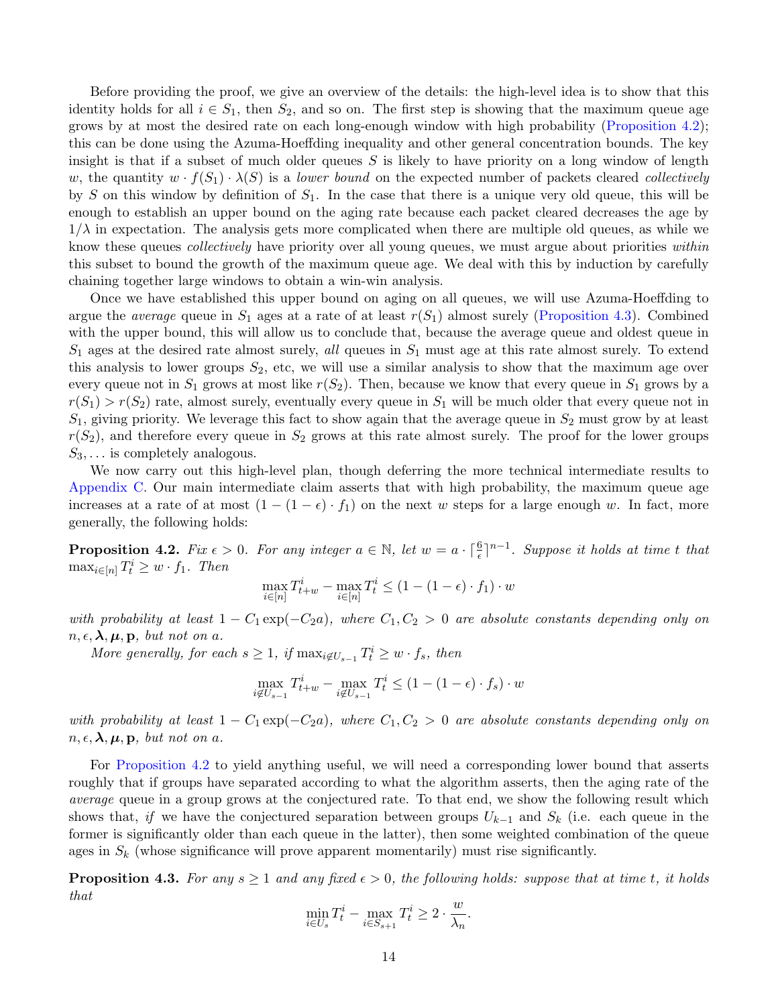Before providing the proof, we give an overview of the details: the high-level idea is to show that this identity holds for all  $i \in S_1$ , then  $S_2$ , and so on. The first step is showing that the maximum queue age grows by at most the desired rate on each long-enough window with high probability [\(Proposition 4.2\)](#page-14-0); this can be done using the Azuma-Hoeffding inequality and other general concentration bounds. The key insight is that if a subset of much older queues  $S$  is likely to have priority on a long window of length w, the quantity  $w \cdot f(S_1) \cdot \lambda(S)$  is a lower bound on the expected number of packets cleared collectively by S on this window by definition of  $S_1$ . In the case that there is a unique very old queue, this will be enough to establish an upper bound on the aging rate because each packet cleared decreases the age by  $1/\lambda$  in expectation. The analysis gets more complicated when there are multiple old queues, as while we know these queues *collectively* have priority over all young queues, we must argue about priorities *within* this subset to bound the growth of the maximum queue age. We deal with this by induction by carefully chaining together large windows to obtain a win-win analysis.

Once we have established this upper bound on aging on all queues, we will use Azuma-Hoeffding to argue the *average* queue in  $S_1$  ages at a rate of at least  $r(S_1)$  almost surely [\(Proposition 4.3\)](#page-14-1). Combined with the upper bound, this will allow us to conclude that, because the average queue and oldest queue in  $S_1$  ages at the desired rate almost surely, all queues in  $S_1$  must age at this rate almost surely. To extend this analysis to lower groups  $S_2$ , etc, we will use a similar analysis to show that the maximum age over every queue not in  $S_1$  grows at most like  $r(S_2)$ . Then, because we know that every queue in  $S_1$  grows by a  $r(S_1) > r(S_2)$  rate, almost surely, eventually every queue in  $S_1$  will be much older that every queue not in  $S_1$ , giving priority. We leverage this fact to show again that the average queue in  $S_2$  must grow by at least  $r(S_2)$ , and therefore every queue in  $S_2$  grows at this rate almost surely. The proof for the lower groups  $S_3, \ldots$  is completely analogous.

We now carry out this high-level plan, though deferring the more technical intermediate results to [Appendix C.](#page-26-0) Our main intermediate claim asserts that with high probability, the maximum queue age increases at a rate of at most  $(1 - (1 - \epsilon) \cdot f_1)$  on the next w steps for a large enough w. In fact, more generally, the following holds:

<span id="page-14-0"></span>**Proposition 4.2.** Fix  $\epsilon > 0$ . For any integer  $a \in \mathbb{N}$ , let  $w = a \cdot \lceil \frac{6}{\epsilon} \rceil^{n-1}$ . Suppose it holds at time t that  $\max_{i \in [n]} T_t^i \geq w \cdot f_1$ . Then

$$
\max_{i \in [n]} T_{t+w}^i - \max_{i \in [n]} T_t^i \le (1 - (1 - \epsilon) \cdot f_1) \cdot w
$$

with probability at least  $1 - C_1 \exp(-C_2 a)$ , where  $C_1, C_2 > 0$  are absolute constants depending only on  $n, \epsilon, \lambda, \mu, \mathbf{p}$ , but not on a.

More generally, for each  $s \geq 1$ , if  $\max_{i \notin U_{s-1}} T_t^i \geq w \cdot f_s$ , then

$$
\max_{i \notin U_{s-1}} T_{t+w}^i - \max_{i \notin U_{s-1}} T_t^i \le (1 - (1 - \epsilon) \cdot f_s) \cdot w
$$

with probability at least  $1 - C_1 \exp(-C_2 a)$ , where  $C_1, C_2 > 0$  are absolute constants depending only on  $n, \epsilon, \lambda, \mu, \mathbf{p}$ , but not on a.

For [Proposition 4.2](#page-14-0) to yield anything useful, we will need a corresponding lower bound that asserts roughly that if groups have separated according to what the algorithm asserts, then the aging rate of the average queue in a group grows at the conjectured rate. To that end, we show the following result which shows that, if we have the conjectured separation between groups  $U_{k-1}$  and  $S_k$  (i.e. each queue in the former is significantly older than each queue in the latter), then some weighted combination of the queue ages in  $S_k$  (whose significance will prove apparent momentarily) must rise significantly.

<span id="page-14-1"></span>**Proposition 4.3.** For any  $s \ge 1$  and any fixed  $\epsilon > 0$ , the following holds: suppose that at time t, it holds that

$$
\min_{i \in U_s} T_t^i - \max_{i \in S_{s+1}} T_t^i \ge 2 \cdot \frac{w}{\lambda_n}.
$$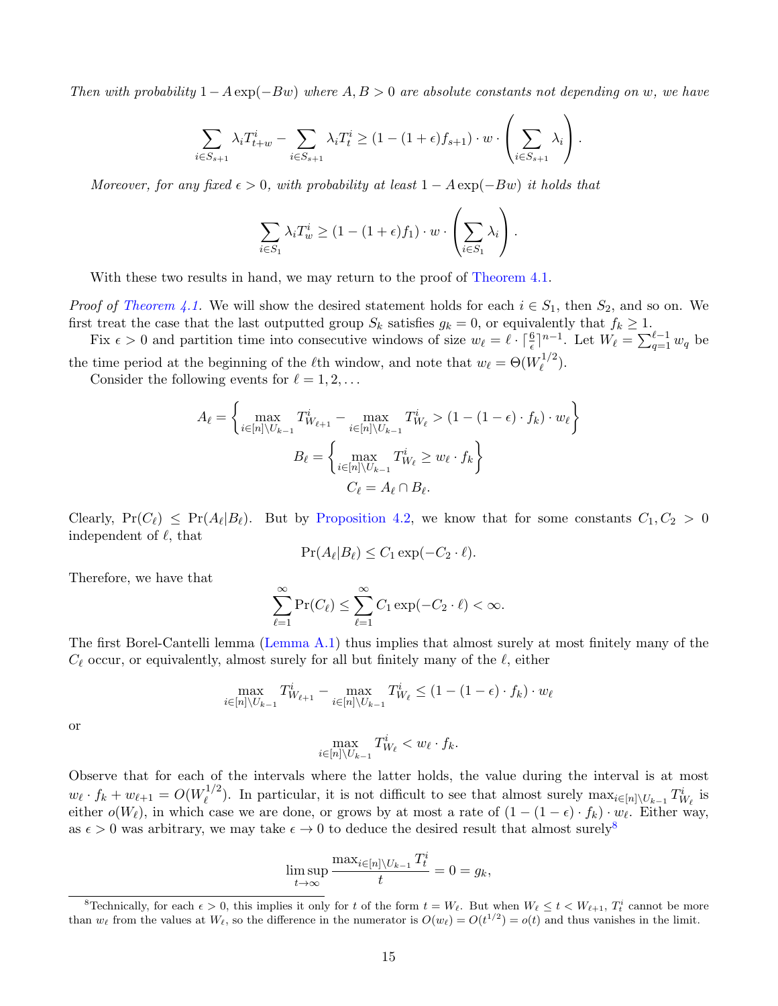Then with probability  $1-A \exp(-Bw)$  where  $A, B > 0$  are absolute constants not depending on w, we have

$$
\sum_{i \in S_{s+1}} \lambda_i T_{t+w}^i - \sum_{i \in S_{s+1}} \lambda_i T_t^i \ge (1 - (1 + \epsilon) f_{s+1}) \cdot w \cdot \left(\sum_{i \in S_{s+1}} \lambda_i\right).
$$

Moreover, for any fixed  $\epsilon > 0$ , with probability at least  $1 - A \exp(-Bw)$  it holds that

$$
\sum_{i \in S_1} \lambda_i T_w^i \ge (1 - (1 + \epsilon) f_1) \cdot w \cdot \left(\sum_{i \in S_1} \lambda_i\right).
$$

With these two results in hand, we may return to the proof of [Theorem 4.1.](#page-13-0)

*Proof of [Theorem 4.1.](#page-13-0)* We will show the desired statement holds for each  $i \in S_1$ , then  $S_2$ , and so on. We first treat the case that the last outputted group  $S_k$  satisfies  $g_k = 0$ , or equivalently that  $f_k \geq 1$ .

Fix  $\epsilon > 0$  and partition time into consecutive windows of size  $w_{\ell} = \ell \cdot \lceil \frac{6}{\epsilon} \rceil^{n-1}$ . Let  $W_{\ell} = \sum_{q=1}^{\ell-1} w_q$  be the time period at the beginning of the  $\ell$ th window, and note that  $w_{\ell} = \Theta(W_{\ell}^{1/2})$  $\binom{1}{\ell}$ .

Consider the following events for  $\ell = 1, 2, \ldots$ 

$$
A_{\ell} = \left\{ \max_{i \in [n] \backslash U_{k-1}} T_{W_{\ell+1}}^{i} - \max_{i \in [n] \backslash U_{k-1}} T_{W_{\ell}}^{i} > (1 - (1 - \epsilon) \cdot f_{k}) \cdot w_{\ell} \right\}
$$

$$
B_{\ell} = \left\{ \max_{i \in [n] \backslash U_{k-1}} T_{W_{\ell}}^{i} \ge w_{\ell} \cdot f_{k} \right\}
$$

$$
C_{\ell} = A_{\ell} \cap B_{\ell}.
$$

Clearly,  $Pr(C_\ell) \leq Pr(A_\ell | B_\ell)$ . But by [Proposition 4.2,](#page-14-0) we know that for some constants  $C_1, C_2 > 0$ independent of  $\ell$ , that

$$
\Pr(A_{\ell}|B_{\ell}) \le C_1 \exp(-C_2 \cdot \ell).
$$

Therefore, we have that

$$
\sum_{\ell=1}^{\infty} \Pr(C_{\ell}) \le \sum_{\ell=1}^{\infty} C_1 \exp(-C_2 \cdot \ell) < \infty.
$$

The first Borel-Cantelli lemma [\(Lemma A.1\)](#page-25-0) thus implies that almost surely at most finitely many of the  $C_{\ell}$  occur, or equivalently, almost surely for all but finitely many of the  $\ell$ , either

$$
\max_{i \in [n] \setminus U_{k-1}} T^i_{W_{\ell+1}} - \max_{i \in [n] \setminus U_{k-1}} T^i_{W_{\ell}} \le (1 - (1 - \epsilon) \cdot f_k) \cdot w_{\ell}
$$

or

$$
\max_{i\in[n]\setminus U_{k-1}} T^i_{W_\ell} < w_\ell \cdot f_k.
$$

Observe that for each of the intervals where the latter holds, the value during the interval is at most  $w_{\ell} \cdot f_k + w_{\ell+1} = O(W_{\ell}^{1/2})$ <sup>1/2</sup>). In particular, it is not difficult to see that almost surely  $\max_{i\in[n]\setminus U_{k-1}} T_{W_{\ell}}^i$  is either  $o(W_\ell)$ , in which case we are done, or grows by at most a rate of  $(1 - (1 - \epsilon) \cdot f_k) \cdot w_\ell$ . Either way, as  $\epsilon > 0$  was arbitrary, we may take  $\epsilon \to 0$  to deduce the desired result that almost surely<sup>[8](#page-15-0)</sup>

$$
\limsup_{t \to \infty} \frac{\max_{i \in [n] \setminus U_{k-1}} T_t^i}{t} = 0 = g_k,
$$

<span id="page-15-0"></span><sup>&</sup>lt;sup>8</sup>Technically, for each  $\epsilon > 0$ , this implies it only for t of the form  $t = W_{\ell}$ . But when  $W_{\ell} \leq t < W_{\ell+1}$ ,  $T_t^i$  cannot be more than  $w_{\ell}$  from the values at  $W_{\ell}$ , so the difference in the numerator is  $O(w_{\ell}) = O(t^{1/2}) = o(t)$  and thus vanishes in the limit.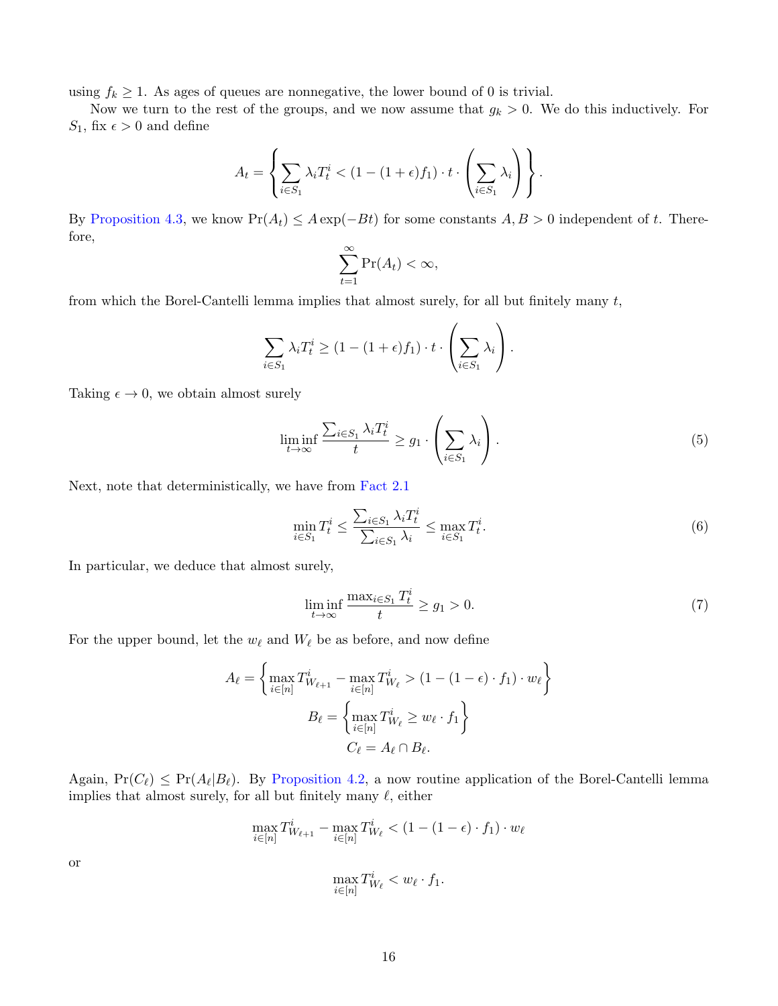using  $f_k \geq 1$ . As ages of queues are nonnegative, the lower bound of 0 is trivial.

Now we turn to the rest of the groups, and we now assume that  $g_k > 0$ . We do this inductively. For  $S_1,$  fix  $\epsilon > 0$  and define

$$
A_t = \left\{ \sum_{i \in S_1} \lambda_i T_t^i < (1 - (1 + \epsilon)f_1) \cdot t \cdot \left( \sum_{i \in S_1} \lambda_i \right) \right\}.
$$

By [Proposition 4.3,](#page-14-1) we know  $Pr(A_t) \leq A \exp(-Bt)$  for some constants  $A, B > 0$  independent of t. Therefore,

$$
\sum_{t=1}^{\infty} \Pr(A_t) < \infty,
$$

from which the Borel-Cantelli lemma implies that almost surely, for all but finitely many  $t$ ,

$$
\sum_{i \in S_1} \lambda_i T_t^i \ge (1 - (1 + \epsilon) f_1) \cdot t \cdot \left(\sum_{i \in S_1} \lambda_i\right).
$$

Taking  $\epsilon \to 0$ , we obtain almost surely

<span id="page-16-1"></span>
$$
\liminf_{t \to \infty} \frac{\sum_{i \in S_1} \lambda_i T_t^i}{t} \ge g_1 \cdot \left(\sum_{i \in S_1} \lambda_i\right). \tag{5}
$$

Next, note that deterministically, we have from [Fact 2.1](#page-5-1)

<span id="page-16-2"></span>
$$
\min_{i \in S_1} T_t^i \le \frac{\sum_{i \in S_1} \lambda_i T_t^i}{\sum_{i \in S_1} \lambda_i} \le \max_{i \in S_1} T_t^i.
$$
\n
$$
(6)
$$

In particular, we deduce that almost surely,

<span id="page-16-0"></span>
$$
\liminf_{t \to \infty} \frac{\max_{i \in S_1} T_t^i}{t} \ge g_1 > 0. \tag{7}
$$

For the upper bound, let the  $w_{\ell}$  and  $W_{\ell}$  be as before, and now define

$$
A_{\ell} = \left\{ \max_{i \in [n]} T_{W_{\ell+1}}^i - \max_{i \in [n]} T_{W_{\ell}}^i > (1 - (1 - \epsilon) \cdot f_1) \cdot w_{\ell} \right\}
$$

$$
B_{\ell} = \left\{ \max_{i \in [n]} T_{W_{\ell}}^i \ge w_{\ell} \cdot f_1 \right\}
$$

$$
C_{\ell} = A_{\ell} \cap B_{\ell}.
$$

Again,  $Pr(C_{\ell}) \leq Pr(A_{\ell}|B_{\ell})$ . By [Proposition 4.2,](#page-14-0) a now routine application of the Borel-Cantelli lemma implies that almost surely, for all but finitely many  $\ell$ , either

$$
\max_{i \in [n]} T^i_{W_{\ell+1}} - \max_{i \in [n]} T^i_{W_{\ell}} < (1 - (1 - \epsilon) \cdot f_1) \cdot w_{\ell}
$$
\n
$$
\max_{i \in [n]} T^i_{W_{\ell}} < w_{\ell} \cdot f_1.
$$

or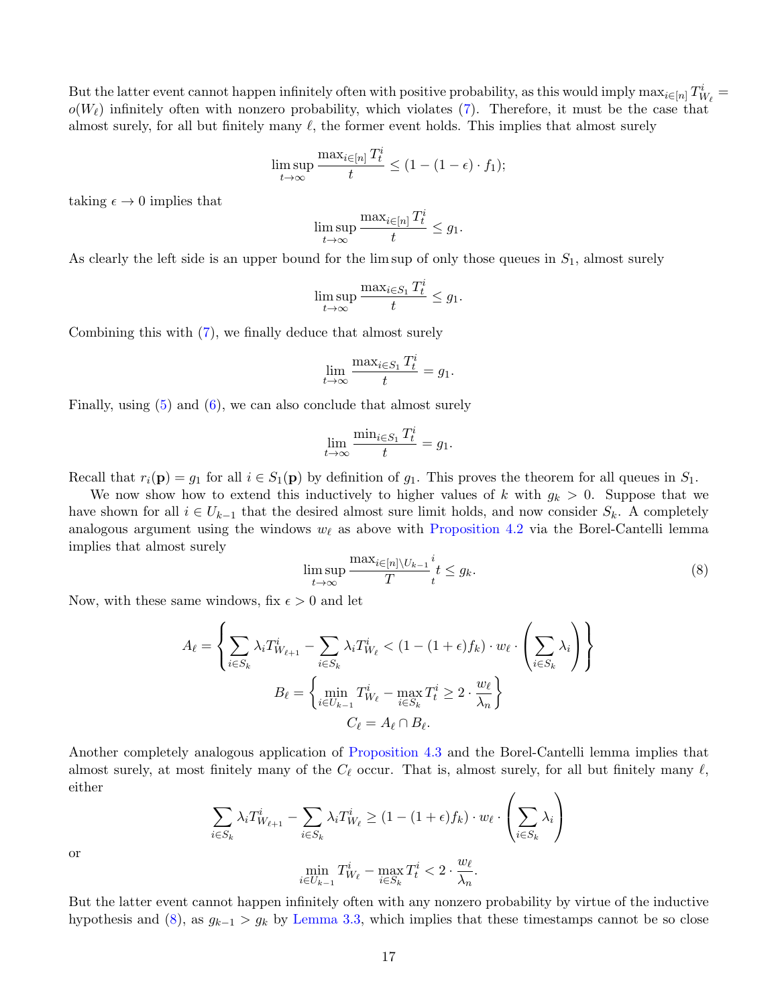But the latter event cannot happen infinitely often with positive probability, as this would imply  $\max_{i\in[n]}T^i_{W_\ell}$  $o(W_\ell)$  infinitely often with nonzero probability, which violates [\(7\)](#page-16-0). Therefore, it must be the case that almost surely, for all but finitely many  $\ell$ , the former event holds. This implies that almost surely

$$
\limsup_{t \to \infty} \frac{\max_{i \in [n]} T_t^i}{t} \le (1 - (1 - \epsilon) \cdot f_1);
$$

taking  $\epsilon \to 0$  implies that

$$
\limsup_{t\to\infty}\frac{\max_{i\in[n]}T^i_t}{t}\leq g_1.
$$

As clearly the left side is an upper bound for the lim sup of only those queues in  $S_1$ , almost surely

$$
\limsup_{t\to\infty}\frac{\max_{i\in S_1}T^i_t}{t}\leq g_1.
$$

Combining this with [\(7\)](#page-16-0), we finally deduce that almost surely

$$
\lim_{t \to \infty} \frac{\max_{i \in S_1} T_t^i}{t} = g_1.
$$

Finally, using [\(5\)](#page-16-1) and [\(6\)](#page-16-2), we can also conclude that almost surely

$$
\lim_{t \to \infty} \frac{\min_{i \in S_1} T_t^i}{t} = g_1.
$$

Recall that  $r_i(\mathbf{p}) = g_1$  for all  $i \in S_1(\mathbf{p})$  by definition of  $g_1$ . This proves the theorem for all queues in  $S_1$ .

We now show how to extend this inductively to higher values of k with  $g_k > 0$ . Suppose that we have shown for all  $i \in U_{k-1}$  that the desired almost sure limit holds, and now consider  $S_k$ . A completely analogous argument using the windows  $w_{\ell}$  as above with [Proposition 4.2](#page-14-0) via the Borel-Cantelli lemma implies that almost surely

<span id="page-17-0"></span>
$$
\limsup_{t \to \infty} \frac{\max_{i \in [n] \setminus U_{k-1}} i}{T} t \le g_k. \tag{8}
$$

Now, with these same windows, fix  $\epsilon > 0$  and let

$$
A_{\ell} = \left\{ \sum_{i \in S_k} \lambda_i T^i_{W_{\ell+1}} - \sum_{i \in S_k} \lambda_i T^i_{W_{\ell}} < (1 - (1 + \epsilon)f_k) \cdot w_{\ell} \cdot \left( \sum_{i \in S_k} \lambda_i \right) \right\}
$$
\n
$$
B_{\ell} = \left\{ \min_{i \in U_{k-1}} T^i_{W_{\ell}} - \max_{i \in S_k} T^i_{t} \ge 2 \cdot \frac{w_{\ell}}{\lambda_n} \right\}
$$
\n
$$
C_{\ell} = A_{\ell} \cap B_{\ell}.
$$

Another completely analogous application of [Proposition 4.3](#page-14-1) and the Borel-Cantelli lemma implies that almost surely, at most finitely many of the  $C_{\ell}$  occur. That is, almost surely, for all but finitely many  $\ell$ , either

$$
\sum_{i \in S_k} \lambda_i T^i_{W_{\ell+1}} - \sum_{i \in S_k} \lambda_i T^i_{W_{\ell}} \ge (1 - (1 + \epsilon)f_k) \cdot w_{\ell} \cdot \left(\sum_{i \in S_k} \lambda_i\right)
$$

$$
\min_{i \in U_{k-1}} T^i_{W_{\ell}} - \max_{i \in S_k} T^i_{t} < 2 \cdot \frac{w_{\ell}}{\lambda_n}.
$$

or

But the latter event cannot happen infinitely often with any nonzero probability by virtue of the inductive hypothesis and [\(8\)](#page-17-0), as  $g_{k-1} > g_k$  by [Lemma 3.3,](#page-10-2) which implies that these timestamps cannot be so close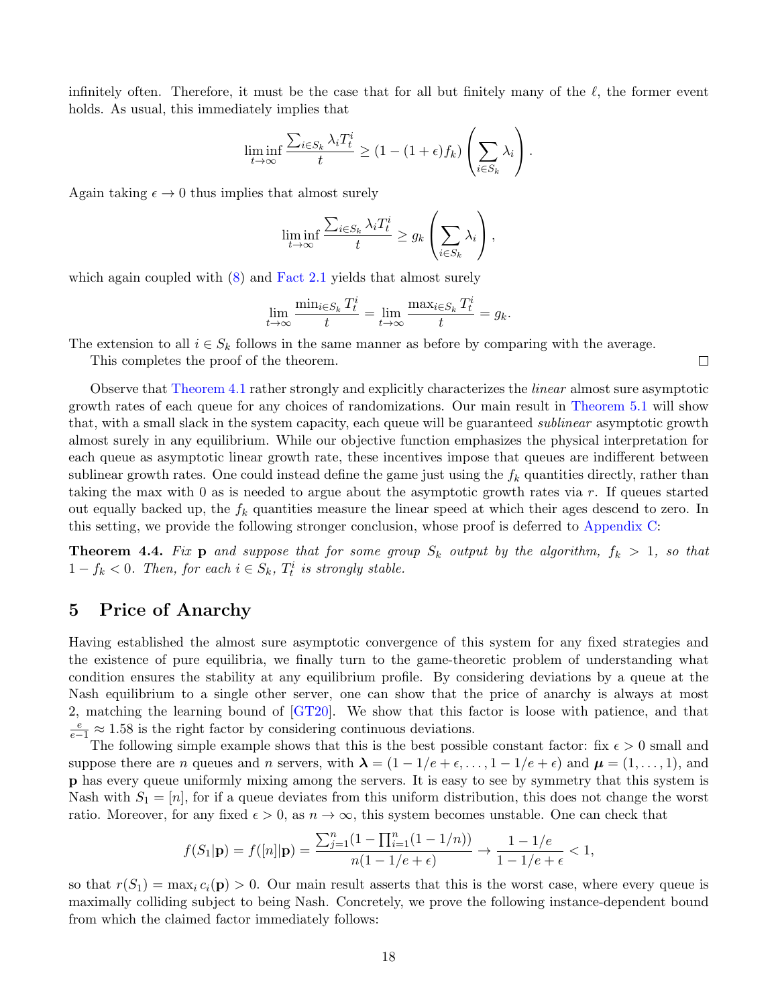infinitely often. Therefore, it must be the case that for all but finitely many of the  $\ell$ , the former event holds. As usual, this immediately implies that

$$
\liminf_{t \to \infty} \frac{\sum_{i \in S_k} \lambda_i T_t^i}{t} \ge (1 - (1 + \epsilon) f_k) \left( \sum_{i \in S_k} \lambda_i \right).
$$

Again taking  $\epsilon \to 0$  thus implies that almost surely

$$
\liminf_{t \to \infty} \frac{\sum_{i \in S_k} \lambda_i T_t^i}{t} \ge g_k \left( \sum_{i \in S_k} \lambda_i \right),
$$

which again coupled with  $(8)$  and [Fact 2.1](#page-5-1) yields that almost surely

$$
\lim_{t \to \infty} \frac{\min_{i \in S_k} T_t^i}{t} = \lim_{t \to \infty} \frac{\max_{i \in S_k} T_t^i}{t} = g_k.
$$

The extension to all  $i \in S_k$  follows in the same manner as before by comparing with the average.

This completes the proof of the theorem.

Observe that [Theorem 4.1](#page-13-0) rather strongly and explicitly characterizes the linear almost sure asymptotic growth rates of each queue for any choices of randomizations. Our main result in [Theorem 5.1](#page-18-1) will show that, with a small slack in the system capacity, each queue will be guaranteed sublinear asymptotic growth almost surely in any equilibrium. While our objective function emphasizes the physical interpretation for each queue as asymptotic linear growth rate, these incentives impose that queues are indifferent between sublinear growth rates. One could instead define the game just using the  $f_k$  quantities directly, rather than taking the max with 0 as is needed to argue about the asymptotic growth rates via r. If queues started out equally backed up, the  $f_k$  quantities measure the linear speed at which their ages descend to zero. In this setting, we provide the following stronger conclusion, whose proof is deferred to [Appendix C:](#page-26-0)

<span id="page-18-2"></span>**Theorem 4.4.** Fix **p** and suppose that for some group  $S_k$  output by the algorithm,  $f_k > 1$ , so that  $1 - f_k < 0$ . Then, for each  $i \in S_k$ ,  $T_t^i$  is strongly stable.

# <span id="page-18-0"></span>5 Price of Anarchy

Having established the almost sure asymptotic convergence of this system for any fixed strategies and the existence of pure equilibria, we finally turn to the game-theoretic problem of understanding what condition ensures the stability at any equilibrium profile. By considering deviations by a queue at the Nash equilibrium to a single other server, one can show that the price of anarchy is always at most 2, matching the learning bound of [\[GT20\]](#page-23-2). We show that this factor is loose with patience, and that  $\frac{e}{e-1}$  ≈ 1.58 is the right factor by considering continuous deviations.

The following simple example shows that this is the best possible constant factor: fix  $\epsilon > 0$  small and suppose there are n queues and n servers, with  $\lambda = (1 - 1/e + \epsilon, \dots, 1 - 1/e + \epsilon)$  and  $\mu = (1, \dots, 1)$ , and p has every queue uniformly mixing among the servers. It is easy to see by symmetry that this system is Nash with  $S_1 = [n]$ , for if a queue deviates from this uniform distribution, this does not change the worst ratio. Moreover, for any fixed  $\epsilon > 0$ , as  $n \to \infty$ , this system becomes unstable. One can check that

$$
f(S_1|\mathbf{p}) = f([n]|\mathbf{p}) = \frac{\sum_{j=1}^n (1 - \prod_{i=1}^n (1 - 1/n))}{n(1 - 1/e + \epsilon)} \to \frac{1 - 1/e}{1 - 1/e + \epsilon} < 1,
$$

<span id="page-18-1"></span>so that  $r(S_1) = \max_i c_i(\mathbf{p}) > 0$ . Our main result asserts that this is the worst case, where every queue is maximally colliding subject to being Nash. Concretely, we prove the following instance-dependent bound from which the claimed factor immediately follows:

 $\Box$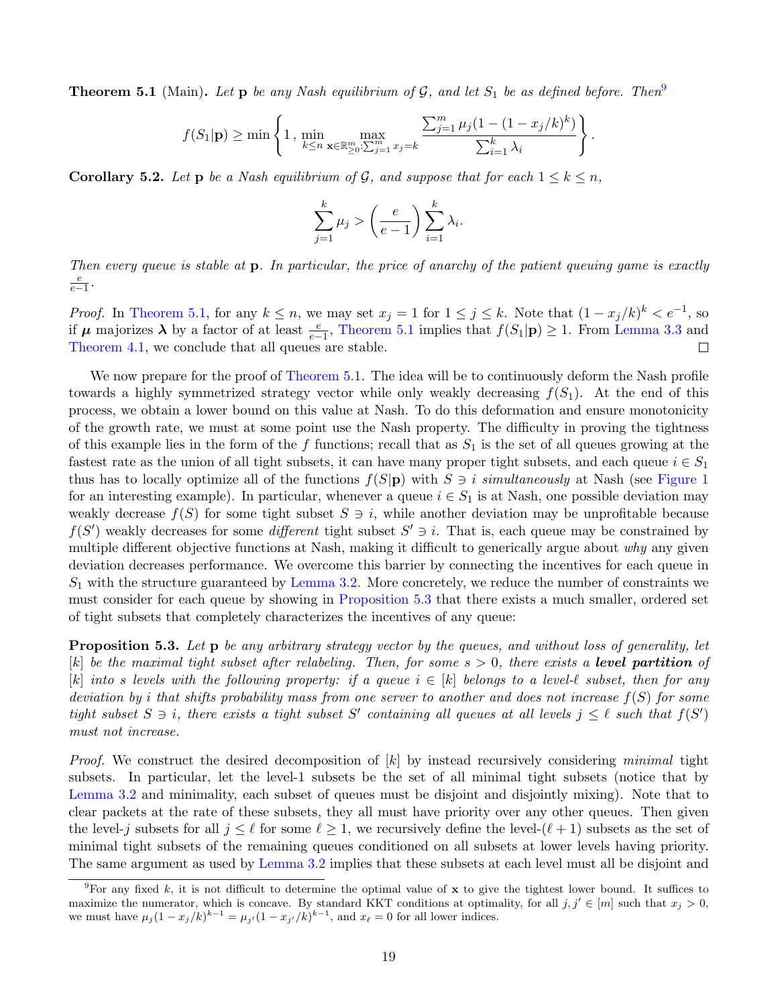**Theorem 5.1** (Main). Let **p** be any Nash equilibrium of G, and let  $S_1$  be as defined before. Then

$$
f(S_1|\mathbf{p}) \ge \min\left\{1, \min_{k \le n} \max_{\mathbf{x} \in \mathbb{R}_{\ge 0}^m : \sum_{j=1}^m x_j = k} \frac{\sum_{j=1}^m \mu_j (1 - (1 - x_j/k)^k)}{\sum_{i=1}^k \lambda_i}\right\}.
$$

<span id="page-19-0"></span>**Corollary 5.2.** Let **p** be a Nash equilibrium of G, and suppose that for each  $1 \leq k \leq n$ .

$$
\sum_{j=1}^{k} \mu_j > \left(\frac{e}{e-1}\right) \sum_{i=1}^{k} \lambda_i.
$$

Then every queue is stable at p. In particular, the price of anarchy of the patient queuing game is exactly  $\frac{e}{e-1}$ .

*Proof.* In [Theorem 5.1,](#page-18-1) for any  $k \leq n$ , we may set  $x_j = 1$  for  $1 \leq j \leq k$ . Note that  $(1 - x_j/k)^k < e^{-1}$ , so if  $\mu$  majorizes  $\lambda$  by a factor of at least  $\frac{e}{e-1}$ , [Theorem 5.1](#page-18-1) implies that  $f(S_1|p) \geq 1$ . From [Lemma 3.3](#page-10-2) and [Theorem 4.1,](#page-13-0) we conclude that all queues are stable.  $\Box$ 

We now prepare for the proof of [Theorem 5.1.](#page-18-1) The idea will be to continuously deform the Nash profile towards a highly symmetrized strategy vector while only weakly decreasing  $f(S_1)$ . At the end of this process, we obtain a lower bound on this value at Nash. To do this deformation and ensure monotonicity of the growth rate, we must at some point use the Nash property. The difficulty in proving the tightness of this example lies in the form of the f functions; recall that as  $S_1$  is the set of all queues growing at the fastest rate as the union of all tight subsets, it can have many proper tight subsets, and each queue  $i \in S_1$ thus has to locally optimize all of the functions  $f(S|\mathbf{p})$  with  $S \ni i$  simultaneously at Nash (see [Figure 1](#page-20-0)) for an interesting example). In particular, whenever a queue  $i \in S_1$  is at Nash, one possible deviation may weakly decrease  $f(S)$  for some tight subset  $S \ni i$ , while another deviation may be unprofitable because  $f(S')$  weakly decreases for some *different* tight subset  $S' \ni i$ . That is, each queue may be constrained by multiple different objective functions at Nash, making it difficult to generically argue about  $why$  any given deviation decreases performance. We overcome this barrier by connecting the incentives for each queue in  $S_1$  with the structure guaranteed by [Lemma 3.2.](#page-9-1) More concretely, we reduce the number of constraints we must consider for each queue by showing in [Proposition 5.3](#page-19-1) that there exists a much smaller, ordered set of tight subsets that completely characterizes the incentives of any queue:

<span id="page-19-1"></span>Proposition 5.3. Let p be any arbitrary strategy vector by the queues, and without loss of generality, let  $[k]$  be the maximal tight subset after relabeling. Then, for some  $s > 0$ , there exists a level partition of [k] into s levels with the following property: if a queue  $i \in [k]$  belongs to a level- $\ell$  subset, then for any deviation by i that shifts probability mass from one server to another and does not increase  $f(S)$  for some tight subset  $S \ni i$ , there exists a tight subset S' containing all queues at all levels  $j \leq \ell$  such that  $f(S')$ must not increase.

*Proof.* We construct the desired decomposition of  $[k]$  by instead recursively considering minimal tight subsets. In particular, let the level-1 subsets be the set of all minimal tight subsets (notice that by [Lemma 3.2](#page-9-1) and minimality, each subset of queues must be disjoint and disjointly mixing). Note that to clear packets at the rate of these subsets, they all must have priority over any other queues. Then given the level-j subsets for all  $j \leq \ell$  for some  $\ell \geq 1$ , we recursively define the level- $(\ell + 1)$  subsets as the set of minimal tight subsets of the remaining queues conditioned on all subsets at lower levels having priority. The same argument as used by [Lemma 3.2](#page-9-1) implies that these subsets at each level must all be disjoint and

<span id="page-19-2"></span><sup>&</sup>lt;sup>9</sup>For any fixed k, it is not difficult to determine the optimal value of **x** to give the tightest lower bound. It suffices to maximize the numerator, which is concave. By standard KKT conditions at optimality, for all  $j, j' \in [m]$  such that  $x_j > 0$ , we must have  $\mu_j(1-x_j/k)^{k-1} = \mu_{j'}(1-x_{j'}/k)^{k-1}$ , and  $x_\ell = 0$  for all lower indices.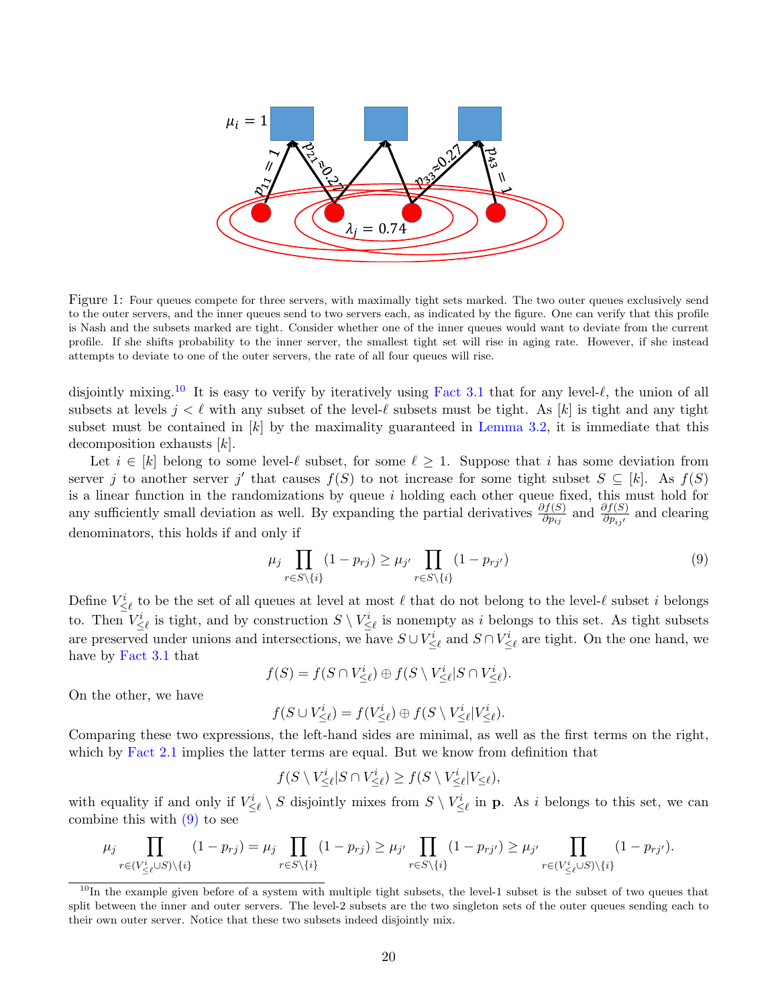

<span id="page-20-0"></span>Figure 1: Four queues compete for three servers, with maximally tight sets marked. The two outer queues exclusively send to the outer servers, and the inner queues send to two servers each, as indicated by the figure. One can verify that this profile is Nash and the subsets marked are tight. Consider whether one of the inner queues would want to deviate from the current profile. If she shifts probability to the inner server, the smallest tight set will rise in aging rate. However, if she instead attempts to deviate to one of the outer servers, the rate of all four queues will rise.

disjointly mixing.<sup>[10](#page-20-1)</sup> It is easy to verify by iteratively using [Fact 3.1](#page-9-2) that for any level- $\ell$ , the union of all subsets at levels  $j < \ell$  with any subset of the level- $\ell$  subsets must be tight. As [k] is tight and any tight subset must be contained in  $[k]$  by the maximality guaranteed in [Lemma 3.2,](#page-9-1) it is immediate that this decomposition exhausts [k].

Let  $i \in [k]$  belong to some level- $\ell$  subset, for some  $\ell \ge 1$ . Suppose that i has some deviation from server j to another server j' that causes  $f(S)$  to not increase for some tight subset  $S \subseteq [k]$ . As  $f(S)$ is a linear function in the randomizations by queue i holding each other queue fixed, this must hold for any sufficiently small deviation as well. By expanding the partial derivatives  $\frac{\partial f(S)}{\partial p_{ij}}$  and  $\frac{\partial f(S)}{\partial p_{ij'}}$  and clearing denominators, this holds if and only if

<span id="page-20-2"></span>
$$
\mu_j \prod_{r \in S \setminus \{i\}} (1 - p_{rj}) \ge \mu_{j'} \prod_{r \in S \setminus \{i\}} (1 - p_{rj'}) \tag{9}
$$

Define  $V_{\leq \ell}^i$  to be the set of all queues at level at most  $\ell$  that do not belong to the level- $\ell$  subset i belongs to. Then  $V_{\leq \ell}^i$  is tight, and by construction  $S \setminus V_{\leq \ell}^i$  is nonempty as i belongs to this set. As tight subsets are preserved under unions and intersections, we have  $S \cup V^i_{\leq \ell}$  and  $S \cap V^i_{\leq \ell}$  are tight. On the one hand, we have by [Fact 3.1](#page-9-2) that

$$
f(S) = f(S \cap V^i_{\leq \ell}) \oplus f(S \setminus V^i_{\leq \ell} | S \cap V^i_{\leq \ell}).
$$

On the other, we have

$$
f(S \cup V^i_{\leq \ell}) = f(V^i_{\leq \ell}) \oplus f(S \setminus V^i_{\leq \ell} | V^i_{\leq \ell}).
$$

Comparing these two expressions, the left-hand sides are minimal, as well as the first terms on the right, which by [Fact 2.1](#page-5-1) implies the latter terms are equal. But we know from definition that

$$
f(S \setminus V^i_{\leq \ell} | S \cap V^i_{\leq \ell}) \geq f(S \setminus V^i_{\leq \ell} | V_{\leq \ell}),
$$

with equality if and only if  $V^i_{\leq \ell} \setminus S$  disjointly mixes from  $S \setminus V^i_{\leq \ell}$  in **p**. As i belongs to this set, we can combine this with  $(9)$  to see

$$
\mu_j \prod_{r \in (V^i_{\leq \ell} \cup S) \setminus \{i\}} (1 - p_{rj}) = \mu_j \prod_{r \in S \setminus \{i\}} (1 - p_{rj}) \geq \mu_{j'} \prod_{r \in S \setminus \{i\}} (1 - p_{rj'}) \geq \mu_{j'} \prod_{r \in (V^i_{\leq \ell} \cup S) \setminus \{i\}} (1 - p_{rj'}).
$$

<span id="page-20-1"></span> $10$ In the example given before of a system with multiple tight subsets, the level-1 subset is the subset of two queues that split between the inner and outer servers. The level-2 subsets are the two singleton sets of the outer queues sending each to their own outer server. Notice that these two subsets indeed disjointly mix.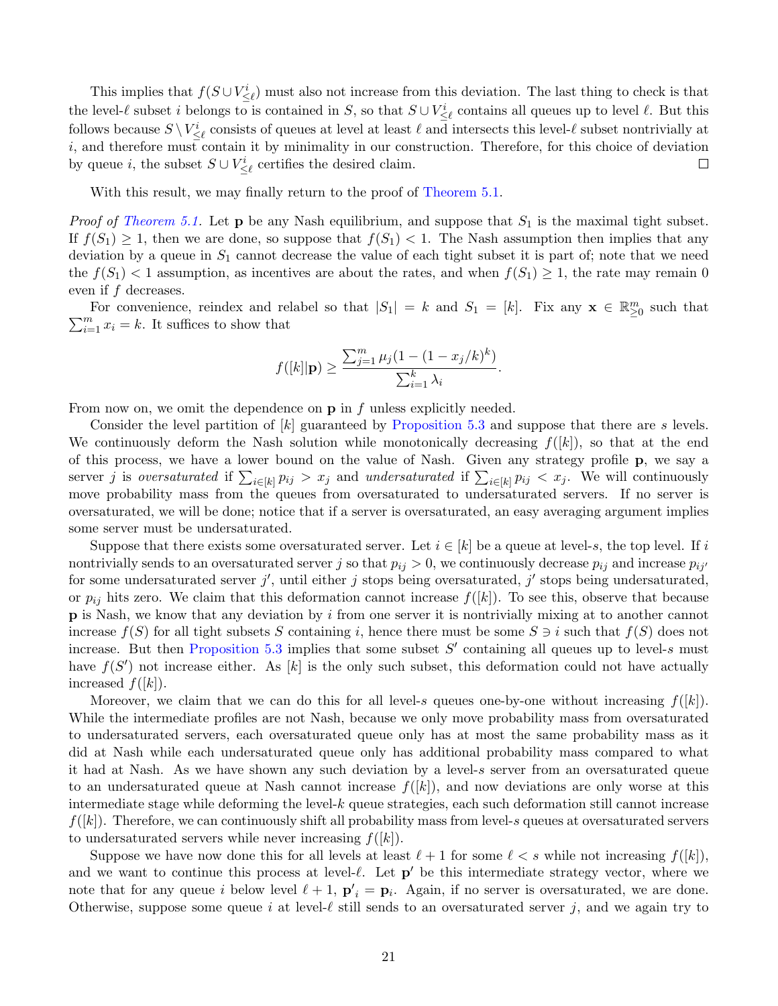This implies that  $f(S \cup V^i_{\leq \ell})$  must also not increase from this deviation. The last thing to check is that the level- $\ell$  subset i belongs to is contained in S, so that  $S \cup V^i_{\leq \ell}$  contains all queues up to level  $\ell$ . But this follows because  $S \setminus V^i_{\leq \ell}$  consists of queues at level at least  $\ell$  and intersects this level- $\ell$  subset nontrivially at  $i$ , and therefore must contain it by minimality in our construction. Therefore, for this choice of deviation by queue *i*, the subset  $S \cup V^i_{\leq \ell}$  certifies the desired claim.  $\Box$ 

With this result, we may finally return to the proof of [Theorem 5.1.](#page-18-1)

*Proof of [Theorem 5.1.](#page-18-1)* Let  $p$  be any Nash equilibrium, and suppose that  $S_1$  is the maximal tight subset. If  $f(S_1) \geq 1$ , then we are done, so suppose that  $f(S_1) < 1$ . The Nash assumption then implies that any deviation by a queue in  $S_1$  cannot decrease the value of each tight subset it is part of; note that we need the  $f(S_1)$  < 1 assumption, as incentives are about the rates, and when  $f(S_1) \geq 1$ , the rate may remain 0 even if  $f$  decreases.

For convenience, reindex and relabel so that  $|S_1| = k$  and  $S_1 = [k]$ . Fix any  $\mathbf{x} \in \mathbb{R}^m_{\geq 0}$  such that  $\sum_{i=1}^{m} x_i = k$ . It suffices to show that

$$
f([k]|\mathbf{p}) \ge \frac{\sum_{j=1}^{m} \mu_j (1 - (1 - x_j/k)^k)}{\sum_{i=1}^{k} \lambda_i}.
$$

From now on, we omit the dependence on  $\bf{p}$  in f unless explicitly needed.

Consider the level partition of [k] guaranteed by [Proposition 5.3](#page-19-1) and suppose that there are s levels. We continuously deform the Nash solution while monotonically decreasing  $f([k])$ , so that at the end of this process, we have a lower bound on the value of Nash. Given any strategy profile p, we say a server j is oversaturated if  $\sum_{i\in[k]} p_{ij} > x_j$  and undersaturated if  $\sum_{i\in[k]} p_{ij} < x_j$ . We will continuously move probability mass from the queues from oversaturated to undersaturated servers. If no server is oversaturated, we will be done; notice that if a server is oversaturated, an easy averaging argument implies some server must be undersaturated.

Suppose that there exists some oversaturated server. Let  $i \in [k]$  be a queue at level-s, the top level. If i nontrivially sends to an oversaturated server j so that  $p_{ij} > 0$ , we continuously decrease  $p_{ij}$  and increase  $p_{ij'}$ for some undersaturated server j', until either j stops being oversaturated, j' stops being undersaturated, or  $p_{ij}$  hits zero. We claim that this deformation cannot increase  $f(|k|)$ . To see this, observe that because  $\bf{p}$  is Nash, we know that any deviation by i from one server it is nontrivially mixing at to another cannot increase  $f(S)$  for all tight subsets S containing i, hence there must be some  $S \ni i$  such that  $f(S)$  does not increase. But then [Proposition 5.3](#page-19-1) implies that some subset  $S'$  containing all queues up to level-s must have  $f(S')$  not increase either. As |k| is the only such subset, this deformation could not have actually increased  $f([k])$ .

Moreover, we claim that we can do this for all level-s queues one-by-one without increasing  $f([k])$ . While the intermediate profiles are not Nash, because we only move probability mass from oversaturated to undersaturated servers, each oversaturated queue only has at most the same probability mass as it did at Nash while each undersaturated queue only has additional probability mass compared to what it had at Nash. As we have shown any such deviation by a level-s server from an oversaturated queue to an undersaturated queue at Nash cannot increase  $f([k])$ , and now deviations are only worse at this intermediate stage while deforming the level-k queue strategies, each such deformation still cannot increase  $f([k])$ . Therefore, we can continuously shift all probability mass from level-s queues at oversaturated servers to undersaturated servers while never increasing  $f([k])$ .

Suppose we have now done this for all levels at least  $\ell + 1$  for some  $\ell < s$  while not increasing  $f([k])$ , and we want to continue this process at level- $\ell$ . Let  $p'$  be this intermediate strategy vector, where we note that for any queue i below level  $\ell + 1$ ,  $\mathbf{p}'_i = \mathbf{p}_i$ . Again, if no server is oversaturated, we are done. Otherwise, suppose some queue i at level- $\ell$  still sends to an oversaturated server j, and we again try to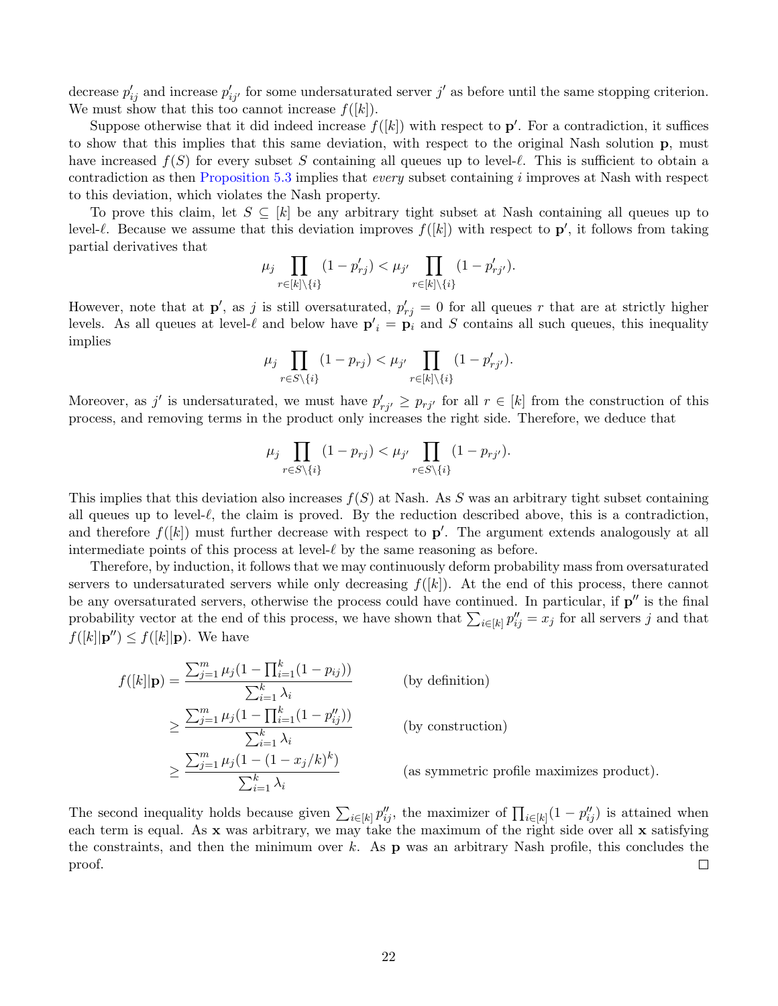decrease  $p'_{ij}$  and increase  $p'_{ij'}$  for some undersaturated server j' as before until the same stopping criterion. We must show that this too cannot increase  $f(|k|)$ .

Suppose otherwise that it did indeed increase  $f([k])$  with respect to  $p'$ . For a contradiction, it suffices to show that this implies that this same deviation, with respect to the original Nash solution p, must have increased  $f(S)$  for every subset S containing all queues up to level- $\ell$ . This is sufficient to obtain a contradiction as then [Proposition 5.3](#page-19-1) implies that every subset containing i improves at Nash with respect to this deviation, which violates the Nash property.

To prove this claim, let  $S \subseteq [k]$  be any arbitrary tight subset at Nash containing all queues up to level- $\ell$ . Because we assume that this deviation improves  $f([k])$  with respect to  $p'$ , it follows from taking partial derivatives that

$$
\mu_j \prod_{r \in [k] \setminus \{i\}} (1 - p'_{rj}) < \mu_{j'} \prod_{r \in [k] \setminus \{i\}} (1 - p'_{rj'}).
$$

However, note that at  $\mathbf{p}'$ , as j is still oversaturated,  $p'_{rj} = 0$  for all queues r that are at strictly higher levels. As all queues at level- $\ell$  and below have  $p'_i = p_i$  and S contains all such queues, this inequality implies

$$
\mu_j \prod_{r \in S \setminus \{i\}} (1 - p_{rj}) < \mu_{j'} \prod_{r \in [k] \setminus \{i\}} (1 - p'_{rj'}).
$$

Moreover, as j' is undersaturated, we must have  $p'_{rj'} \geq p_{rj'}$  for all  $r \in [k]$  from the construction of this process, and removing terms in the product only increases the right side. Therefore, we deduce that

$$
\mu_j \prod_{r \in S \setminus \{i\}} (1 - p_{rj}) < \mu_{j'} \prod_{r \in S \setminus \{i\}} (1 - p_{rj'}).
$$

This implies that this deviation also increases  $f(S)$  at Nash. As S was an arbitrary tight subset containing all queues up to level- $\ell$ , the claim is proved. By the reduction described above, this is a contradiction, and therefore  $f([k])$  must further decrease with respect to  $p'$ . The argument extends analogously at all intermediate points of this process at level- $\ell$  by the same reasoning as before.

Therefore, by induction, it follows that we may continuously deform probability mass from oversaturated servers to undersaturated servers while only decreasing  $f([k])$ . At the end of this process, there cannot be any oversaturated servers, otherwise the process could have continued. In particular, if  $p''$  is the final probability vector at the end of this process, we have shown that  $\sum_{i\in[k]} p''_{ij} = x_j$  for all servers j and that  $f([k]|\mathbf{p}'') \leq f([k]|\mathbf{p})$ . We have

$$
f([k]|\mathbf{p}) = \frac{\sum_{j=1}^{m} \mu_j (1 - \prod_{i=1}^{k} (1 - p_{ij}))}{\sum_{i=1}^{k} \lambda_i}
$$
 (by definition)  
\n
$$
\geq \frac{\sum_{j=1}^{m} \mu_j (1 - \prod_{i=1}^{k} (1 - p_{ij}^{"}))}{\sum_{i=1}^{k} \lambda_i}
$$
 (by construction)  
\n
$$
\geq \frac{\sum_{j=1}^{m} \mu_j (1 - (1 - x_j / k)^k)}{\sum_{i=1}^{k} \lambda_i}
$$
 (as symmetric profile maximizes product).

The second inequality holds because given  $\sum_{i\in[k]} p''_{ij}$ , the maximizer of  $\prod_{i\in[k]} (1-p''_{ij})$  is attained when each term is equal. As x was arbitrary, we may take the maximum of the right side over all x satisfying the constraints, and then the minimum over k. As  $\bf{p}$  was an arbitrary Nash profile, this concludes the proof.  $\Box$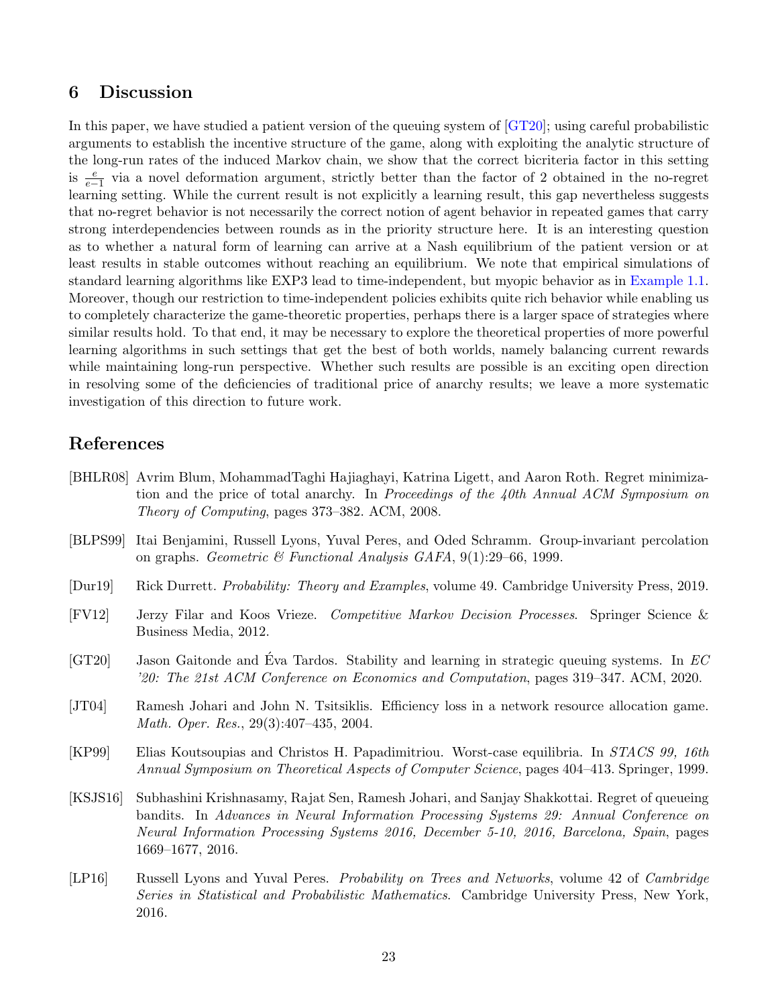# 6 Discussion

In this paper, we have studied a patient version of the queuing system of [\[GT20\]](#page-23-2); using careful probabilistic arguments to establish the incentive structure of the game, along with exploiting the analytic structure of the long-run rates of the induced Markov chain, we show that the correct bicriteria factor in this setting is  $\frac{e}{e-1}$  via a novel deformation argument, strictly better than the factor of 2 obtained in the no-regret learning setting. While the current result is not explicitly a learning result, this gap nevertheless suggests that no-regret behavior is not necessarily the correct notion of agent behavior in repeated games that carry strong interdependencies between rounds as in the priority structure here. It is an interesting question as to whether a natural form of learning can arrive at a Nash equilibrium of the patient version or at least results in stable outcomes without reaching an equilibrium. We note that empirical simulations of standard learning algorithms like EXP3 lead to time-independent, but myopic behavior as in [Example 1.1.](#page-2-0) Moreover, though our restriction to time-independent policies exhibits quite rich behavior while enabling us to completely characterize the game-theoretic properties, perhaps there is a larger space of strategies where similar results hold. To that end, it may be necessary to explore the theoretical properties of more powerful learning algorithms in such settings that get the best of both worlds, namely balancing current rewards while maintaining long-run perspective. Whether such results are possible is an exciting open direction in resolving some of the deficiencies of traditional price of anarchy results; we leave a more systematic investigation of this direction to future work.

# References

- <span id="page-23-1"></span>[BHLR08] Avrim Blum, MohammadTaghi Hajiaghayi, Katrina Ligett, and Aaron Roth. Regret minimization and the price of total anarchy. In Proceedings of the 40th Annual ACM Symposium on Theory of Computing, pages 373–382. ACM, 2008.
- <span id="page-23-7"></span>[BLPS99] Itai Benjamini, Russell Lyons, Yuval Peres, and Oded Schramm. Group-invariant percolation on graphs. Geometric & Functional Analysis GAFA, 9(1):29–66, 1999.
- <span id="page-23-8"></span>[Dur19] Rick Durrett. Probability: Theory and Examples, volume 49. Cambridge University Press, 2019.
- <span id="page-23-5"></span>[FV12] Jerzy Filar and Koos Vrieze. Competitive Markov Decision Processes. Springer Science & Business Media, 2012.
- <span id="page-23-2"></span>[GT20] Jason Gaitonde and Éva Tardos. Stability and learning in strategic queuing systems. In  $EC$ '20: The 21st ACM Conference on Economics and Computation, pages 319–347. ACM, 2020.
- <span id="page-23-3"></span>[JT04] Ramesh Johari and John N. Tsitsiklis. Efficiency loss in a network resource allocation game. Math. Oper. Res., 29(3):407–435, 2004.
- <span id="page-23-0"></span>[KP99] Elias Koutsoupias and Christos H. Papadimitriou. Worst-case equilibria. In STACS 99, 16th Annual Symposium on Theoretical Aspects of Computer Science, pages 404–413. Springer, 1999.
- <span id="page-23-6"></span>[KSJS16] Subhashini Krishnasamy, Rajat Sen, Ramesh Johari, and Sanjay Shakkottai. Regret of queueing bandits. In Advances in Neural Information Processing Systems 29: Annual Conference on Neural Information Processing Systems 2016, December 5-10, 2016, Barcelona, Spain, pages 1669–1677, 2016.
- <span id="page-23-4"></span>[LP16] Russell Lyons and Yuval Peres. *Probability on Trees and Networks*, volume 42 of *Cambridge* Series in Statistical and Probabilistic Mathematics. Cambridge University Press, New York, 2016.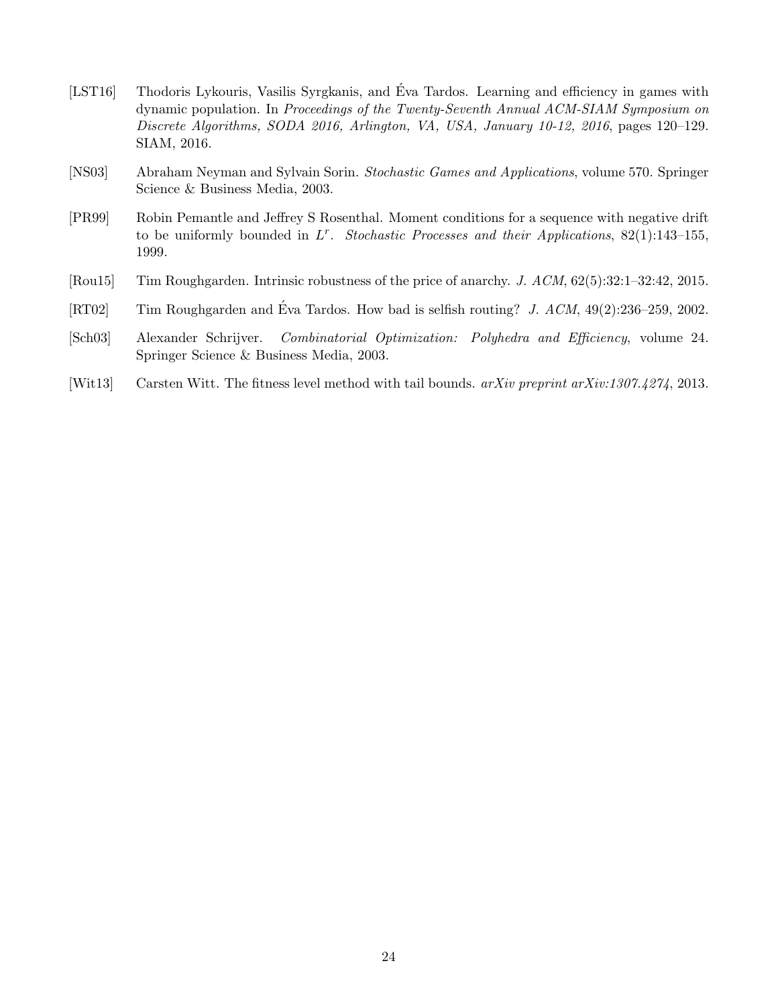- <span id="page-24-1"></span>[LST16] Thodoris Lykouris, Vasilis Syrgkanis, and Eva Tardos. Learning and efficiency in games with ´ dynamic population. In Proceedings of the Twenty-Seventh Annual ACM-SIAM Symposium on Discrete Algorithms, SODA 2016, Arlington, VA, USA, January 10-12, 2016, pages 120–129. SIAM, 2016.
- <span id="page-24-3"></span>[NS03] Abraham Neyman and Sylvain Sorin. Stochastic Games and Applications, volume 570. Springer Science & Business Media, 2003.
- <span id="page-24-6"></span>[PR99] Robin Pemantle and Jeffrey S Rosenthal. Moment conditions for a sequence with negative drift to be uniformly bounded in  $L^r$ . Stochastic Processes and their Applications, 82(1):143-155, 1999.
- <span id="page-24-0"></span>[Rou15] Tim Roughgarden. Intrinsic robustness of the price of anarchy. J. ACM, 62(5):32:1–32:42, 2015.
- <span id="page-24-2"></span>[RT02] Tim Roughgarden and Éva Tardos. How bad is selfish routing? J.  $ACM$ ,  $49(2):236-259$ , 2002.
- <span id="page-24-4"></span>[Sch03] Alexander Schrijver. Combinatorial Optimization: Polyhedra and Efficiency, volume 24. Springer Science & Business Media, 2003.
- <span id="page-24-5"></span>[Wit13] Carsten Witt. The fitness level method with tail bounds. arXiv preprint arXiv:1307.4274, 2013.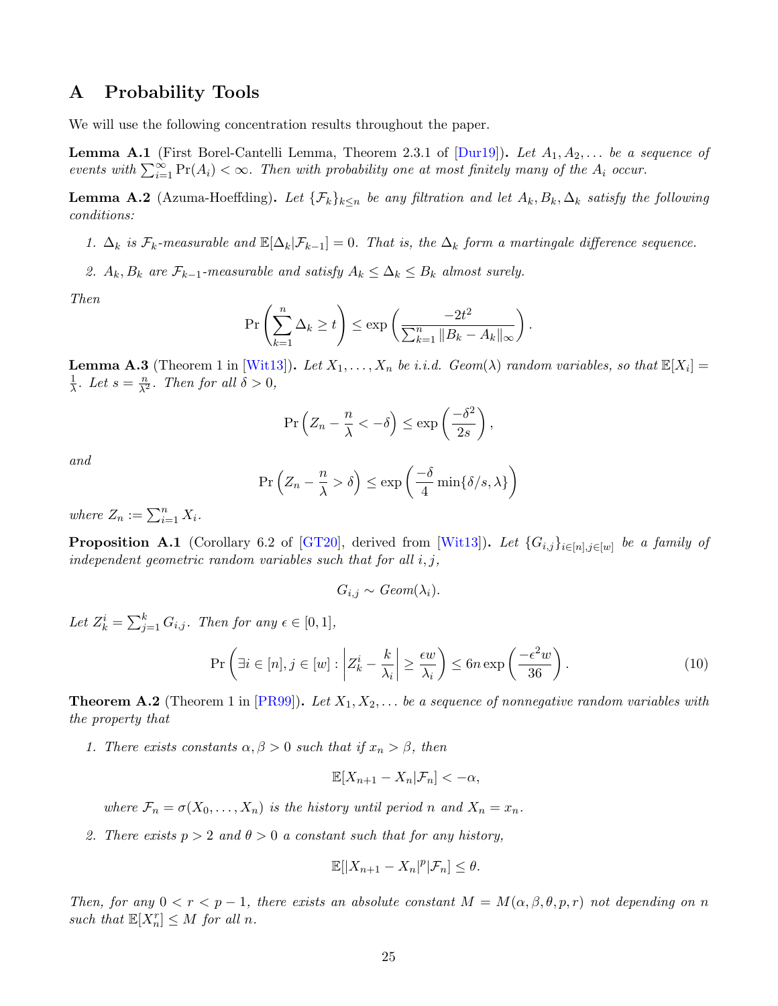# A Probability Tools

<span id="page-25-0"></span>We will use the following concentration results throughout the paper.

**Lemma A.1** (First Borel-Cantelli Lemma, Theorem 2.3.1 of  $Durl9$ ). Let  $A_1, A_2, \ldots$  be a sequence of events with  $\sum_{i=1}^{\infty} \Pr(A_i) < \infty$ . Then with probability one at most finitely many of the  $A_i$  occur.

**Lemma A.2** (Azuma-Hoeffding). Let  $\{\mathcal{F}_k\}_{k\leq n}$  be any filtration and let  $A_k, B_k, \Delta_k$  satisfy the following conditions:

1.  $\Delta_k$  is  $\mathcal{F}_k$ -measurable and  $\mathbb{E}[\Delta_k|\mathcal{F}_{k-1}] = 0$ . That is, the  $\Delta_k$  form a martingale difference sequence.

2.  $A_k, B_k$  are  $\mathcal{F}_{k-1}$ -measurable and satisfy  $A_k \leq \Delta_k \leq B_k$  almost surely.

Then

$$
\Pr\left(\sum_{k=1}^n \Delta_k \ge t\right) \le \exp\left(\frac{-2t^2}{\sum_{k=1}^n \|B_k - A_k\|_{\infty}}\right).
$$

<span id="page-25-1"></span>**Lemma A.3** (Theorem 1 in [\[Wit13\]](#page-24-5)). Let  $X_1, \ldots, X_n$  be i.i.d. Geom( $\lambda$ ) random variables, so that  $\mathbb{E}[X_i] =$ 1  $\frac{1}{\lambda}$ . Let  $s = \frac{n}{\lambda^2}$ . Then for all  $\delta > 0$ ,

$$
\Pr\left(Z_n - \frac{n}{\lambda} < -\delta\right) \le \exp\left(\frac{-\delta^2}{2s}\right),\,
$$

and

$$
\Pr\left(Z_n - \frac{n}{\lambda} > \delta\right) \le \exp\left(\frac{-\delta}{4} \min\{\delta/s, \lambda\}\right)
$$

where  $Z_n := \sum_{i=1}^n X_i$ .

<span id="page-25-2"></span>**Proposition A.1** (Corollary 6.2 of [\[GT20\]](#page-23-2), derived from [\[Wit13\]](#page-24-5)). Let  $\{G_{i,j}\}_{i\in[n],j\in[w]}$  be a family of independent geometric random variables such that for all  $i, j$ ,

$$
G_{i,j} \sim Geom(\lambda_i).
$$

Let  $Z_k^i = \sum_{j=1}^k G_{i,j}$ . Then for any  $\epsilon \in [0,1]$ ,

$$
\Pr\left(\exists i \in [n], j \in [w] : \left| Z_k^i - \frac{k}{\lambda_i} \right| \ge \frac{\epsilon w}{\lambda_i} \right) \le 6n \exp\left(\frac{-\epsilon^2 w}{36}\right). \tag{10}
$$

<span id="page-25-3"></span>**Theorem A.2** (Theorem 1 in  $[PR99]$ ). Let  $X_1, X_2, \ldots$  be a sequence of nonnegative random variables with the property that

1. There exists constants  $\alpha, \beta > 0$  such that if  $x_n > \beta$ , then

$$
\mathbb{E}[X_{n+1}-X_n|\mathcal{F}_n]<-\alpha,
$$

where  $\mathcal{F}_n = \sigma(X_0, \ldots, X_n)$  is the history until period n and  $X_n = x_n$ .

2. There exists  $p > 2$  and  $\theta > 0$  a constant such that for any history,

$$
\mathbb{E}[|X_{n+1}-X_n|^p|\mathcal{F}_n]\leq \theta.
$$

Then, for any  $0 < r < p-1$ , there exists an absolute constant  $M = M(\alpha, \beta, \theta, p, r)$  not depending on n such that  $\mathbb{E}[X_n^r] \leq M$  for all n.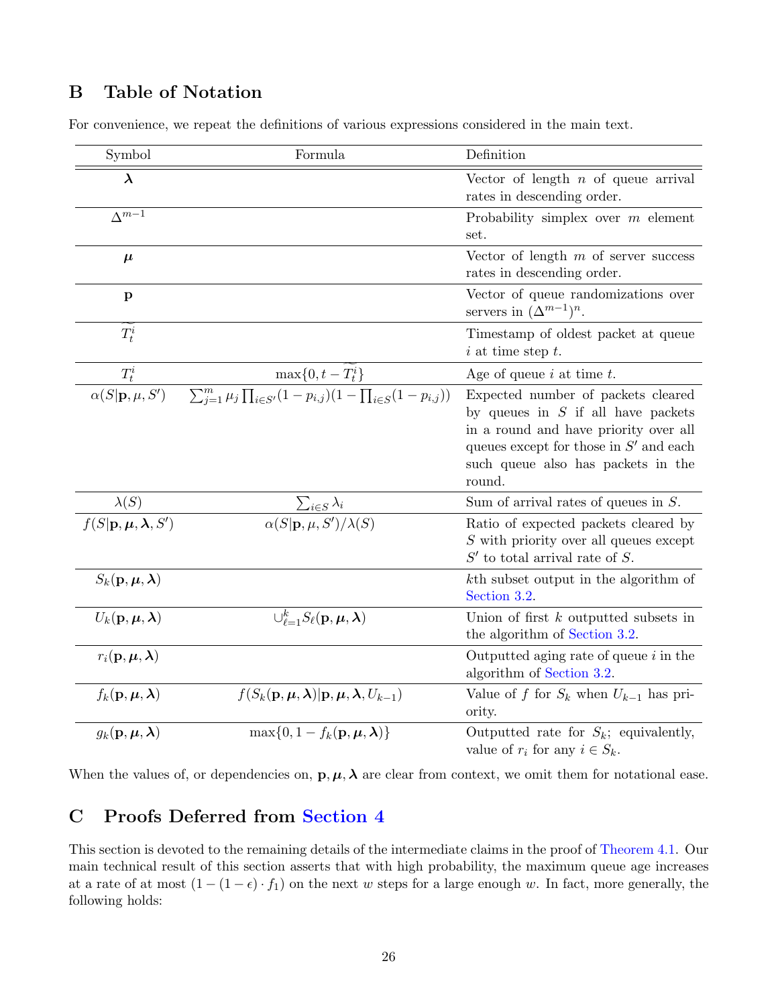# <span id="page-26-1"></span>B Table of Notation

|  |  | For convenience, we repeat the definitions of various expressions considered in the main text. |  |  |  |  |  |
|--|--|------------------------------------------------------------------------------------------------|--|--|--|--|--|
|--|--|------------------------------------------------------------------------------------------------|--|--|--|--|--|

| Symbol                                                     | Formula                                                                                                                    | Definition                                                                                                                                                                                                      |
|------------------------------------------------------------|----------------------------------------------------------------------------------------------------------------------------|-----------------------------------------------------------------------------------------------------------------------------------------------------------------------------------------------------------------|
| $\lambda$                                                  |                                                                                                                            | Vector of length $n$ of queue arrival<br>rates in descending order.                                                                                                                                             |
| $\Delta^{m-1}$                                             |                                                                                                                            | Probability simplex over $m$ element<br>set.                                                                                                                                                                    |
| $\mu$                                                      |                                                                                                                            | Vector of length $m$ of server success<br>rates in descending order.                                                                                                                                            |
| $\mathbf{p}$                                               |                                                                                                                            | Vector of queue randomizations over<br>servers in $(\Delta^{m-1})^n$ .                                                                                                                                          |
| $T_t^i$                                                    |                                                                                                                            | Timestamp of oldest packet at queue<br>$i$ at time step $t$ .                                                                                                                                                   |
| $T_t^i$                                                    | $\max\{0, t - T_t^i\}$                                                                                                     | Age of queue $i$ at time $t$ .                                                                                                                                                                                  |
| $\overline{\alpha(S \mathbf{p},\mu,S')}$                   | $\sum_{i=1}^m \mu_j \prod_{i \in S'} (1-p_{i,j})(1-\prod_{i \in S'} (1-p_{i,j}))$                                          | Expected number of packets cleared<br>by queues in $S$ if all have packets<br>in a round and have priority over all<br>queues except for those in $S'$ and each<br>such queue also has packets in the<br>round. |
| $\lambda(S)$                                               |                                                                                                                            | Sum of arrival rates of queues in $S$ .                                                                                                                                                                         |
| $f(S {\bf p}, \boldsymbol{\mu}, \boldsymbol{\lambda}, S')$ | $\frac{\sum_{i\in S}\lambda_i}{\alpha(S \mathbf{p},\mu,S')/\lambda(S)}$                                                    | Ratio of expected packets cleared by<br>$S$ with priority over all queues except<br>$S'$ to total arrival rate of S.                                                                                            |
| $S_k(\mathbf{p}, \boldsymbol{\mu}, \boldsymbol{\lambda})$  |                                                                                                                            | kth subset output in the algorithm of<br>Section 3.2.                                                                                                                                                           |
| $U_k(\mathbf{p}, \boldsymbol{\mu}, \boldsymbol{\lambda})$  | $\bigcup_{\ell=1}^k S_{\ell}({\bf p},\mu,\lambda)$                                                                         | Union of first $k$ outputted subsets in<br>the algorithm of Section 3.2.                                                                                                                                        |
| $r_i(\mathbf{p}, \boldsymbol{\mu}, \boldsymbol{\lambda})$  |                                                                                                                            | Outputted aging rate of queue $i$ in the<br>algorithm of Section 3.2.                                                                                                                                           |
| $f_k(\mathbf{p}, \boldsymbol{\mu}, \boldsymbol{\lambda})$  | $f(S_k(\mathbf{p}, \boldsymbol{\mu}, \boldsymbol{\lambda})   \mathbf{p}, \boldsymbol{\mu}, \boldsymbol{\lambda}, U_{k-1})$ | Value of f for $S_k$ when $U_{k-1}$ has pri-<br>ority.                                                                                                                                                          |
| $g_k(\mathbf{p}, \boldsymbol{\mu}, \boldsymbol{\lambda})$  | $\max\{0, 1 - f_k(\mathbf{p}, \mu, \lambda)\}\$                                                                            | Outputted rate for $S_k$ ; equivalently,<br>value of $r_i$ for any $i \in S_k$ .                                                                                                                                |

When the values of, or dependencies on,  $\mathbf{p}, \mu, \lambda$  are clear from context, we omit them for notational ease.

# <span id="page-26-0"></span>C Proofs Deferred from [Section 4](#page-13-1)

This section is devoted to the remaining details of the intermediate claims in the proof of [Theorem 4.1.](#page-13-0) Our main technical result of this section asserts that with high probability, the maximum queue age increases at a rate of at most  $(1 - (1 - \epsilon) \cdot f_1)$  on the next w steps for a large enough w. In fact, more generally, the following holds: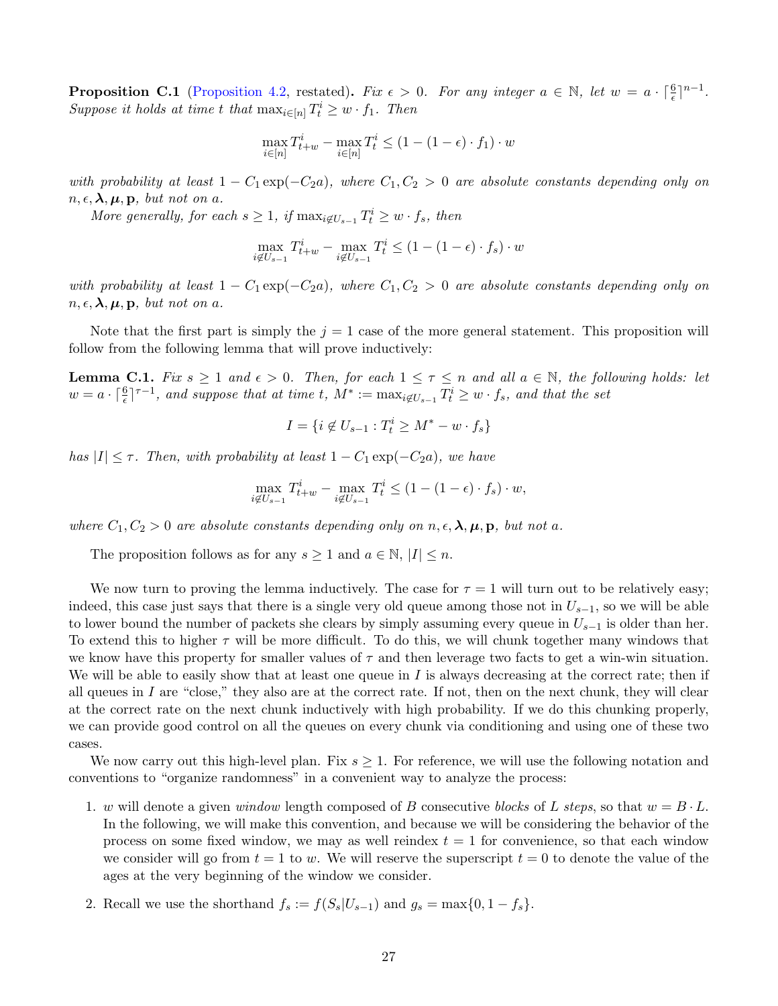**Proposition C.1** [\(Proposition 4.2,](#page-14-0) restated). Fix  $\epsilon > 0$ . For any integer  $a \in \mathbb{N}$ , let  $w = a \cdot \lceil \frac{6}{\epsilon} \rceil^{n-1}$ . Suppose it holds at time t that  $\max_{i \in [n]} T_t^i \geq w \cdot f_1$ . Then

$$
\max_{i \in [n]} T_{t+w}^i - \max_{i \in [n]} T_t^i \le (1 - (1 - \epsilon) \cdot f_1) \cdot w
$$

with probability at least  $1 - C_1 \exp(-C_2 a)$ , where  $C_1, C_2 > 0$  are absolute constants depending only on  $n, \epsilon, \lambda, \mu, \mathbf{p}$ , but not on a.

More generally, for each  $s \geq 1$ , if  $\max_{i \notin U_{s-1}} T_t^i \geq w \cdot f_s$ , then

$$
\max_{i \notin U_{s-1}} T_{t+w}^i - \max_{i \notin U_{s-1}} T_t^i \le (1 - (1 - \epsilon) \cdot f_s) \cdot w
$$

with probability at least  $1 - C_1 \exp(-C_2 a)$ , where  $C_1, C_2 > 0$  are absolute constants depending only on  $n, \epsilon, \lambda, \mu, \mathbf{p}$ , but not on a.

Note that the first part is simply the  $j = 1$  case of the more general statement. This proposition will follow from the following lemma that will prove inductively:

<span id="page-27-0"></span>**Lemma C.1.** Fix  $s \geq 1$  and  $\epsilon > 0$ . Then, for each  $1 \leq \tau \leq n$  and all  $a \in \mathbb{N}$ , the following holds: let  $w = a \cdot \lceil \frac{6}{\epsilon} \rceil^{\tau-1}$ , and suppose that at time t,  $M^* := \max_{i \notin U_{s-1}} T_t^i \geq w \cdot f_s$ , and that the set

$$
I = \{i \notin U_{s-1} : T_t^i \geq M^* - w \cdot f_s\}
$$

has  $|I| \leq \tau$ . Then, with probability at least  $1 - C_1 \exp(-C_2 a)$ , we have

$$
\max_{i \notin U_{s-1}} T_{t+w}^i - \max_{i \notin U_{s-1}} T_t^i \le (1 - (1 - \epsilon) \cdot f_s) \cdot w,
$$

where  $C_1, C_2 > 0$  are absolute constants depending only on  $n, \epsilon, \lambda, \mu, p$ , but not a.

The proposition follows as for any  $s \geq 1$  and  $a \in \mathbb{N}, |I| \leq n$ .

We now turn to proving the lemma inductively. The case for  $\tau = 1$  will turn out to be relatively easy; indeed, this case just says that there is a single very old queue among those not in  $U_{s-1}$ , so we will be able to lower bound the number of packets she clears by simply assuming every queue in  $U_{s-1}$  is older than her. To extend this to higher  $\tau$  will be more difficult. To do this, we will chunk together many windows that we know have this property for smaller values of  $\tau$  and then leverage two facts to get a win-win situation. We will be able to easily show that at least one queue in  $I$  is always decreasing at the correct rate; then if all queues in I are "close," they also are at the correct rate. If not, then on the next chunk, they will clear at the correct rate on the next chunk inductively with high probability. If we do this chunking properly, we can provide good control on all the queues on every chunk via conditioning and using one of these two cases.

We now carry out this high-level plan. Fix  $s \geq 1$ . For reference, we will use the following notation and conventions to "organize randomness" in a convenient way to analyze the process:

- 1. w will denote a given window length composed of B consecutive blocks of L steps, so that  $w = B \cdot L$ . In the following, we will make this convention, and because we will be considering the behavior of the process on some fixed window, we may as well reindex  $t = 1$  for convenience, so that each window we consider will go from  $t = 1$  to w. We will reserve the superscript  $t = 0$  to denote the value of the ages at the very beginning of the window we consider.
- 2. Recall we use the shorthand  $f_s := f(S_s|U_{s-1})$  and  $g_s = \max\{0, 1 f_s\}.$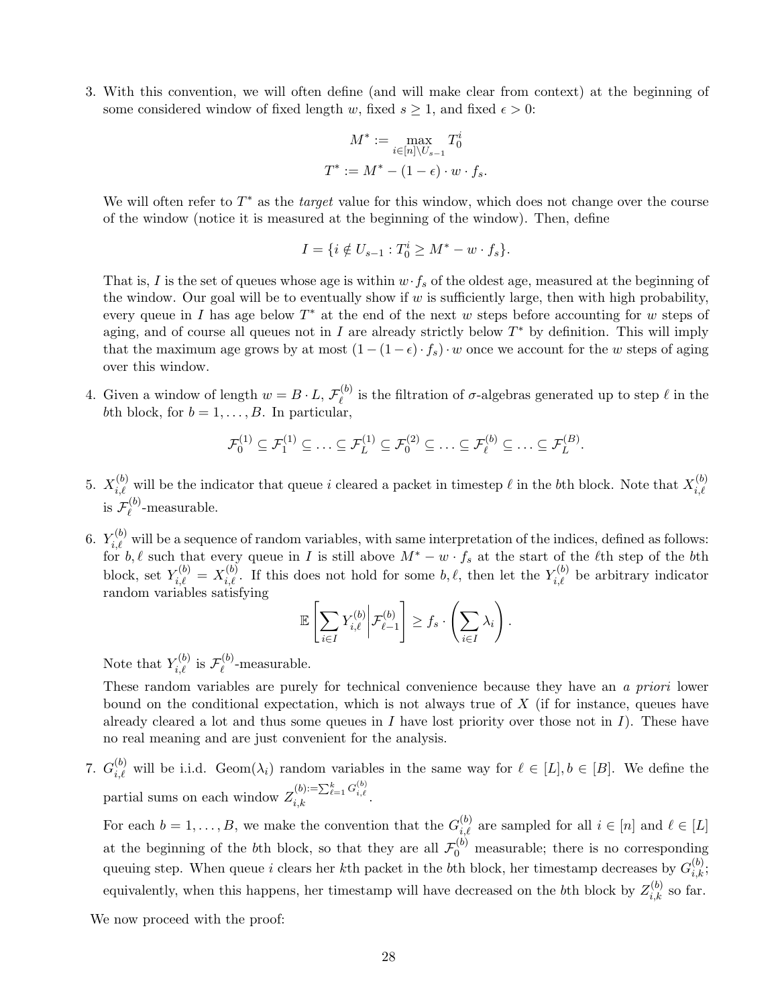3. With this convention, we will often define (and will make clear from context) at the beginning of some considered window of fixed length w, fixed  $s \geq 1$ , and fixed  $\epsilon > 0$ :

$$
M^* := \max_{i \in [n] \setminus U_{s-1}} T_0^i
$$
  

$$
T^* := M^* - (1 - \epsilon) \cdot w \cdot f_s.
$$

We will often refer to  $T^*$  as the *target* value for this window, which does not change over the course of the window (notice it is measured at the beginning of the window). Then, define

$$
I = \{ i \notin U_{s-1} : T_0^i \ge M^* - w \cdot f_s \}.
$$

That is, I is the set of queues whose age is within  $w \cdot f_s$  of the oldest age, measured at the beginning of the window. Our goal will be to eventually show if  $w$  is sufficiently large, then with high probability, every queue in I has age below  $T^*$  at the end of the next w steps before accounting for w steps of aging, and of course all queues not in I are already strictly below  $T^*$  by definition. This will imply that the maximum age grows by at most  $(1 - (1 - \epsilon) \cdot f_s) \cdot w$  once we account for the w steps of aging over this window.

4. Given a window of length  $w = B \cdot L$ ,  $\mathcal{F}_{\rho}^{(b)}$  $\ell^{(0)}$  is the filtration of  $\sigma$ -algebras generated up to step  $\ell$  in the bth block, for  $b = 1, \ldots, B$ . In particular,

$$
\mathcal{F}_0^{(1)} \subseteq \mathcal{F}_1^{(1)} \subseteq \ldots \subseteq \mathcal{F}_L^{(1)} \subseteq \mathcal{F}_0^{(2)} \subseteq \ldots \subseteq \mathcal{F}_{\ell}^{(b)} \subseteq \ldots \subseteq \mathcal{F}_L^{(B)}.
$$

- 5.  $X_{i,\ell}^{(b)}$  will be the indicator that queue i cleared a packet in timestep  $\ell$  in the bth block. Note that  $X_{i,\ell}^{(b)}$  $_{i,\ell}$ is  ${\mathcal F}_{\scriptscriptstyle{\ell}}^{(b)}$  $\chi^{(0)}_{\ell}$ -measurable.
- 6.  $Y_{i,\ell}^{(b)}$  will be a sequence of random variables, with same interpretation of the indices, defined as follows: for b,  $\ell$  such that every queue in I is still above  $M^* - w \cdot f_s$  at the start of the  $\ell$ th step of the bth block, set  $Y_{i,\ell}^{(b)} = X_{i,\ell}^{(b)}$ . If this does not hold for some  $b, \ell$ , then let the  $Y_{i,\ell}^{(b)}$  be arbitrary indicator random variables satisfying

$$
\mathbb{E}\left[\sum_{i\in I}Y_{i,\ell}^{(b)}\bigg|\mathcal{F}_{\ell-1}^{(b)}\right]\geq f_s\cdot\left(\sum_{i\in I}\lambda_i\right).
$$

Note that  $Y_{i,\ell}^{(b)}$  is  $\mathcal{F}_{\ell}^{(b)}$  $\chi^{(0)}_{\ell}$ -measurable.

These random variables are purely for technical convenience because they have an a priori lower bound on the conditional expectation, which is not always true of  $X$  (if for instance, queues have already cleared a lot and thus some queues in I have lost priority over those not in I). These have no real meaning and are just convenient for the analysis.

7.  $G_{i,\ell}^{(b)}$  will be i.i.d. Geom $(\lambda_i)$  random variables in the same way for  $\ell \in [L], b \in [B]$ . We define the partial sums on each window  $Z_{i,k}^{(b):=\sum_{\ell=1}^k G_{i,\ell}^{(b)}}$ .

For each  $b = 1, \ldots, B$ , we make the convention that the  $G_{i,\ell}^{(b)}$  are sampled for all  $i \in [n]$  and  $\ell \in [L]$ at the beginning of the bth block, so that they are all  $\mathcal{F}_0^{(b)}$  measurable; there is no corresponding queuing step. When queue i clears her kth packet in the bth block, her timestamp decreases by  $G_{i,k}^{(b)}$ ; equivalently, when this happens, her timestamp will have decreased on the bth block by  $Z_{i,k}^{(b)}$  so far.

We now proceed with the proof: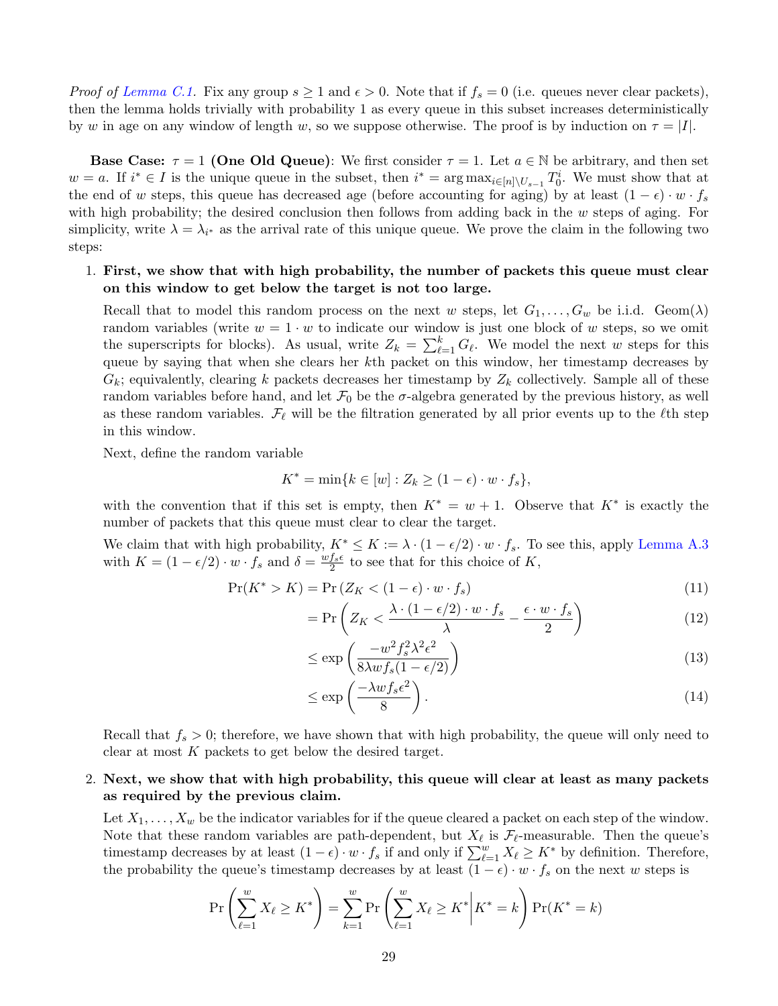*Proof of [Lemma C.1.](#page-27-0)* Fix any group  $s \ge 1$  and  $\epsilon > 0$ . Note that if  $f_s = 0$  (i.e. queues never clear packets), then the lemma holds trivially with probability 1 as every queue in this subset increases deterministically by w in age on any window of length w, so we suppose otherwise. The proof is by induction on  $\tau = |I|$ .

Base Case:  $\tau = 1$  (One Old Queue): We first consider  $\tau = 1$ . Let  $a \in \mathbb{N}$  be arbitrary, and then set  $w = a$ . If  $i^* \in I$  is the unique queue in the subset, then  $i^* = \arg \max_{i \in [n] \setminus U_{s-1}} T_0^i$ . We must show that at the end of w steps, this queue has decreased age (before accounting for aging) by at least  $(1 - \epsilon) \cdot w \cdot f_s$ with high probability; the desired conclusion then follows from adding back in the  $w$  steps of aging. For simplicity, write  $\lambda = \lambda_{i^*}$  as the arrival rate of this unique queue. We prove the claim in the following two steps:

## 1. First, we show that with high probability, the number of packets this queue must clear on this window to get below the target is not too large.

Recall that to model this random process on the next w steps, let  $G_1, \ldots, G_w$  be i.i.d. Geom $(\lambda)$ random variables (write  $w = 1 \cdot w$  to indicate our window is just one block of w steps, so we omit the superscripts for blocks). As usual, write  $Z_k = \sum_{\ell=1}^k G_\ell$ . We model the next w steps for this queue by saying that when she clears her kth packet on this window, her timestamp decreases by  $G_k$ ; equivalently, clearing k packets decreases her timestamp by  $Z_k$  collectively. Sample all of these random variables before hand, and let  $\mathcal{F}_0$  be the  $\sigma$ -algebra generated by the previous history, as well as these random variables.  $\mathcal{F}_{\ell}$  will be the filtration generated by all prior events up to the  $\ell$ th step in this window.

Next, define the random variable

$$
K^* = \min\{k \in [w] : Z_k \ge (1 - \epsilon) \cdot w \cdot f_s\},\
$$

with the convention that if this set is empty, then  $K^* = w + 1$ . Observe that  $K^*$  is exactly the number of packets that this queue must clear to clear the target.

We claim that with high probability,  $K^* \leq K := \lambda \cdot (1 - \epsilon/2) \cdot w \cdot f_s$ . To see this, apply [Lemma A.3](#page-25-1) with  $K = (1 - \epsilon/2) \cdot w \cdot f_s$  and  $\delta = \frac{w f_s \epsilon}{2}$  $\frac{f_s \epsilon}{2}$  to see that for this choice of K,

$$
\Pr(K^* > K) = \Pr(Z_K < (1 - \epsilon) \cdot w \cdot f_s) \tag{11}
$$

$$
= \Pr\left(Z_K < \frac{\lambda \cdot (1 - \epsilon/2) \cdot w \cdot f_s}{\lambda} - \frac{\epsilon \cdot w \cdot f_s}{2}\right) \tag{12}
$$

$$
\leq \exp\left(\frac{-w^2 f_s^2 \lambda^2 \epsilon^2}{8\lambda w f_s (1 - \epsilon/2)}\right) \tag{13}
$$

$$
\leq \exp\left(\frac{-\lambda w f_s \epsilon^2}{8}\right). \tag{14}
$$

Recall that  $f_s > 0$ ; therefore, we have shown that with high probability, the queue will only need to clear at most K packets to get below the desired target.

## 2. Next, we show that with high probability, this queue will clear at least as many packets as required by the previous claim.

Let  $X_1, \ldots, X_w$  be the indicator variables for if the queue cleared a packet on each step of the window. Note that these random variables are path-dependent, but  $X_{\ell}$  is  $\mathcal{F}_{\ell}$ -measurable. Then the queue's timestamp decreases by at least  $(1 - \epsilon) \cdot w \cdot f_s$  if and only if  $\sum_{\ell=1}^w X_\ell \geq K^*$  by definition. Therefore, the probability the queue's timestamp decreases by at least  $(1 - \epsilon) \cdot w \cdot f_s$  on the next w steps is

$$
\Pr\left(\sum_{\ell=1}^{w} X_{\ell} \ge K^*\right) = \sum_{k=1}^{w} \Pr\left(\sum_{\ell=1}^{w} X_{\ell} \ge K^*\middle| K^* = k\right) \Pr(K^* = k)
$$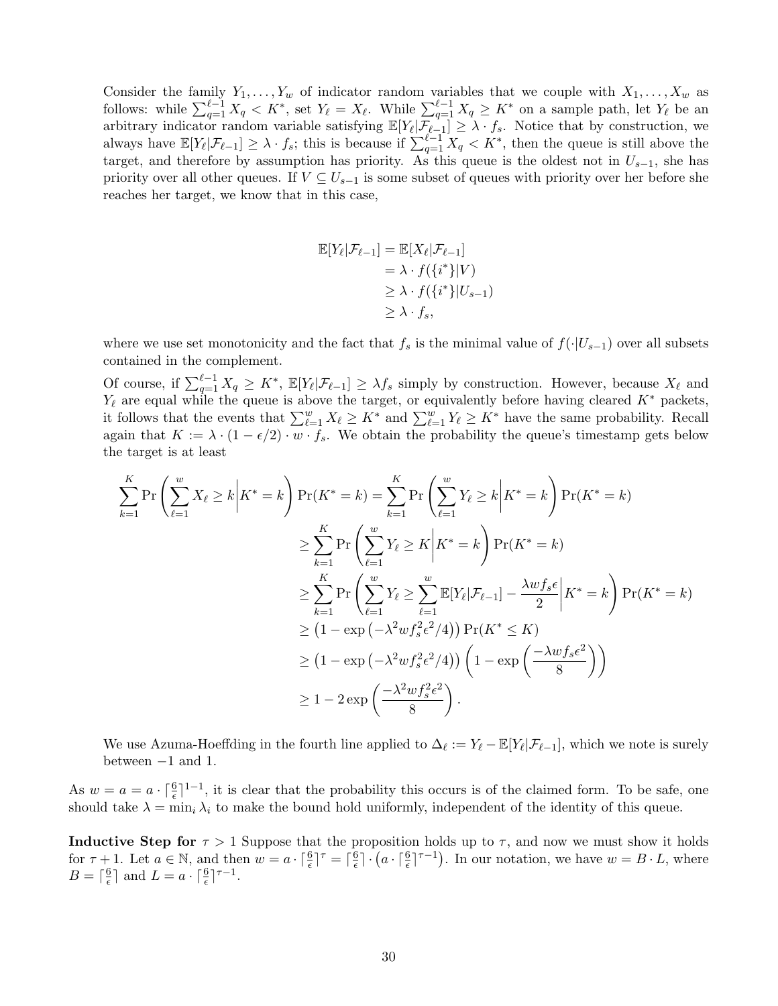Consider the family  $Y_1, \ldots, Y_w$  of indicator random variables that we couple with  $X_1, \ldots, X_w$  as follows: while  $\sum_{q=1}^{\ell-1} X_q \leq K^*$ , set  $Y_{\ell} = X_{\ell}$ . While  $\sum_{q=1}^{\ell-1} X_q \geq K^*$  on a sample path, let  $Y_{\ell}$  be an arbitrary indicator random variable satisfying  $\mathbb{E}[Y_{\ell}|\mathcal{F}_{\ell-1}] \geq \lambda \cdot f_s$ . Notice that by construction, we always have  $\mathbb{E}[Y_{\ell}|\mathcal{F}_{\ell-1}] \geq \lambda \cdot f_s$ ; this is because if  $\sum_{q=1}^{\ell-1} X_q < K^*$ , then the queue is still above the target, and therefore by assumption has priority. As this queue is the oldest not in  $U_{s-1}$ , she has priority over all other queues. If  $V \subseteq U_{s-1}$  is some subset of queues with priority over her before she reaches her target, we know that in this case,

$$
\mathbb{E}[Y_{\ell}|\mathcal{F}_{\ell-1}] = \mathbb{E}[X_{\ell}|\mathcal{F}_{\ell-1}]
$$
  
=  $\lambda \cdot f(\{i^*\}|V)$   
 $\geq \lambda \cdot f(\{i^*\}|U_{s-1})$   
 $\geq \lambda \cdot f_s$ ,

where we use set monotonicity and the fact that  $f_s$  is the minimal value of  $f(\cdot|U_{s-1})$  over all subsets contained in the complement.

Of course, if  $\sum_{q=1}^{\ell-1} X_q \geq K^*$ ,  $\mathbb{E}[Y_{\ell} | \mathcal{F}_{\ell-1}] \geq \lambda f_s$  simply by construction. However, because  $X_{\ell}$  and  $Y_{\ell}$  are equal while the queue is above the target, or equivalently before having cleared K<sup>∗</sup> packets, it follows that the events that  $\sum_{\ell=1}^w X_{\ell} \geq K^*$  and  $\sum_{\ell=1}^w Y_{\ell} \geq K^*$  have the same probability. Recall again that  $K := \lambda \cdot (1 - \epsilon/2) \cdot w \cdot f_s$ . We obtain the probability the queue's timestamp gets below the target is at least

$$
\sum_{k=1}^{K} \Pr\left(\sum_{\ell=1}^{w} X_{\ell} \ge k \middle| K^{*} = k\right) \Pr(K^{*} = k) = \sum_{k=1}^{K} \Pr\left(\sum_{\ell=1}^{w} Y_{\ell} \ge k \middle| K^{*} = k\right) \Pr(K^{*} = k)
$$
\n
$$
\ge \sum_{k=1}^{K} \Pr\left(\sum_{\ell=1}^{w} Y_{\ell} \ge K \middle| K^{*} = k\right) \Pr(K^{*} = k)
$$
\n
$$
\ge \sum_{k=1}^{K} \Pr\left(\sum_{\ell=1}^{w} Y_{\ell} \ge \sum_{\ell=1}^{w} \mathbb{E}[Y_{\ell} | \mathcal{F}_{\ell-1}] - \frac{\lambda w f_{s} \epsilon}{2} \middle| K^{*} = k\right) \Pr(K^{*} = k)
$$
\n
$$
\ge (1 - \exp\left(-\lambda^{2} w f_{s}^{2} \epsilon^{2} / 4\right)) \Pr(K^{*} \le K)
$$
\n
$$
\ge (1 - \exp\left(-\lambda^{2} w f_{s}^{2} \epsilon^{2} / 4\right)) \left(1 - \exp\left(-\frac{\lambda w f_{s} \epsilon^{2}}{8}\right)\right)
$$
\n
$$
\ge 1 - 2 \exp\left(-\frac{\lambda^{2} w f_{s}^{2} \epsilon^{2}}{8}\right).
$$

We use Azuma-Hoeffding in the fourth line applied to  $\Delta_{\ell} := Y_{\ell} - \mathbb{E}[Y_{\ell}|\mathcal{F}_{\ell-1}]$ , which we note is surely between −1 and 1.

As  $w = a - \lceil \frac{6}{\epsilon} \rceil^{1-1}$ , it is clear that the probability this occurs is of the claimed form. To be safe, one should take  $\lambda = \min_i \lambda_i$  to make the bound hold uniformly, independent of the identity of this queue.

**Inductive Step for**  $\tau > 1$  Suppose that the proposition holds up to  $\tau$ , and now we must show it holds for  $\tau + 1$ . Let  $a \in \mathbb{N}$ , and then  $w = a \cdot \lceil \frac{6}{\epsilon} \rceil^{\tau} = \lceil \frac{6}{\epsilon} \rceil$  $\frac{6}{\epsilon} \cdot (a \cdot \lceil \frac{6}{\epsilon} \rceil^{\tau-1})$ . In our notation, we have  $w = B \cdot L$ , where  $B = \lceil \frac{6}{6} \rceil$  $\frac{6}{\epsilon}$  and  $L = a \cdot \lceil \frac{6}{\epsilon} \rceil^{\tau - 1}$ .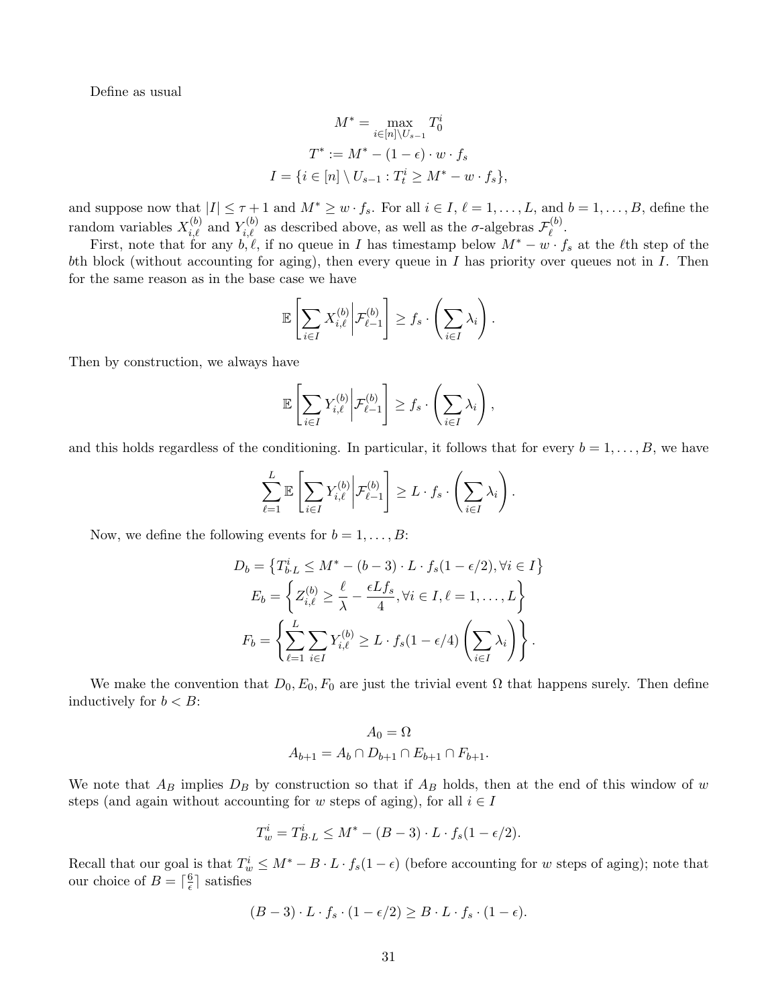Define as usual

$$
M^* = \max_{i \in [n] \backslash U_{s-1}} T_0^i
$$

$$
T^* := M^* - (1 - \epsilon) \cdot w \cdot f_s
$$

$$
I = \{ i \in [n] \setminus U_{s-1} : T_t^i \ge M^* - w \cdot f_s \},
$$

and suppose now that  $|I| \leq \tau + 1$  and  $M^* \geq w \cdot f_s$ . For all  $i \in I, \ell = 1, \ldots, L$ , and  $b = 1, \ldots, B$ , define the random variables  $X_{i,\ell}^{(b)}$  and  $Y_{i,\ell}^{(b)}$  as described above, as well as the  $\sigma$ -algebras  $\mathcal{F}_{\ell}^{(b)}$  $\stackrel{\cdot}{\ell}^{\scriptscriptstyle (0)}$  .

First, note that for any  $b, \ell$ , if no queue in I has timestamp below  $M^* - w \cdot f_s$  at the  $\ell$ th step of the bth block (without accounting for aging), then every queue in I has priority over queues not in I. Then for the same reason as in the base case we have

$$
\mathbb{E}\left[\sum_{i\in I}X_{i,\ell}^{(b)}\bigg|\mathcal{F}_{\ell-1}^{(b)}\right]\geq f_s\cdot\left(\sum_{i\in I}\lambda_i\right).
$$

Then by construction, we always have

$$
\mathbb{E}\left[\sum_{i\in I}Y_{i,\ell}^{(b)}\bigg|\mathcal{F}_{\ell-1}^{(b)}\right]\geq f_s\cdot\left(\sum_{i\in I}\lambda_i\right),\,
$$

and this holds regardless of the conditioning. In particular, it follows that for every  $b = 1, \ldots, B$ , we have

$$
\sum_{\ell=1}^L \mathbb{E}\left[\sum_{i\in I} Y_{i,\ell}^{(b)} \bigg| \mathcal{F}_{\ell-1}^{(b)}\right] \geq L \cdot f_s \cdot \left(\sum_{i\in I} \lambda_i\right).
$$

Now, we define the following events for  $b = 1, \ldots, B$ :

$$
D_b = \left\{ T_{b \cdot L}^i \le M^* - (b - 3) \cdot L \cdot f_s (1 - \epsilon/2), \forall i \in I \right\}
$$
  
\n
$$
E_b = \left\{ Z_{i,\ell}^{(b)} \ge \frac{\ell}{\lambda} - \frac{\epsilon L f_s}{4}, \forall i \in I, \ell = 1, ..., L \right\}
$$
  
\n
$$
F_b = \left\{ \sum_{\ell=1}^L \sum_{i \in I} Y_{i,\ell}^{(b)} \ge L \cdot f_s (1 - \epsilon/4) \left( \sum_{i \in I} \lambda_i \right) \right\}.
$$

We make the convention that  $D_0, E_0, F_0$  are just the trivial event  $\Omega$  that happens surely. Then define inductively for  $b < B$ :

$$
A_0 = \Omega
$$
  

$$
A_{b+1} = A_b \cap D_{b+1} \cap E_{b+1} \cap F_{b+1}.
$$

We note that  $A_B$  implies  $D_B$  by construction so that if  $A_B$  holds, then at the end of this window of w steps (and again without accounting for w steps of aging), for all  $i \in I$ 

$$
T_w^i = T_{B \cdot L}^i \le M^* - (B - 3) \cdot L \cdot f_s(1 - \epsilon/2).
$$

Recall that our goal is that  $T_w^i \leq M^* - B \cdot L \cdot f_s(1 - \epsilon)$  (before accounting for w steps of aging); note that our choice of  $B = \lceil \frac{6}{6} \rceil$  $\frac{6}{\epsilon}$  satisfies

$$
(B-3) \cdot L \cdot f_s \cdot (1 - \epsilon/2) \geq B \cdot L \cdot f_s \cdot (1 - \epsilon).
$$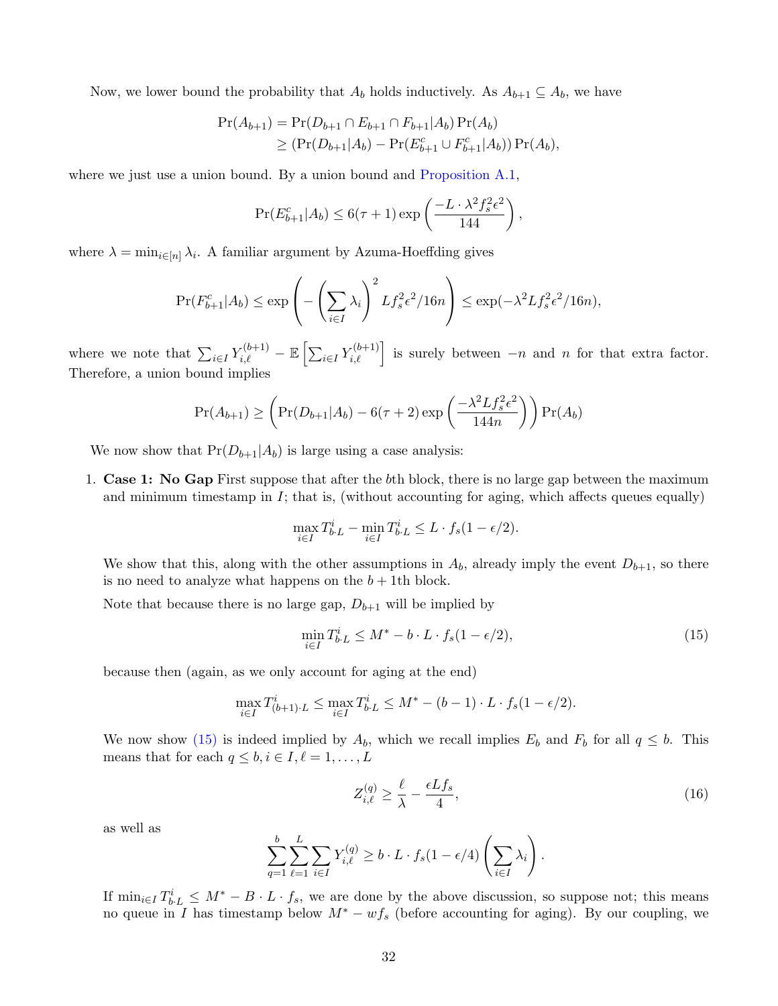Now, we lower bound the probability that  $A_b$  holds inductively. As  $A_{b+1} \subseteq A_b$ , we have

$$
\Pr(A_{b+1}) = \Pr(D_{b+1} \cap E_{b+1} \cap F_{b+1}|A_b) \Pr(A_b)
$$
  
\n
$$
\geq (\Pr(D_{b+1}|A_b) - \Pr(E_{b+1}^c \cup F_{b+1}^c|A_b)) \Pr(A_b),
$$

where we just use a union bound. By a union bound and [Proposition A.1,](#page-25-2)

$$
\Pr(E_{b+1}^c|A_b) \le 6(\tau+1)\exp\left(\frac{-L\cdot\lambda^2f_s^2\epsilon^2}{144}\right),
$$

where  $\lambda = \min_{i \in [n]} \lambda_i$ . A familiar argument by Azuma-Hoeffding gives

$$
\Pr(F_{b+1}^c|A_b) \le \exp\left(-\left(\sum_{i\in I} \lambda_i\right)^2 Lf_s^2 \epsilon^2/16n\right) \le \exp(-\lambda^2 Lf_s^2 \epsilon^2/16n),
$$

where we note that  $\sum_{i\in I} Y_{i,\ell}^{(b+1)} - \mathbb{E}\left[\sum_{i\in I} Y_{i,\ell}^{(b+1)}\right]$  is surely between  $-n$  and n for that extra factor. Therefore, a union bound implies

$$
\Pr(A_{b+1}) \ge \left(\Pr(D_{b+1}|A_b) - 6(\tau+2)\exp\left(\frac{-\lambda^2 L f_s^2 \epsilon^2}{144n}\right)\right) \Pr(A_b)
$$

We now show that  $Pr(D_{b+1}|A_b)$  is large using a case analysis:

1. Case 1: No Gap First suppose that after the bth block, there is no large gap between the maximum and minimum timestamp in  $I$ ; that is, (without accounting for aging, which affects queues equally)

$$
\max_{i \in I} T_{b \cdot L}^i - \min_{i \in I} T_{b \cdot L}^i \le L \cdot f_s(1 - \epsilon/2).
$$

We show that this, along with the other assumptions in  $A_b$ , already imply the event  $D_{b+1}$ , so there is no need to analyze what happens on the  $b + 1$ th block.

Note that because there is no large gap,  $D_{b+1}$  will be implied by

<span id="page-32-0"></span>
$$
\min_{i \in I} T_{b \cdot L}^i \le M^* - b \cdot L \cdot f_s(1 - \epsilon/2),\tag{15}
$$

because then (again, as we only account for aging at the end)

$$
\max_{i \in I} T^i_{(b+1)\cdot L} \le \max_{i \in I} T^i_{b\cdot L} \le M^* - (b-1) \cdot L \cdot f_s(1 - \epsilon/2).
$$

We now show [\(15\)](#page-32-0) is indeed implied by  $A_b$ , which we recall implies  $E_b$  and  $F_b$  for all  $q \leq b$ . This means that for each  $q \leq b, i \in I, \ell = 1, \ldots, L$ 

<span id="page-32-1"></span>
$$
Z_{i,\ell}^{(q)} \ge \frac{\ell}{\lambda} - \frac{\epsilon L f_s}{4},\tag{16}
$$

.

as well as

$$
\sum_{q=1}^{b} \sum_{\ell=1}^{L} \sum_{i \in I} Y_{i,\ell}^{(q)} \ge b \cdot L \cdot f_s(1 - \epsilon/4) \left(\sum_{i \in I} \lambda_i\right)
$$

If  $\min_{i\in I} T_{b\cdot L}^i \leq M^* - B \cdot L \cdot f_s$ , we are done by the above discussion, so suppose not; this means no queue in I has timestamp below  $M^* - wf_s$  (before accounting for aging). By our coupling, we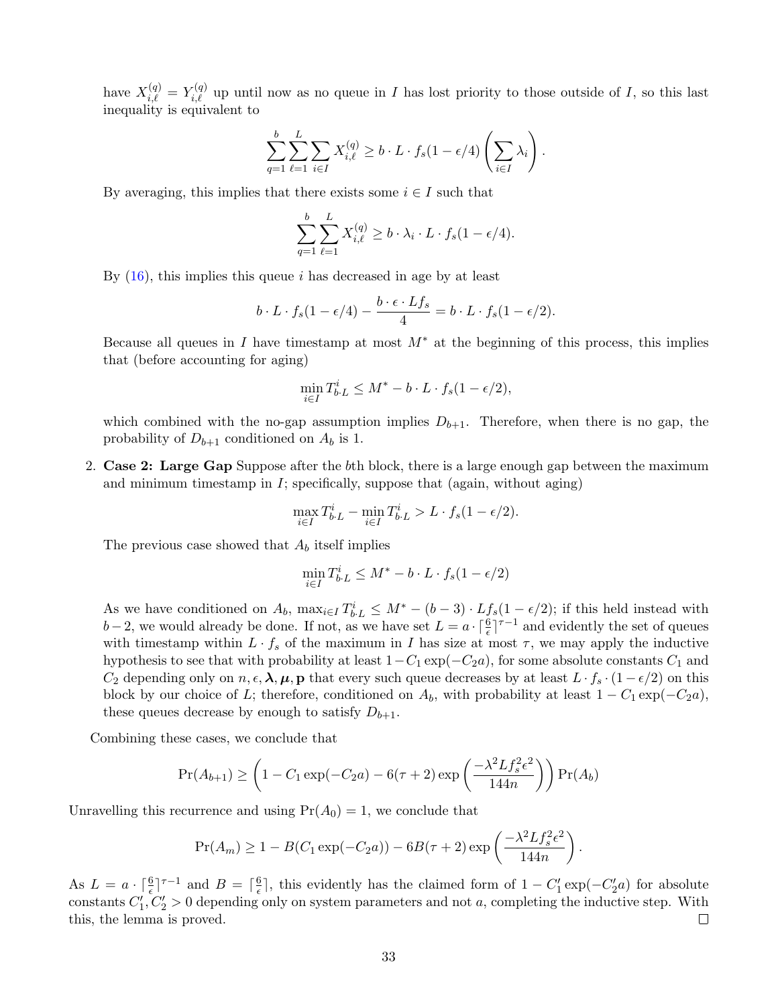have  $X_{i,\ell}^{(q)} = Y_{i,\ell}^{(q)}$  up until now as no queue in I has lost priority to those outside of I, so this last inequality is equivalent to

$$
\sum_{q=1}^{b} \sum_{\ell=1}^{L} \sum_{i \in I} X_{i,\ell}^{(q)} \ge b \cdot L \cdot f_s(1 - \epsilon/4) \left( \sum_{i \in I} \lambda_i \right).
$$

By averaging, this implies that there exists some  $i \in I$  such that

$$
\sum_{q=1}^{b} \sum_{\ell=1}^{L} X_{i,\ell}^{(q)} \ge b \cdot \lambda_i \cdot L \cdot f_s(1 - \epsilon/4).
$$

By  $(16)$ , this implies this queue *i* has decreased in age by at least

$$
b \cdot L \cdot f_s(1 - \epsilon/4) - \frac{b \cdot \epsilon \cdot Lf_s}{4} = b \cdot L \cdot f_s(1 - \epsilon/2).
$$

Because all queues in I have timestamp at most  $M^*$  at the beginning of this process, this implies that (before accounting for aging)

$$
\min_{i \in I} T_{b \cdot L}^i \le M^* - b \cdot L \cdot f_s(1 - \epsilon/2),
$$

which combined with the no-gap assumption implies  $D_{b+1}$ . Therefore, when there is no gap, the probability of  $D_{b+1}$  conditioned on  $A_b$  is 1.

2. Case 2: Large Gap Suppose after the bth block, there is a large enough gap between the maximum and minimum timestamp in  $I$ ; specifically, suppose that (again, without aging)

$$
\max_{i \in I} T_{b \cdot L}^i - \min_{i \in I} T_{b \cdot L}^i > L \cdot f_s(1 - \epsilon/2).
$$

The previous case showed that  $A_b$  itself implies

$$
\min_{i \in I} T_{b \cdot L}^i \le M^* - b \cdot L \cdot f_s(1 - \epsilon/2)
$$

As we have conditioned on  $A_b$ ,  $\max_{i \in I} T_{b \cdot L}^i \leq M^* - (b-3) \cdot L_{fs}^f(1 - \epsilon/2)$ ; if this held instead with  $b-2$ , we would already be done. If not, as we have set  $L = a \cdot \lceil \frac{6}{\epsilon} \rceil^{\tau-1}$  and evidently the set of queues with timestamp within  $L \cdot f_s$  of the maximum in I has size at most  $\tau$ , we may apply the inductive hypothesis to see that with probability at least  $1-C_1 \exp(-C_2 a)$ , for some absolute constants  $C_1$  and  $C_2$  depending only on  $n, \epsilon, \lambda, \mu, p$  that every such queue decreases by at least  $L \cdot f_s \cdot (1 - \epsilon/2)$  on this block by our choice of L; therefore, conditioned on  $A_b$ , with probability at least  $1 - C_1 \exp(-C_2 a)$ , these queues decrease by enough to satisfy  $D_{b+1}$ .

Combining these cases, we conclude that

$$
\Pr(A_{b+1}) \ge \left(1 - C_1 \exp(-C_2 a) - 6(\tau + 2) \exp\left(\frac{-\lambda^2 L f_s^2 \epsilon^2}{144n}\right)\right) \Pr(A_b)
$$

Unravelling this recurrence and using  $Pr(A_0) = 1$ , we conclude that

$$
Pr(A_m) \ge 1 - B(C_1 \exp(-C_2 a)) - 6B(\tau + 2) \exp\left(\frac{-\lambda^2 L f_s^2 \epsilon^2}{144n}\right).
$$

As  $L = a \cdot \lceil \frac{6}{\epsilon} \rceil^{\tau-1}$  and  $B = \lceil \frac{6}{\epsilon} \rceil$  $\frac{6}{5}$ , this evidently has the claimed form of  $1 - C'_1 \exp(-C'_2 a)$  for absolute constants  $C_1, C_2 > 0$  depending only on system parameters and not a, completing the inductive step. With this, the lemma is proved.  $\Box$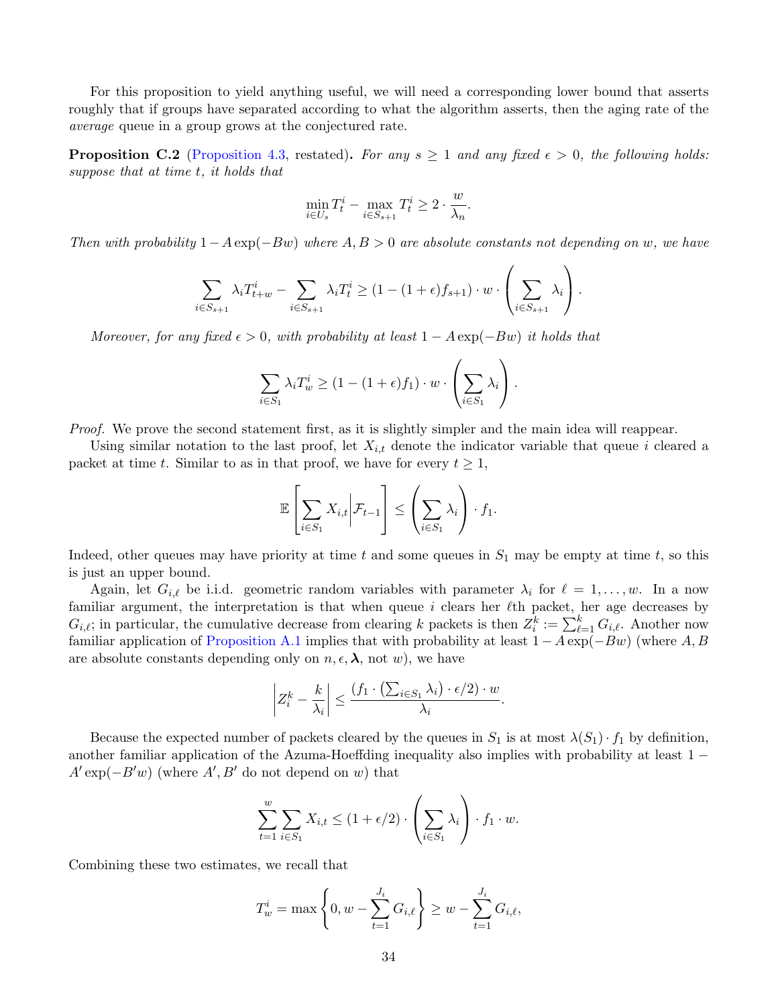For this proposition to yield anything useful, we will need a corresponding lower bound that asserts roughly that if groups have separated according to what the algorithm asserts, then the aging rate of the average queue in a group grows at the conjectured rate.

**Proposition C.2** [\(Proposition 4.3,](#page-14-1) restated). For any  $s \ge 1$  and any fixed  $\epsilon > 0$ , the following holds: suppose that at time t, it holds that

$$
\min_{i \in U_s} T^i_t - \max_{i \in S_{s+1}} T^i_t \ge 2 \cdot \frac{w}{\lambda_n}.
$$

Then with probability  $1-A \exp(-Bw)$  where  $A, B > 0$  are absolute constants not depending on w, we have

$$
\sum_{i \in S_{s+1}} \lambda_i T_{t+w}^i - \sum_{i \in S_{s+1}} \lambda_i T_t^i \ge (1 - (1 + \epsilon) f_{s+1}) \cdot w \cdot \left(\sum_{i \in S_{s+1}} \lambda_i\right).
$$

Moreover, for any fixed  $\epsilon > 0$ , with probability at least  $1 - A \exp(-Bw)$  it holds that

$$
\sum_{i \in S_1} \lambda_i T_w^i \ge (1 - (1 + \epsilon) f_1) \cdot w \cdot \left(\sum_{i \in S_1} \lambda_i\right).
$$

Proof. We prove the second statement first, as it is slightly simpler and the main idea will reappear.

Using similar notation to the last proof, let  $X_{i,t}$  denote the indicator variable that queue i cleared a packet at time t. Similar to as in that proof, we have for every  $t \geq 1$ ,

$$
\mathbb{E}\left[\sum_{i\in S_1}X_{i,t}\bigg|\mathcal{F}_{t-1}\right]\leq \left(\sum_{i\in S_1}\lambda_i\right)\cdot f_1.
$$

Indeed, other queues may have priority at time t and some queues in  $S_1$  may be empty at time t, so this is just an upper bound.

Again, let  $G_{i,\ell}$  be i.i.d. geometric random variables with parameter  $\lambda_i$  for  $\ell = 1, \ldots, w$ . In a now familiar argument, the interpretation is that when queue  $i$  clears her  $\ell$ th packet, her age decreases by  $G_{i,\ell}$ ; in particular, the cumulative decrease from clearing k packets is then  $Z_i^k := \sum_{\ell=1}^k G_{i,\ell}$ . Another now familiar application of [Proposition A.1](#page-25-2) implies that with probability at least  $1 - A \exp(-Bw)$  (where A, B are absolute constants depending only on  $n, \epsilon, \lambda$ , not w), we have

$$
\left| Z_i^k - \frac{k}{\lambda_i} \right| \leq \frac{\left( f_1 \cdot \left( \sum_{i \in S_1} \lambda_i \right) \cdot \epsilon/2 \right) \cdot w}{\lambda_i}.
$$

Because the expected number of packets cleared by the queues in  $S_1$  is at most  $\lambda(S_1) \cdot f_1$  by definition, another familiar application of the Azuma-Hoeffding inequality also implies with probability at least 1 −  $A' \exp(-B'w)$  (where  $A', B'$  do not depend on w) that

$$
\sum_{t=1}^{w} \sum_{i \in S_1} X_{i,t} \le (1 + \epsilon/2) \cdot \left(\sum_{i \in S_1} \lambda_i\right) \cdot f_1 \cdot w.
$$

Combining these two estimates, we recall that

$$
T_w^i = \max\left\{0, w - \sum_{t=1}^{J_i} G_{i,\ell}\right\} \ge w - \sum_{t=1}^{J_i} G_{i,\ell},
$$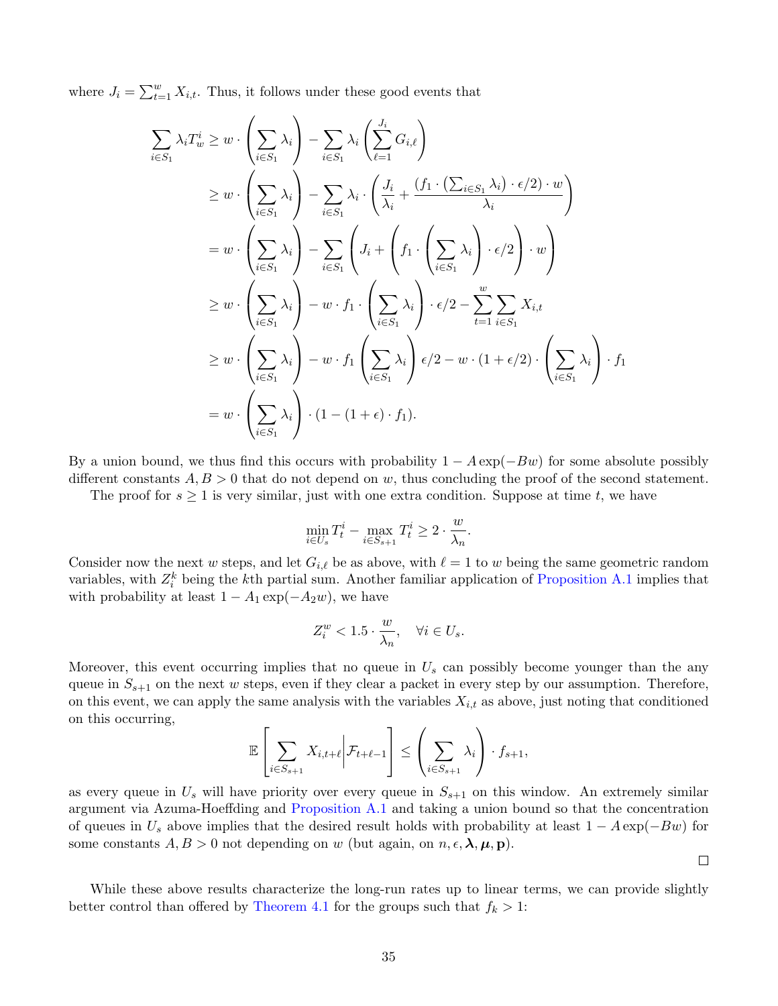where  $J_i = \sum_{t=1}^{w} X_{i,t}$ . Thus, it follows under these good events that

$$
\sum_{i \in S_1} \lambda_i T_w^i \geq w \cdot \left(\sum_{i \in S_1} \lambda_i\right) - \sum_{i \in S_1} \lambda_i \left(\sum_{\ell=1}^{J_i} G_{i,\ell}\right)
$$
\n
$$
\geq w \cdot \left(\sum_{i \in S_1} \lambda_i\right) - \sum_{i \in S_1} \lambda_i \cdot \left(\frac{J_i}{\lambda_i} + \frac{(f_1 \cdot (\sum_{i \in S_1} \lambda_i) \cdot \epsilon/2) \cdot w}{\lambda_i}\right)
$$
\n
$$
= w \cdot \left(\sum_{i \in S_1} \lambda_i\right) - \sum_{i \in S_1} \left(J_i + \left(f_1 \cdot \left(\sum_{i \in S_1} \lambda_i\right) \cdot \epsilon/2\right) \cdot w\right)
$$
\n
$$
\geq w \cdot \left(\sum_{i \in S_1} \lambda_i\right) - w \cdot f_1 \cdot \left(\sum_{i \in S_1} \lambda_i\right) \cdot \epsilon/2 - \sum_{t=1}^w \sum_{i \in S_1} X_{i,t}
$$
\n
$$
\geq w \cdot \left(\sum_{i \in S_1} \lambda_i\right) - w \cdot f_1 \left(\sum_{i \in S_1} \lambda_i\right) \epsilon/2 - w \cdot (1 + \epsilon/2) \cdot \left(\sum_{i \in S_1} \lambda_i\right) \cdot f_1
$$
\n
$$
= w \cdot \left(\sum_{i \in S_1} \lambda_i\right) \cdot (1 - (1 + \epsilon) \cdot f_1).
$$

By a union bound, we thus find this occurs with probability  $1 - A \exp(-Bw)$  for some absolute possibly different constants  $A, B > 0$  that do not depend on w, thus concluding the proof of the second statement.

The proof for  $s \geq 1$  is very similar, just with one extra condition. Suppose at time t, we have

$$
\min_{i \in U_s} T_t^i - \max_{i \in S_{s+1}} T_t^i \ge 2 \cdot \frac{w}{\lambda_n}.
$$

Consider now the next w steps, and let  $G_{i,\ell}$  be as above, with  $\ell = 1$  to w being the same geometric random variables, with  $Z_i^k$  being the k<sup>th</sup> partial sum. Another familiar application of [Proposition A.1](#page-25-2) implies that with probability at least  $1 - A_1 \exp(-A_2 w)$ , we have

$$
Z_i^w < 1.5 \cdot \frac{w}{\lambda_n}, \quad \forall i \in U_s.
$$

Moreover, this event occurring implies that no queue in  $U_s$  can possibly become younger than the any queue in  $S_{s+1}$  on the next w steps, even if they clear a packet in every step by our assumption. Therefore, on this event, we can apply the same analysis with the variables  $X_{i,t}$  as above, just noting that conditioned on this occurring,

$$
\mathbb{E}\left[\sum_{i\in S_{s+1}}X_{i,t+\ell}\bigg|\mathcal{F}_{t+\ell-1}\right]\leq \left(\sum_{i\in S_{s+1}}\lambda_i\right)\cdot f_{s+1},
$$

as every queue in  $U_s$  will have priority over every queue in  $S_{s+1}$  on this window. An extremely similar argument via Azuma-Hoeffding and [Proposition A.1](#page-25-2) and taking a union bound so that the concentration of queues in  $U_s$  above implies that the desired result holds with probability at least  $1 - A \exp(-Bw)$  for some constants  $A, B > 0$  not depending on w (but again, on  $n, \epsilon, \lambda, \mu, \mathbf{p}$ ).

 $\Box$ 

While these above results characterize the long-run rates up to linear terms, we can provide slightly better control than offered by [Theorem 4.1](#page-13-0) for the groups such that  $f_k > 1$ :